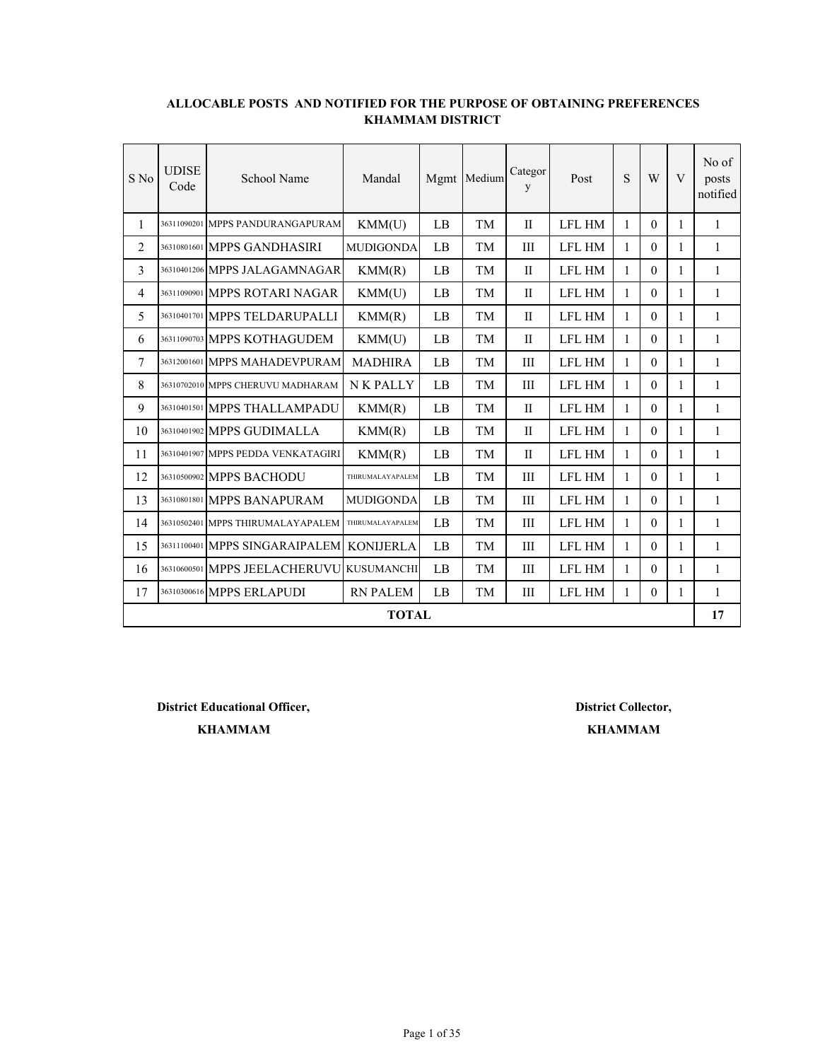| S No           | <b>UDISE</b><br>Code | School Name                              | Mandal           | Mgmt | Medium    | Categor<br>y | Post          | S            | W        | V            | No of<br>posts<br>notified |
|----------------|----------------------|------------------------------------------|------------------|------|-----------|--------------|---------------|--------------|----------|--------------|----------------------------|
| 1              |                      | 36311090201 MPPS PANDURANGAPURAM         | KMM(U)           | LB   | TM        | $\mathbf{I}$ | <b>LFL HM</b> | 1            | $\theta$ | 1            | $\mathbf{1}$               |
| 2              |                      | 36310801601 MPPS GANDHASIRI              | <b>MUDIGONDA</b> | LB   | TM        | III          | <b>LFL HM</b> | 1            | $\Omega$ | 1            | 1                          |
| 3              |                      | 36310401206 MPPS JALAGAMNAGAR            | KMM(R)           | LB   | TM        | $\mathbf{I}$ | <b>LFL HM</b> | 1            | 0        | 1            | 1                          |
| $\overline{4}$ |                      | 36311090901 MPPS ROTARI NAGAR            | KMM(U)           | LB   | TM        | $\mathbf{H}$ | <b>LFL HM</b> | 1            | $\Omega$ | 1            | $\mathbf{1}$               |
| 5              |                      | 36310401701 MPPS TELDARUPALLI            | KMM(R)           | LB   | TM        | $\mathbf{I}$ | <b>LFL HM</b> | 1            | 0        | 1            | 1                          |
| 6              |                      | 36311090703 MPPS KOTHAGUDEM              | KMM(U)           | LB   | TM        | $\mathbf{I}$ | <b>LFL HM</b> | 1            | $\Omega$ | $\mathbf{1}$ | 1                          |
| 7              |                      | 36312001601 MPPS MAHADEVPURAM            | <b>MADHIRA</b>   | LB   | <b>TM</b> | III          | <b>LFL HM</b> | 1            | $\theta$ | $\mathbf{1}$ | $\mathbf{1}$               |
| 8              |                      | 36310702010 MPPS CHERUVU MADHARAM        | <b>NK PALLY</b>  | LB   | <b>TM</b> | Ш            | <b>LFL HM</b> | 1            | $\Omega$ | 1            | 1                          |
| 9              |                      | 36310401501 MPPS THALLAMPADU             | KMM(R)           | LB   | TM        | $\mathbf{I}$ | <b>LFL HM</b> | 1            | $\theta$ | 1            | $\mathbf{1}$               |
| 10             |                      | 36310401902 MPPS GUDIMALLA               | KMM(R)           | LB   | TM        | $\mathbf{I}$ | <b>LFL HM</b> | $\mathbf{1}$ | $\theta$ | $\mathbf{1}$ | $\mathbf{1}$               |
| 11             |                      | 36310401907 MPPS PEDDA VENKATAGIRI       | KMM(R)           | LB   | TM        | $\mathbf{I}$ | <b>LFL HM</b> | 1            | $\theta$ | $\mathbf{1}$ | $\mathbf{1}$               |
| 12             |                      | 36310500902 MPPS BACHODU                 | THIRUMALAYAPALEM | LB   | TM        | Ш            | <b>LFL HM</b> | 1            | 0        | 1            | 1                          |
| 13             |                      | 36310801801 MPPS BANAPURAM               | <b>MUDIGONDA</b> | LB   | TM        | Ш            | <b>LFL HM</b> | 1            | $\theta$ | 1            | 1                          |
| 14             |                      | 36310502401 MPPS THIRUMALAYAPALEM        | THIRUMALAYAPALEM | LB   | TM        | Ш            | <b>LFL HM</b> | 1            | $\Omega$ | $\mathbf{1}$ | $\mathbf{1}$               |
| 15             |                      | 36311100401 MPPS SINGARAIPALEM           | <b>KONIJERLA</b> | LB   | TM        | III          | <b>LFL HM</b> | 1            | $\theta$ | $\mathbf{1}$ | $\mathbf{1}$               |
| 16             |                      | 36310600501 MPPS JEELACHERUVU KUSUMANCHI |                  | LB   | <b>TM</b> | III          | <b>LFL HM</b> | 1            | $\theta$ | $\mathbf{1}$ | $\mathbf{1}$               |
| 17             |                      | 36310300616 MPPS ERLAPUDI                | <b>RN PALEM</b>  | LB   | TM        | Ш            | <b>LFL HM</b> | 1            | $\Omega$ | 1            | 1                          |
|                |                      |                                          | <b>TOTAL</b>     |      |           |              |               |              |          |              | 17                         |

**District Educational Officer,**

**KHAMMAM**

**District Collector, KHAMMAM**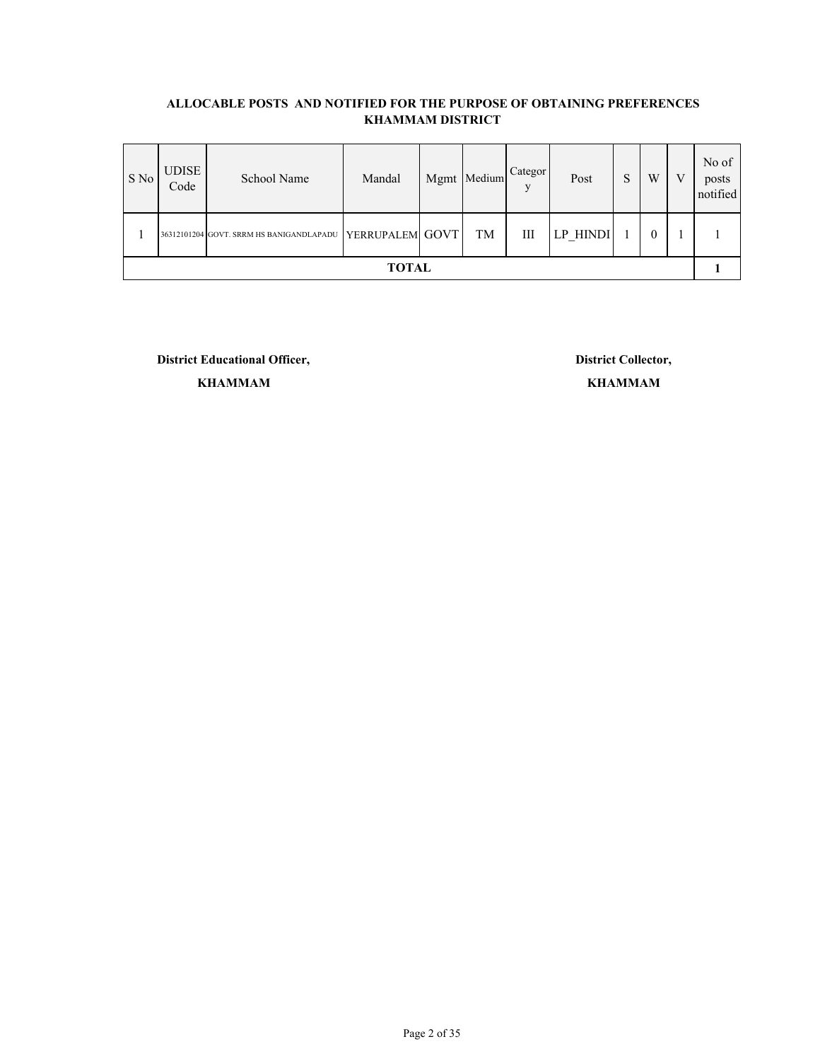| S No         | <b>UDISE</b><br>Code | School Name                              | Mandal          |  | Mgmt Medium | Categor | Post     |  | W        | V | No of<br>posts<br>notified |
|--------------|----------------------|------------------------------------------|-----------------|--|-------------|---------|----------|--|----------|---|----------------------------|
|              |                      | 36312101204 GOVT. SRRM HS BANIGANDLAPADU | YERRUPALEM GOVT |  | TM          | Ш       | LP HINDI |  | $\theta$ |   |                            |
| <b>TOTAL</b> |                      |                                          |                 |  |             |         |          |  |          |   |                            |

**District Educational Officer, District Collector,**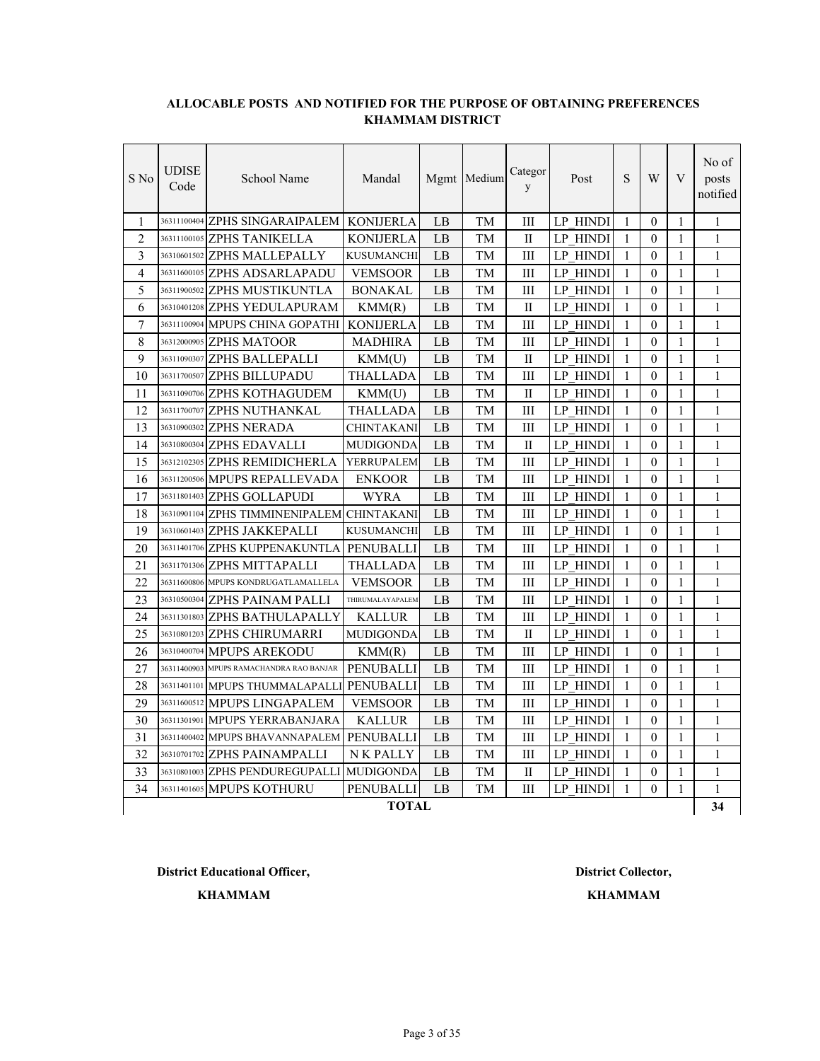| S No           | <b>UDISE</b><br>Code | School Name                                | Mandal            |    | Mgmt Medium | Categor<br>y | Post            | S | W              | V            | No of<br>posts<br>notified |
|----------------|----------------------|--------------------------------------------|-------------------|----|-------------|--------------|-----------------|---|----------------|--------------|----------------------------|
| 1              |                      | 36311100404 ZPHS SINGARAIPALEM             | <b>KONIJERLA</b>  | LB | TM          | Ш            | LP HINDI        | 1 | $\theta$       | $\mathbf{1}$ | $\mathbf{1}$               |
| $\overline{2}$ |                      | 36311100105 ZPHS TANIKELLA                 | <b>KONIJERLA</b>  | LB | TM          | П            | LP HINDI        | 1 | $\theta$       | 1            | 1                          |
| 3              |                      | 36310601502 ZPHS MALLEPALLY                | <b>KUSUMANCHI</b> | LB | TM          | Ш            | <b>LP HINDI</b> | 1 | $\Omega$       | 1            | 1                          |
| 4              |                      | 36311600105 ZPHS ADSARLAPADU               | <b>VEMSOOR</b>    | LB | TM          | Ш            | <b>LP HINDI</b> | 1 | $\theta$       | 1            | $\mathbf{1}$               |
| 5              |                      | 36311900502 ZPHS MUSTIKUNTLA               | <b>BONAKAL</b>    | LВ | TM          | Ш            | LP HINDI        | 1 | $\theta$       | 1            | 1                          |
| 6              |                      | 36310401208 ZPHS YEDULAPURAM               | KMM(R)            | LB | TM          | П            | <b>LP HINDI</b> | 1 | $\theta$       | 1            | 1                          |
| 7              |                      | 36311100904 MPUPS CHINA GOPATHI            | <b>KONIJERLA</b>  | LB | TM          | Ш            | LP HINDI        | 1 | $\Omega$       | 1            | $\mathbf{1}$               |
| 8              |                      | 36312000905 ZPHS MATOOR                    | <b>MADHIRA</b>    | LB | TM          | Ш            | <b>LP HINDI</b> | 1 | $\theta$       | 1            | $\mathbf{1}$               |
| 9              |                      | 36311090307 ZPHS BALLEPALLI                | KMM(U)            | LB | TM          | П            | <b>LP HINDI</b> | 1 | $\theta$       | 1            | $\mathbf{1}$               |
| 10             |                      | 36311700507 ZPHS BILLUPADU                 | THALLADA          | LВ | TМ          | Ш            | LP HINDI        | 1 | $\Omega$       | 1            | 1                          |
| 11             |                      | 36311090706 ZPHS KOTHAGUDEM                | KMM(U)            | LB | TM          | П            | <b>LP HINDI</b> | 1 | $\theta$       | 1            | $\mathbf{1}$               |
| 12             |                      | 36311700707 ZPHS NUTHANKAL                 | THALLADA          | LB | TM          | Ш            | <b>LP HINDI</b> | 1 | $\theta$       | $\mathbf{1}$ | $\mathbf{1}$               |
| 13             |                      | 36310900302 ZPHS NERADA                    | <b>CHINTAKANI</b> | LB | TM          | Ш            | <b>LP HINDI</b> | 1 | $\theta$       | 1            | $\mathbf{1}$               |
| 14             |                      | 36310800304 ZPHS EDAVALLI                  | <b>MUDIGONDA</b>  | LB | TM          | П            | LP HINDI        | 1 | $\theta$       | 1            | $\mathbf{1}$               |
| 15             |                      | 36312102305 ZPHS REMIDICHERLA              | YERRUPALEM        | LB | TM          | Ш            | <b>LP HINDI</b> | 1 | $\Omega$       | 1            | $\mathbf{1}$               |
| 16             |                      | 36311200506 MPUPS REPALLEVADA              | <b>ENKOOR</b>     | LB | TM          | Ш            | LP HINDI        | 1 | $\theta$       | 1            | $\mathbf{1}$               |
| 17             |                      | 36311801403 ZPHS GOLLAPUDI                 | WYRA              | LB | TM          | Ш            | LP HINDI        | 1 | $\theta$       | 1            | $\mathbf{1}$               |
| 18             |                      | 36310901104 ZPHS TIMMINENIPALEM CHINTAKANI |                   | LB | TМ          | III          | LP HINDI        | 1 | $\theta$       | 1            | 1                          |
| 19             |                      | 36310601403 ZPHS JAKKEPALLI                | <b>KUSUMANCHI</b> | LB | TM          | Ш            | LP HINDI        | 1 | $\theta$       | 1            | $\mathbf{1}$               |
| 20             |                      | 36311401706 ZPHS KUPPENAKUNTLA             | PENUBALLI         | LB | TM          | Ш            | LP HINDI        | 1 | $\theta$       | $\mathbf{1}$ | $\mathbf{1}$               |
| 21             |                      | 36311701306 ZPHS MITTAPALLI                | <b>THALLADA</b>   | LB | TM          | Ш            | LP HINDI        | 1 | $\theta$       | $\mathbf{1}$ | $\mathbf{1}$               |
| 22             |                      | 36311600806 MPUPS KONDRUGATLAMALLELA       | <b>VEMSOOR</b>    | LB | TM          | Ш            | LP HINDI        | 1 | $\theta$       | $\mathbf{1}$ | $\mathbf{1}$               |
| 23             |                      | 36310500304 ZPHS PAINAM PALLI              | THIRUMALAYAPALEM  | LB | TM          | Ш            | LP HINDI        | 1 | $\overline{0}$ | $\mathbf{1}$ | $\mathbf{1}$               |
| 24             |                      | 36311301803 ZPHS BATHULAPALLY              | <b>KALLUR</b>     | LB | TM          | Ш            | <b>LP HINDI</b> | 1 | $\theta$       | $\mathbf{1}$ | $\mathbf{1}$               |
| 25             | 36310801203          | <b>ZPHS CHIRUMARRI</b>                     | <b>MUDIGONDA</b>  | LB | TM          | П            | <b>LP HINDI</b> | 1 | $\theta$       | 1            | $\mathbf{1}$               |
| 26             |                      | 36310400704 MPUPS AREKODU                  | KMM(R)            | LВ | TM          | Ш            | LP HINDI        | 1 | 0              | 1            | 1                          |
| 27             |                      | 36311400903 MPUPS RAMACHANDRA RAO BANJAR   | <b>PENUBALLI</b>  | LB | TM          | Ш            | <b>LP HINDI</b> | 1 | $\theta$       | 1            | $\mathbf{1}$               |
| 28             |                      | 36311401101 MPUPS THUMMALAPALLI            | PENUBALLI         | LB | TM          | Ш            | LP HINDI        | 1 | $\theta$       | 1            | 1                          |
| 29             |                      | 36311600512 MPUPS LINGAPALEM               | <b>VEMSOOR</b>    | LB | TM          | Ш            | <b>LP HINDI</b> | 1 | $\theta$       | 1            | $\mathbf{1}$               |
| 30             |                      | 36311301901 MPUPS YERRABANJARA             | <b>KALLUR</b>     | LB | TM          | Ш            | LP HINDI        | 1 | $\theta$       | 1            | $\mathbf{1}$               |
| 31             |                      | 36311400402 MPUPS BHAVANNAPALEM            | PENUBALLI         | LB | TM          | Ш            | LP HINDI        | 1 | $\theta$       | 1            | $\mathbf{1}$               |
| 32             |                      | 36310701702 ZPHS PAINAMPALLI               | N K PALLY         | LB | TM          | Ш            | <b>LP HINDI</b> | 1 | $\theta$       | 1            | 1                          |
| 33             |                      | 36310801003 ZPHS PENDUREGUPALLI            | <b>MUDIGONDA</b>  | LB | TM          | П            | LP HINDI        | 1 | $\overline{0}$ | $\mathbf{1}$ | $\mathbf{1}$               |
| 34             |                      | 36311401605 MPUPS KOTHURU                  | PENUBALLI         | LB | TM          | Ш            | LP HINDI        | 1 | $\Omega$       | $\mathbf{1}$ | $\mathbf{1}$               |
|                |                      |                                            | <b>TOTAL</b>      |    |             |              |                 |   |                |              | 34                         |

**District Educational Officer, District Collector,**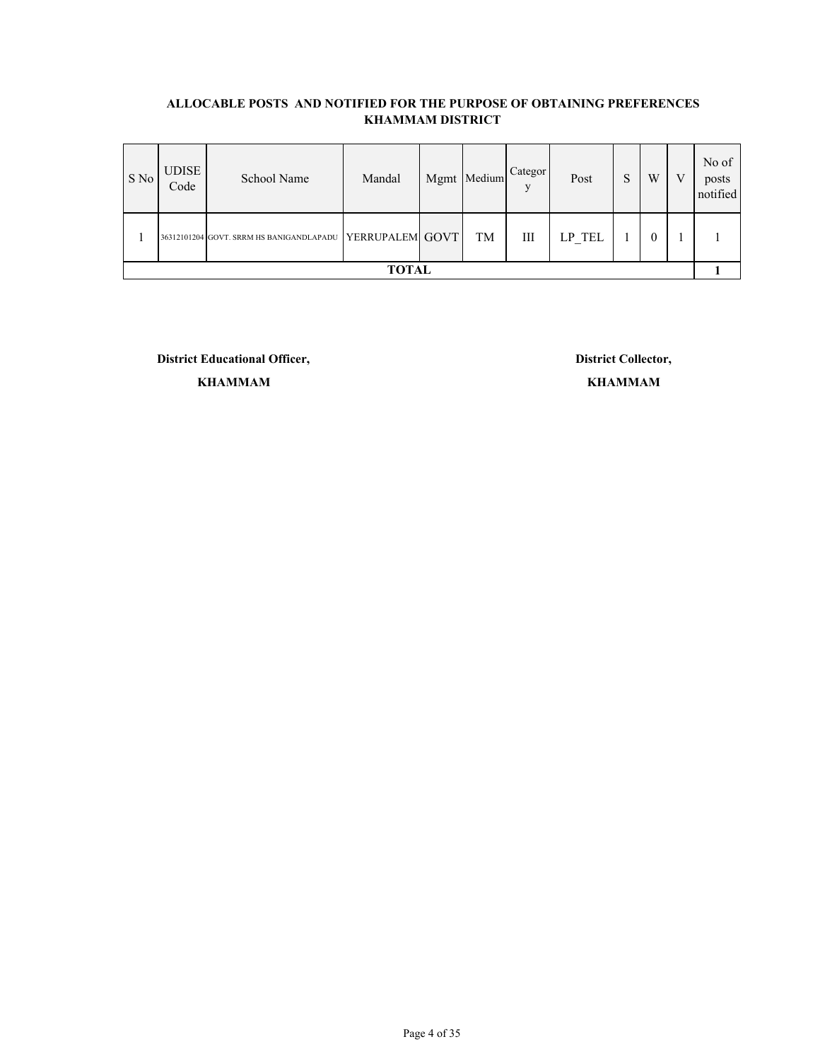| S No         | <b>UDISE</b><br>Code | School Name                              | Mandal          |  | Mgmt Medium | Categor<br>$\mathbf{V}$ | Post      | n<br>C | W        | V | No of<br>posts<br>notified |
|--------------|----------------------|------------------------------------------|-----------------|--|-------------|-------------------------|-----------|--------|----------|---|----------------------------|
|              |                      | 36312101204 GOVT. SRRM HS BANIGANDLAPADU | YERRUPALEM GOVT |  | TM          | Ш                       | $LP_$ TEL |        | $\theta$ |   |                            |
| <b>TOTAL</b> |                      |                                          |                 |  |             |                         |           |        |          |   |                            |

**District Educational Officer, District Collector,**

**KHAMMAM KHAMMAM**

Page 4 of 35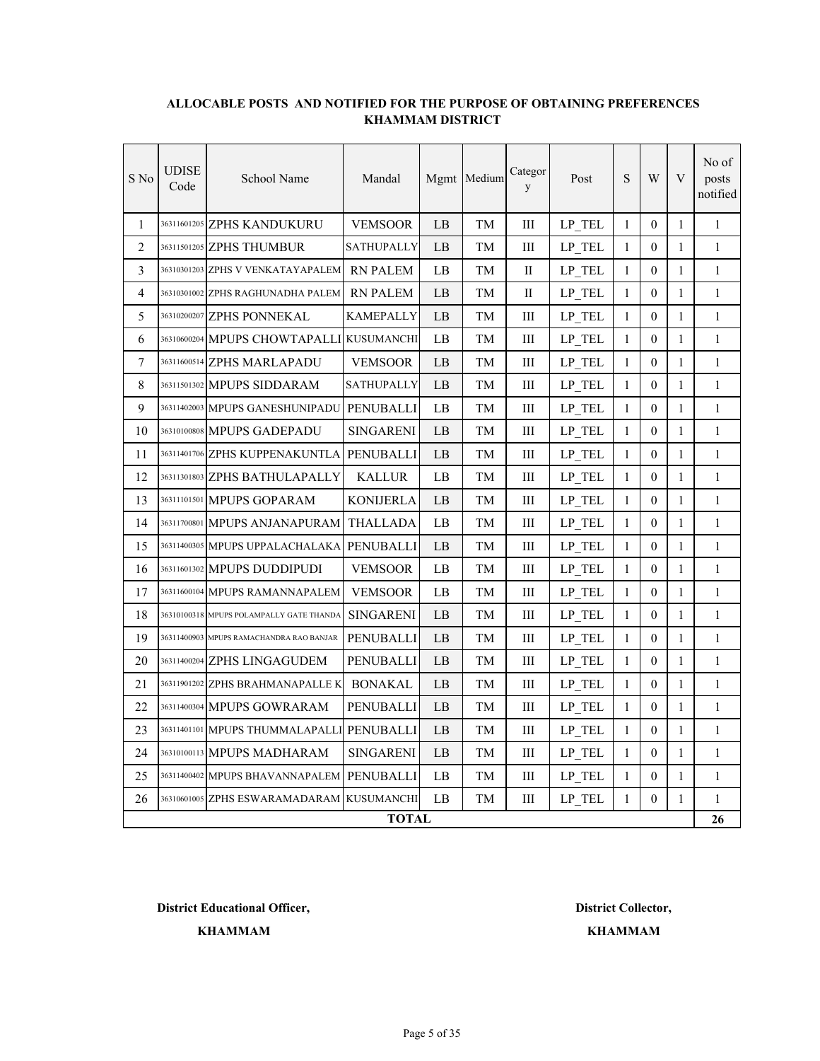| S No           | <b>UDISE</b><br>Code | School Name                               | Mandal            |    | Mgmt Medium | Categor<br>y | Post      | S            | W                | V            | No of<br>posts<br>notified |
|----------------|----------------------|-------------------------------------------|-------------------|----|-------------|--------------|-----------|--------------|------------------|--------------|----------------------------|
| $\mathbf{1}$   |                      | 36311601205 ZPHS KANDUKURU                | <b>VEMSOOR</b>    | LB | TM          | Ш            | LP TEL    | $\mathbf{1}$ | $\theta$         | 1            | 1                          |
| $\overline{2}$ |                      | 36311501205 ZPHS THUMBUR                  | SATHUPALLY        | LB | TM          | Ш            | LP TEL    | 1            | $\theta$         | $\mathbf{1}$ | 1                          |
| 3              |                      | 36310301203 ZPHS V VENKATAYAPALEM         | <b>RN PALEM</b>   | LB | TМ          | П            | LP TEL    | $\mathbf{1}$ | $\theta$         | 1            | $\mathbf{1}$               |
| 4              |                      | 36310301002 ZPHS RAGHUNADHA PALEM         | <b>RN PALEM</b>   | LB | TM          | H            | LP TEL    | 1            | $\theta$         | 1            | 1                          |
| 5              |                      | 36310200207 ZPHS PONNEKAL                 | <b>KAMEPALLY</b>  | LB | TM          | Ш            | LP TEL    | $\mathbf{1}$ | $\mathbf{0}$     | 1            | $\mathbf{1}$               |
| 6              |                      | 36310600204 MPUPS CHOWTAPALLI KUSUMANCHI  |                   | LB | TM          | Ш            | LP TEL    | $\mathbf{1}$ | $\mathbf{0}$     | 1            | $\mathbf{1}$               |
| 7              |                      | 36311600514 ZPHS MARLAPADU                | <b>VEMSOOR</b>    | LB | TM          | Ш            | $LP_$ TEL | $\mathbf{1}$ | $\theta$         | 1            | $\mathbf{1}$               |
| 8              |                      | 36311501302 MPUPS SIDDARAM                | <b>SATHUPALLY</b> | LB | TM          | Ш            | LP TEL    | 1            | $\theta$         | 1            | $\mathbf{1}$               |
| 9              |                      | 36311402003 MPUPS GANESHUNIPADU PENUBALLI |                   | LB | TМ          | Ш            | LP TEL    | 1            | $\mathbf{0}$     | 1            | $\mathbf{1}$               |
| 10             |                      | 36310100808 MPUPS GADEPADU                | <b>SINGARENI</b>  | LB | TМ          | Ш            | LP TEL    | 1            | $\theta$         | 1            | 1                          |
| 11             |                      | 36311401706 ZPHS KUPPENAKUNTLA            | <b>PENUBALLI</b>  | LB | TМ          | Ш            | LP TEL    | $\mathbf{1}$ | $\theta$         | 1            | 1                          |
| 12             |                      | 36311301803 ZPHS BATHULAPALLY             | <b>KALLUR</b>     | LB | TМ          | Ш            | LP TEL    | $\mathbf{1}$ | $\theta$         | 1            | $\mathbf{1}$               |
| 13             |                      | 36311101501 MPUPS GOPARAM                 | KONIJERLA         | LB | TМ          | Ш            | LP TEL    | 1            | $\theta$         | 1            | $\mathbf{1}$               |
| 14             |                      | 36311700801 MPUPS ANJANAPURAM             | THALLADA          | LB | TМ          | Ш            | LP TEL    | $\mathbf{1}$ | $\mathbf{0}$     | 1            | $\mathbf{1}$               |
| 15             |                      | 36311400305 MPUPS UPPALACHALAKA           | PENUBALLI         | LB | TМ          | Ш            | LP TEL    | $\mathbf{1}$ | $\theta$         | 1            | $\mathbf{1}$               |
| 16             |                      | 36311601302 MPUPS DUDDIPUDI               | <b>VEMSOOR</b>    | LB | TM          | Ш            | LP TEL    | $\mathbf{1}$ | $\boldsymbol{0}$ | $\mathbf{1}$ | $\mathbf{1}$               |
| 17             |                      | 36311600104 MPUPS RAMANNAPALEM            | <b>VEMSOOR</b>    | LB | TМ          | Ш            | LP TEL    | $\mathbf{1}$ | $\mathbf{0}$     | 1            | $\mathbf{1}$               |
| 18             |                      | 36310100318 MPUPS POLAMPALLY GATE THANDA  | <b>SINGARENI</b>  | LB | TМ          | Ш            | LP TEL    | $\mathbf{1}$ | $\mathbf{0}$     | $\mathbf{1}$ | $\mathbf{1}$               |
| 19             |                      | 36311400903 MPUPS RAMACHANDRA RAO BANJAR  | PENUBALLI         | LB | TМ          | Ш            | LP TEL    | $\mathbf{1}$ | $\theta$         | 1            | $\mathbf{1}$               |
| 20             |                      | 36311400204 ZPHS LINGAGUDEM               | PENUBALLI         | LB | TM          | Ш            | LP TEL    | $\mathbf{1}$ | $\theta$         | $\mathbf{1}$ | $\mathbf{1}$               |
| 21             |                      | 36311901202 ZPHS BRAHMANAPALLE K          | <b>BONAKAL</b>    | LB | TM          | Ш            | LP TEL    | 1            | $\mathbf{0}$     | 1            | 1                          |
| 22             |                      | 36311400304 MPUPS GOWRARAM                | PENUBALLI         | LB | TM          | Ш            | $LP_$ TEL | $\mathbf{1}$ | $\mathbf{0}$     | 1            | $\mathbf{1}$               |
| 23             |                      | 36311401101 MPUPS THUMMALAPALL            | I PENUBALLI       | LB | TM          | Ш            | LP TEL    | 1            | $\theta$         | 1            | $\mathbf{1}$               |
| 24             |                      | 36310100113 MPUPS MADHARAM                | <b>SINGARENI</b>  | LB | TМ          | Ш            | LP TEL    | $\mathbf{1}$ | $\mathbf{0}$     | 1            | $\mathbf{1}$               |
| 25             |                      | 36311400402 MPUPS BHAVANNAPALEM           | PENUBALLI         | LB | TМ          | Ш            | LP TEL    | 1            | $\theta$         | 1            | $\mathbf{1}$               |
| 26             |                      | 36310601005 ZPHS ESWARAMADARAM KUSUMANCHI |                   | LB | TM          | Ш            | $LP_$ TEL | $\mathbf{1}$ | $\theta$         | 1            | 1                          |
|                |                      |                                           | <b>TOTAL</b>      |    |             |              |           |              |                  |              | 26                         |

**District Educational Officer, District Collector,**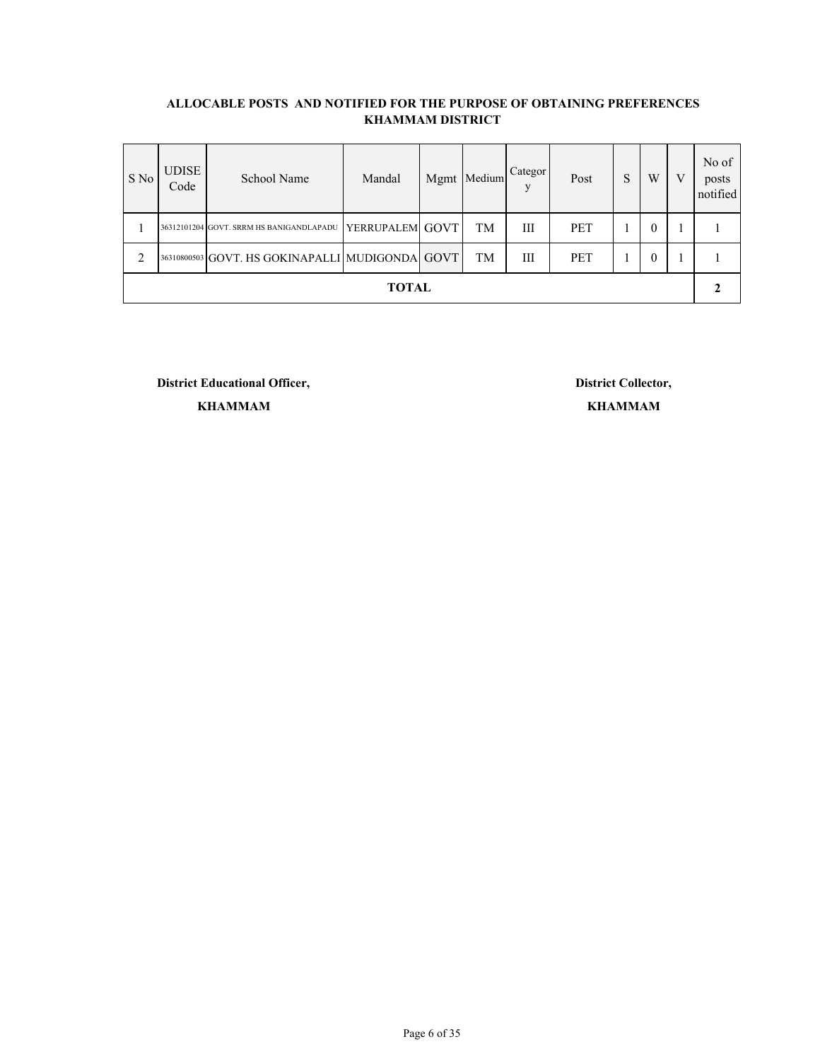| S No           | <b>UDISE</b><br>Code | School Name                                     | Mandal          |  | Mgmt Medium | Categor<br>V | Post       | ຕ<br>C | W            | V | No of<br>posts<br>notified |
|----------------|----------------------|-------------------------------------------------|-----------------|--|-------------|--------------|------------|--------|--------------|---|----------------------------|
|                |                      | 36312101204 GOVT. SRRM HS BANIGANDLAPADU        | YERRUPALEM GOVT |  | TM          | Ш            | <b>PET</b> |        | $\theta$     |   |                            |
| $\overline{2}$ |                      | 36310800503 GOVT. HS GOKINAPALLI MUDIGONDA GOVT |                 |  | TM          | Ш            | PET        |        | $\mathbf{0}$ |   |                            |
|                | <b>TOTAL</b>         |                                                 |                 |  |             |              |            |        |              |   |                            |

**District Educational Officer, District Collector, KHAMMAM**

**KHAMMAM**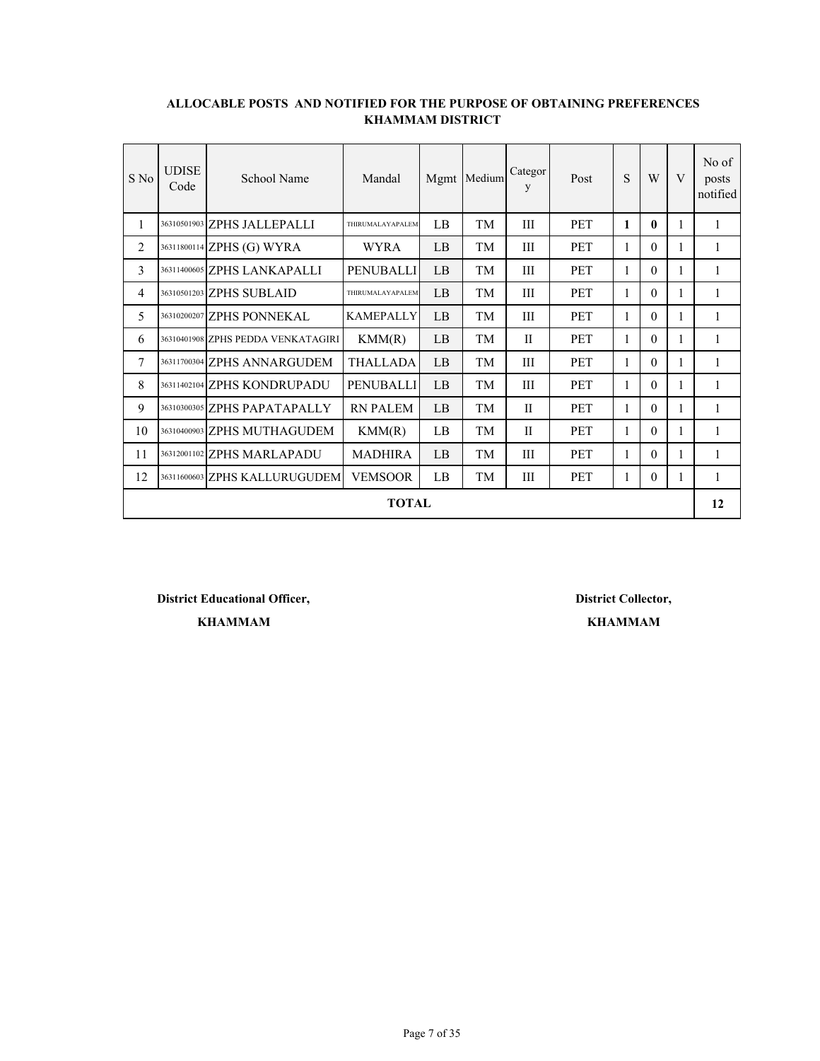| S No           | <b>UDISE</b><br>Code | School Name                        | Mandal           |    | Mgmt Medium | Categor<br>y | Post       | S            | W            | $\mathbf{V}$ | No of<br>posts<br>notified |
|----------------|----------------------|------------------------------------|------------------|----|-------------|--------------|------------|--------------|--------------|--------------|----------------------------|
| 1              |                      | 36310501903 ZPHS JALLEPALLI        | THIRUMALAYAPALEM | LB | TM          | III          | <b>PET</b> | $\mathbf{1}$ | $\mathbf{0}$ | 1            | 1                          |
| $\overline{c}$ |                      | 36311800114 ZPHS (G) WYRA          | <b>WYRA</b>      | LB | TM          | III          | <b>PET</b> | 1            | $\theta$     |              | 1                          |
| 3              |                      | 36311400605 ZPHS LANKAPALLI        | <b>PENUBALLI</b> | LB | TM          | Ш            | <b>PET</b> | 1            | $\Omega$     | 1            | 1                          |
| 4              |                      | 36310501203 ZPHS SUBLAID           | THIRUMALAYAPALEM | LB | TM          | III          | <b>PET</b> | 1            | $\theta$     | 1            | 1                          |
| 5              |                      | 36310200207 ZPHS PONNEKAL          | <b>KAMEPALLY</b> | LB | TM          | Ш            | <b>PET</b> | 1            | $\Omega$     | 1            | 1                          |
| 6              |                      | 36310401908 ZPHS PEDDA VENKATAGIRI | KMM(R)           | LB | TM          | $\mathbf{H}$ | <b>PET</b> | 1            | $\Omega$     |              | 1                          |
| 7              |                      | 36311700304 ZPHS ANNARGUDEM        | <b>THALLADA</b>  | LB | TM          | Ш            | PET        | 1            | $\Omega$     | 1            | 1                          |
| 8              |                      | 36311402104 ZPHS KONDRUPADU        | <b>PENUBALLI</b> | LB | TM          | Ш            | <b>PET</b> | 1            | $\Omega$     | 1            | 1                          |
| 9              |                      | 36310300305 ZPHS PAPATAPALLY       | <b>RN PALEM</b>  | LB | TM          | $\mathbf{I}$ | <b>PET</b> | 1            | $\Omega$     | 1            | 1                          |
| 10             |                      | 36310400903 ZPHS MUTHAGUDEM        | KMM(R)           | LB | TM          | $\mathbf{I}$ | <b>PET</b> | 1            | $\Omega$     | 1            | 1                          |
| 11             |                      | 36312001102 ZPHS MARLAPADU         | <b>MADHIRA</b>   | LB | TM          | Ш            | <b>PET</b> | 1            | $\Omega$     | 1            | 1                          |
| 12             |                      | 36311600603 ZPHS KALLURUGUDEM      | <b>VEMSOOR</b>   | LB | TM          | Ш            | <b>PET</b> | 1            | $\theta$     |              | 1                          |
|                |                      |                                    | <b>TOTAL</b>     |    |             |              |            |              |              |              | 12                         |

**District Educational Officer, District Collector,**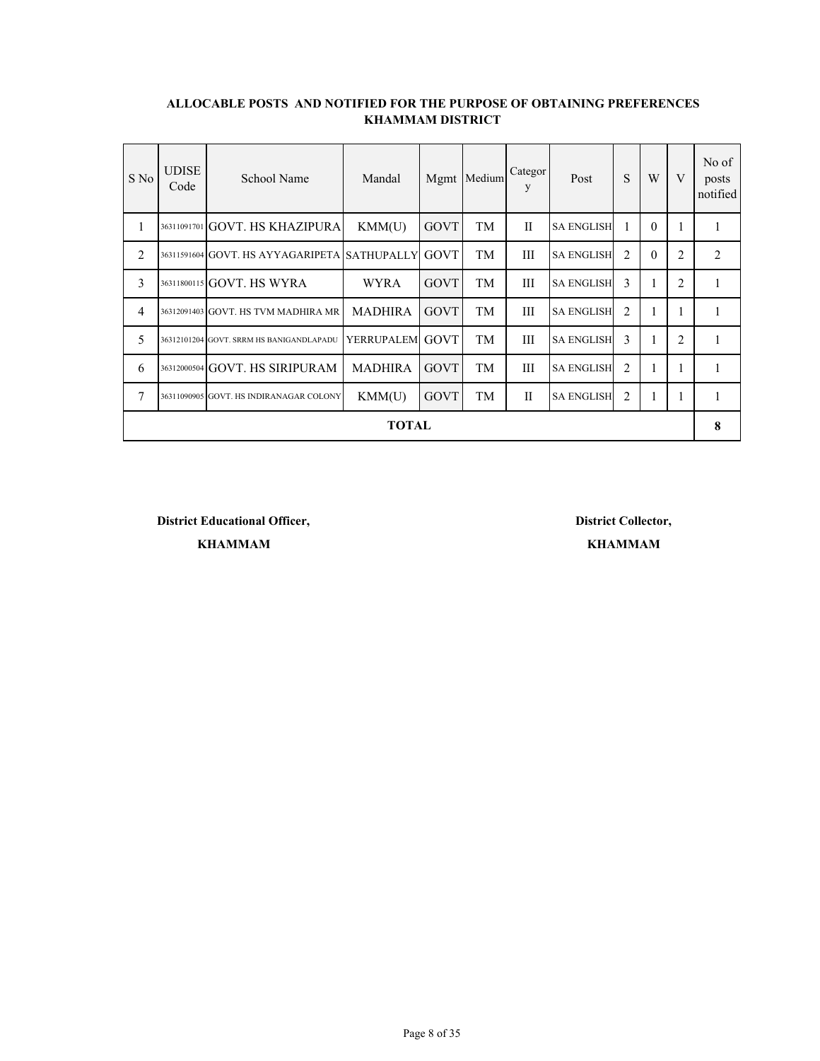| S No           | <b>UDISE</b><br>Code | School Name                                  | Mandal          |             | Mgmt Medium | Categor<br>y | Post              | S | W            | V              | No of<br>posts<br>notified |
|----------------|----------------------|----------------------------------------------|-----------------|-------------|-------------|--------------|-------------------|---|--------------|----------------|----------------------------|
| 1              |                      | 36311091701 GOVT. HS KHAZIPURA               | KMM(U)          | GOVT        | TM          | $\mathbf{I}$ | <b>SA ENGLISH</b> |   | $\theta$     |                |                            |
| $\overline{2}$ |                      | 36311591604 GOVT. HS AYYAGARIPETA SATHUPALLY |                 | GOVT        | TM          | III          | <b>SA ENGLISH</b> | 2 | $\theta$     | $\overline{2}$ | 2                          |
| 3              |                      | 36311800115 GOVT. HS WYRA                    | <b>WYRA</b>     | <b>GOVT</b> | TM          | III          | <b>SA ENGLISH</b> | 3 | 1            | 2              |                            |
| $\overline{4}$ |                      | 36312091403 GOVT. HS TVM MADHIRA MR          | <b>MADHIRA</b>  | GOVT        | TM          | III          | <b>SA ENGLISH</b> | 2 |              |                |                            |
| 5              |                      | 36312101204 GOVT. SRRM HS BANIGANDLAPADU     | YERRUPALEM GOVT |             | TM          | Ш            | <b>SA ENGLISH</b> | 3 | 1            | 2              |                            |
| 6              |                      | 36312000504 GOVT. HS SIRIPURAM               | <b>MADHIRA</b>  | <b>GOVT</b> | TM          | Ш            | <b>SA ENGLISH</b> | 2 |              |                |                            |
| $\overline{7}$ |                      | 36311090905 GOVT. HS INDIRANAGAR COLONY      | KMM(U)          | <b>GOVT</b> | TM          | $\mathbf{I}$ | <b>SA ENGLISH</b> | 2 | $\mathbf{I}$ |                |                            |
| TOTAL          |                      |                                              |                 |             |             |              |                   |   |              |                |                            |

**District Educational Officer, District Collector,**

**KHAMMAM KHAMMAM**

Page 8 of 35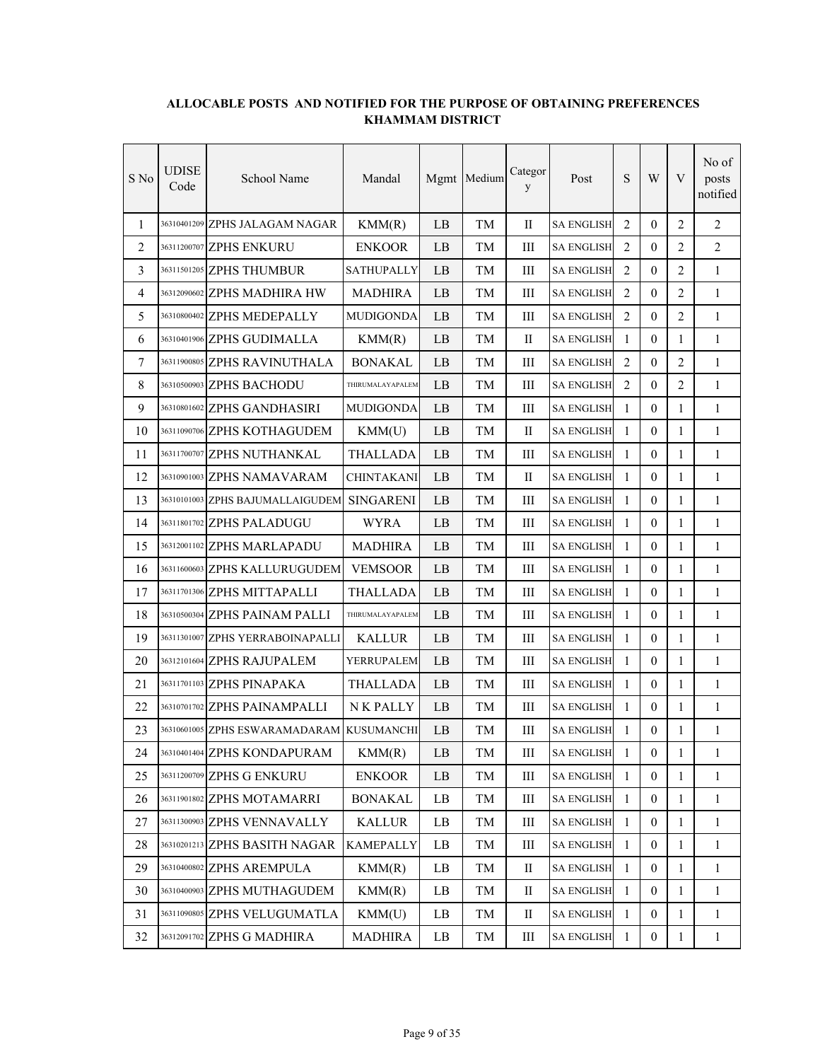| S No | UDISE<br>Code | School Name                                | Mandal            |                        | Mgmt Medium | Categor<br>y | Post              | ${\bf S}$      | W                | V            | No of<br>posts<br>notified |
|------|---------------|--------------------------------------------|-------------------|------------------------|-------------|--------------|-------------------|----------------|------------------|--------------|----------------------------|
| 1    |               | 36310401209 ZPHS JALAGAM NAGAR             | KMM(R)            | LB                     | TМ          | $\mathbf{I}$ | <b>SA ENGLISH</b> | 2              | $\theta$         | 2            | 2                          |
| 2    |               | 36311200707 ZPHS ENKURU                    | <b>ENKOOR</b>     | LB                     | TМ          | Ш            | <b>SA ENGLISH</b> | 2              | $\overline{0}$   | 2            | 2                          |
| 3    |               | 36311501205 ZPHS THUMBUR                   | <b>SATHUPALLY</b> | LB                     | TМ          | Ш            | SA ENGLISH        | 2              | $\theta$         | 2            | 1                          |
| 4    |               | 36312090602 ZPHS MADHIRA HW                | <b>MADHIRA</b>    | LB                     | TМ          | Ш            | <b>SA ENGLISH</b> | $\overline{2}$ | $\theta$         | 2            | $\mathbf{1}$               |
| 5    |               | 36310800402 ZPHS MEDEPALLY                 | <b>MUDIGONDA</b>  | LB                     | TМ          | III          | <b>SA ENGLISH</b> | 2              | $\theta$         | 2            | $\mathbf{1}$               |
| 6    |               | 36310401906 ZPHS GUDIMALLA                 | KMM(R)            | LB                     | TM          | $\mathbf{I}$ | <b>SA ENGLISH</b> | $\mathbf{1}$   | $\theta$         | $\mathbf{1}$ | $\mathbf{1}$               |
| 7    |               | 36311900805 ZPHS RAVINUTHALA               | <b>BONAKAL</b>    | LB                     | TМ          | III          | <b>SA ENGLISH</b> | 2              | $\Omega$         | 2            | $\mathbf{1}$               |
| 8    |               | 36310500903 ZPHS BACHODU                   | THIRUMALAYAPALEM  | LB                     | TМ          | III          | <b>SA ENGLISH</b> | 2              | $\Omega$         | 2            | $\mathbf{1}$               |
| 9    |               | 36310801602 ZPHS GANDHASIRI                | <b>MUDIGONDA</b>  | LB                     | TM          | Ш            | <b>SA ENGLISH</b> | 1              | $\overline{0}$   | 1            | 1                          |
| 10   |               | 36311090706 ZPHS KOTHAGUDEM                | KMM(U)            | LB                     | TМ          | П            | <b>SA ENGLISH</b> | $\mathbf{1}$   | $\mathbf{0}$     | 1            | 1                          |
| 11   |               | 36311700707 ZPHS NUTHANKAL                 | THALLADA          | LB                     | TM          | III          | <b>SA ENGLISH</b> | $\mathbf{1}$   | $\theta$         | 1            | $\mathbf{1}$               |
| 12   |               | 36310901003 ZPHS NAMAVARAM                 | <b>CHINTAKANI</b> | LB                     | TМ          | $\mathbf{I}$ | <b>SA ENGLISH</b> | 1              | $\theta$         | 1            | $\mathbf{1}$               |
| 13   |               | 36310101003 ZPHS BAJUMALLAIGUDEM SINGARENI |                   | LB                     | TM          | III          | <b>SA ENGLISH</b> | $\mathbf{1}$   | $\mathbf{0}$     | $\mathbf{1}$ | $\mathbf{1}$               |
| 14   |               | 36311801702 ZPHS PALADUGU                  | <b>WYRA</b>       | LB                     | TМ          | III          | <b>SA ENGLISH</b> | $\mathbf{1}$   | $\mathbf{0}$     | $\mathbf{1}$ | $\mathbf{1}$               |
| 15   |               | 36312001102 ZPHS MARLAPADU                 | <b>MADHIRA</b>    | LB                     | TM          | III          | <b>SA ENGLISH</b> | $\mathbf{1}$   | $\mathbf{0}$     | $\mathbf{1}$ | $\mathbf{1}$               |
| 16   |               | 36311600603 ZPHS KALLURUGUDEM              | <b>VEMSOOR</b>    | LB                     | TM          | III          | <b>SA ENGLISH</b> | $\mathbf{1}$   | $\mathbf{0}$     | 1            | $\mathbf{1}$               |
| 17   |               | 36311701306 ZPHS MITTAPALLI                | <b>THALLADA</b>   | LB                     | TМ          | Ш            | <b>SA ENGLISH</b> | $\mathbf{1}$   | $\Omega$         | 1            | 1                          |
| 18   | 36310500304   | ZPHS PAINAM PALLI                          | THIRUMALAYAPALEM  | LB                     | TМ          | III          | <b>SA ENGLISH</b> | $\mathbf{1}$   | $\theta$         | 1            | $\mathbf{1}$               |
| 19   |               | 36311301007 ZPHS YERRABOINAPALLI           | <b>KALLUR</b>     | LB                     | TМ          | Ш            | <b>SA ENGLISH</b> | $\mathbf{1}$   | $\theta$         | 1            | 1                          |
| 20   |               | 36312101604 ZPHS RAJUPALEM                 | YERRUPALEM        | LB                     | TM          | III          | <b>SA ENGLISH</b> | $\mathbf{1}$   | $\mathbf{0}$     | $\mathbf{1}$ | $\mathbf{1}$               |
| 21   |               | 36311701103 ZPHS PINAPAKA                  | THALLADA          | LB                     | TМ          | III          | <b>SA ENGLISH</b> | $\mathbf{1}$   | $\theta$         | $\mathbf{1}$ | $\mathbf{1}$               |
| 22   |               | 36310701702 ZPHS PAINAMPALLI               | N K PALLY         | LB                     | TM          | Ш            | <b>SA ENGLISH</b> | $\mathbf{1}$   | $\mathbf{0}$     | $\mathbf{1}$ | $\mathbf{1}$               |
| 23   |               | 36310601005 ZPHS ESWARAMADARAM             | <b>KUSUMANCHI</b> | LB                     | TM          | Ш            | <b>SA ENGLISH</b> | 1              | $\boldsymbol{0}$ | 1            | $\mathbf{1}$               |
| 24   |               | 36310401404 ZPHS KONDAPURAM                | KMM(R)            | LB                     | TM          | Ш            | <b>SA ENGLISH</b> | 1              | $\boldsymbol{0}$ | 1            | 1                          |
| 25   |               | 36311200709 ZPHS G ENKURU                  | <b>ENKOOR</b>     | $\rm LB$               | TM          | Ш            | <b>SA ENGLISH</b> | $\mathbf{1}$   | $\mathbf{0}$     | 1            | $\mathbf{1}$               |
| 26   |               | 36311901802 ZPHS MOTAMARRI                 | <b>BONAKAL</b>    | LB                     | TM          | Ш            | <b>SA ENGLISH</b> | $\mathbf{1}$   | $\boldsymbol{0}$ | 1            | 1                          |
| 27   |               | 36311300903 ZPHS VENNAVALLY                | <b>KALLUR</b>     | $\mathbf{L}\mathbf{B}$ | TM          | Ш            | <b>SA ENGLISH</b> | $\mathbf{1}$   | $\boldsymbol{0}$ | $\mathbf{1}$ | $\mathbf{1}$               |
| 28   |               | 36310201213 ZPHS BASITH NAGAR              | <b>KAMEPALLY</b>  | LB                     | TM          | Ш            | <b>SA ENGLISH</b> | $\mathbf{1}$   | $\mathbf{0}$     | $\mathbf{1}$ | $\mathbf{1}$               |
| 29   |               | 36310400802 ZPHS AREMPULA                  | KMM(R)            | LB                     | TM          | П            | <b>SA ENGLISH</b> | $\mathbf{1}$   | $\boldsymbol{0}$ | 1            | $\mathbf{1}$               |
| 30   |               | 36310400903 ZPHS MUTHAGUDEM                | KMM(R)            | LB                     | TM          | $\rm _{II}$  | <b>SA ENGLISH</b> | $\mathbf{1}$   | $\boldsymbol{0}$ | $\mathbf{1}$ | $\mathbf{1}$               |
| 31   |               | 36311090805 ZPHS VELUGUMATLA               | KMM(U)            | LB                     | TM          | П            | <b>SA ENGLISH</b> | 1              | $\mathbf{0}$     | 1            | $\mathbf{1}$               |
| 32   |               | 36312091702 ZPHS G MADHIRA                 | <b>MADHIRA</b>    | LB                     | TM          | Ш            | <b>SA ENGLISH</b> | $\mathbf{1}$   | $\boldsymbol{0}$ | $\mathbf{1}$ | $\mathbf{1}$               |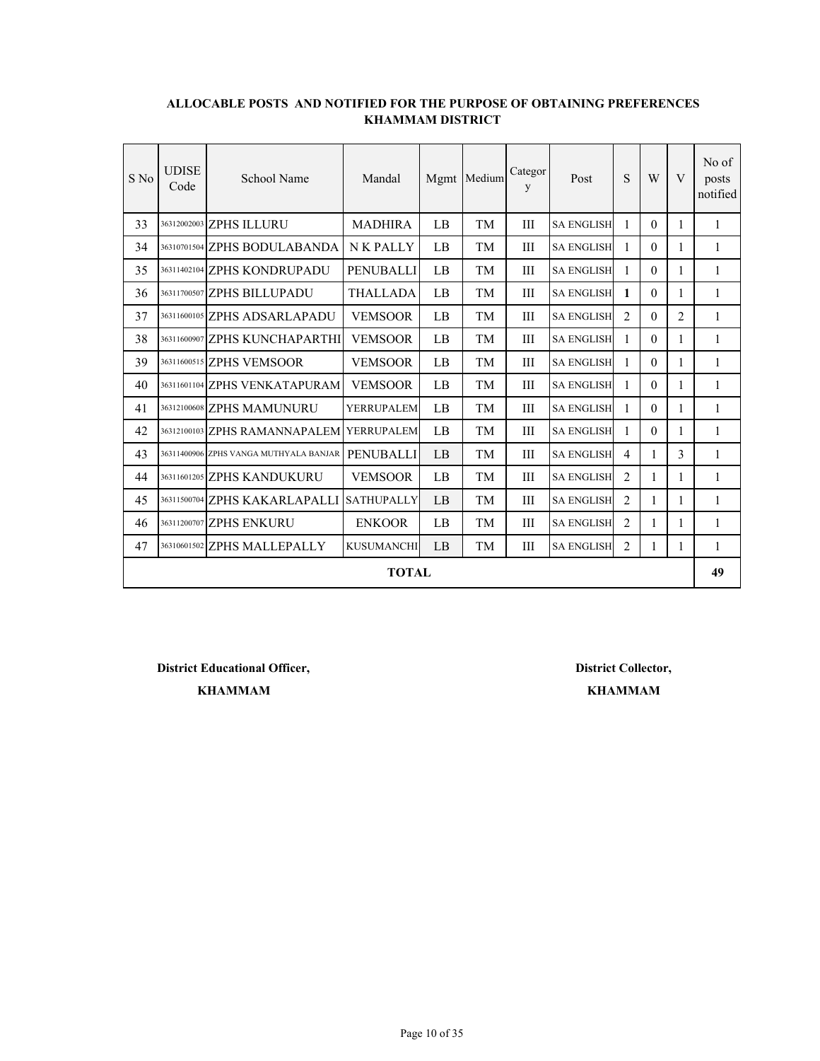| S No | <b>UDISE</b><br>Code | School Name                            | Mandal            |    | Mgmt Medium | Categor<br>y | Post              | S              | W        | V              | No of<br>posts<br>notified |
|------|----------------------|----------------------------------------|-------------------|----|-------------|--------------|-------------------|----------------|----------|----------------|----------------------------|
| 33   |                      | 36312002003 ZPHS ILLURU                | <b>MADHIRA</b>    | LB | TM          | Ш            | <b>SA ENGLISH</b> | 1              | 0        | 1              | 1                          |
| 34   |                      | 36310701504 ZPHS BODULABANDA           | <b>NK PALLY</b>   | LB | TМ          | Ш            | <b>SA ENGLISH</b> | 1              | $\Omega$ | 1              | 1                          |
| 35   |                      | 36311402104 ZPHS KONDRUPADU            | <b>PENUBALLI</b>  | LB | TМ          | Ш            | <b>SA ENGLISH</b> | 1              | $\theta$ | 1              | 1                          |
| 36   |                      | 36311700507 ZPHS BILLUPADU             | <b>THALLADA</b>   | LB | TM          | III          | <b>SA ENGLISH</b> | 1              | $\theta$ | 1              | 1                          |
| 37   |                      | 36311600105 ZPHS ADSARLAPADU           | <b>VEMSOOR</b>    | LB | TM          | Ш            | <b>SA ENGLISH</b> | 2              | $\theta$ | $\overline{2}$ | 1                          |
| 38   |                      | 36311600907 ZPHS KUNCHAPARTHI          | <b>VEMSOOR</b>    | LB | TM          | Ш            | <b>SA ENGLISH</b> | 1              | $\theta$ | 1              | 1                          |
| 39   |                      | 36311600515 ZPHS VEMSOOR               | <b>VEMSOOR</b>    | LB | TМ          | Ш            | <b>SA ENGLISH</b> | 1              | $\Omega$ | 1              | 1                          |
| 40   |                      | 36311601104 ZPHS VENKATAPURAM          | <b>VEMSOOR</b>    | LB | TM          | Ш            | <b>SA ENGLISH</b> | 1              | $\Omega$ | 1              | 1                          |
| 41   |                      | 36312100608 ZPHS MAMUNURU              | <b>YERRUPALEM</b> | LB | TМ          | Ш            | <b>SA ENGLISH</b> | 1              | $\theta$ | 1              | 1                          |
| 42   |                      | 36312100103 ZPHS RAMANNAPALEM          | YERRUPALEM        | LB | TM          | Ш            | <b>SA ENGLISH</b> | 1              | $\theta$ | 1              | 1                          |
| 43   |                      | 36311400906 ZPHS VANGA MUTHYALA BANJAR | <b>PENUBALLI</b>  | LB | TM          | III          | <b>SA ENGLISH</b> | $\overline{4}$ | 1        | 3              | 1                          |
| 44   |                      | 36311601205 ZPHS KANDUKURU             | <b>VEMSOOR</b>    | LB | TM          | III          | <b>SA ENGLISH</b> | $\mathfrak{D}$ | 1        | 1              | $\mathbf{1}$               |
| 45   |                      | 36311500704 ZPHS KAKARLAPALLI          | <b>SATHUPALLY</b> | LB | TM          | III          | <b>SA ENGLISH</b> | $\mathfrak{D}$ | 1        | 1              | 1                          |
| 46   |                      | 36311200707 ZPHS ENKURU                | <b>ENKOOR</b>     | LB | TM          | Ш            | <b>SA ENGLISH</b> | $\overline{2}$ | 1        | 1              | 1                          |
| 47   |                      | 36310601502 ZPHS MALLEPALLY            | <b>KUSUMANCHI</b> | LB | TМ          | Ш            | <b>SA ENGLISH</b> | 2              | 1        | 1              | 1                          |
|      |                      |                                        | <b>TOTAL</b>      |    |             |              |                   |                |          |                | 49                         |

**District Educational Officer, District Collector,**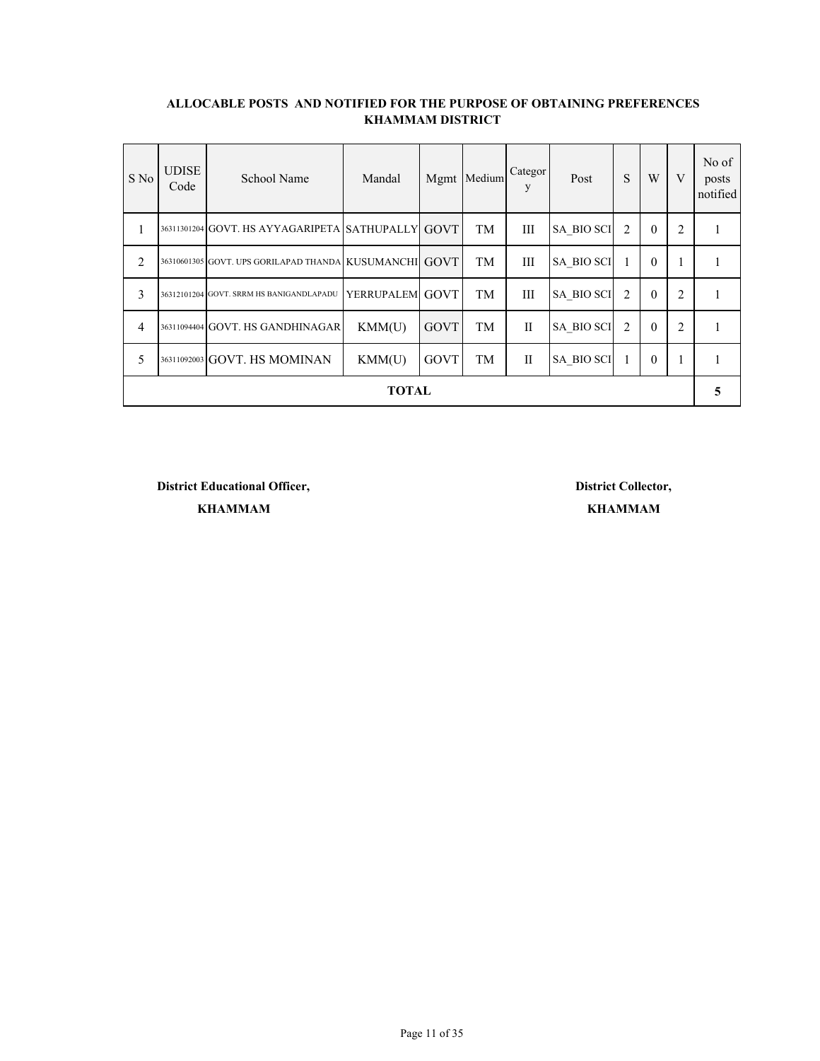| S No           | <b>UDISE</b><br>Code | School Name                                            | Mandal          |             | Mgmt Medium | Categor<br>V | Post              | S              | W            | V              | No of<br>posts<br>notified |
|----------------|----------------------|--------------------------------------------------------|-----------------|-------------|-------------|--------------|-------------------|----------------|--------------|----------------|----------------------------|
| 1              |                      | 36311301204 GOVT. HS AYYAGARIPETA SATHUPALLY GOVT      |                 |             | TM          | Ш            | <b>SA BIO SCI</b> | 2              | $\theta$     | 2              |                            |
| $\overline{2}$ |                      | 36310601305 GOVT. UPS GORILAPAD THANDA KUSUMANCHI GOVT |                 |             | TM          | Ш            | <b>SA BIO SCI</b> |                | $\theta$     |                |                            |
| 3              |                      | 36312101204 GOVT. SRRM HS BANIGANDLAPADU               | YERRUPALEM GOVT |             | TM          | Ш            | <b>SA BIO SCI</b> | $\overline{2}$ | $\theta$     | $\overline{2}$ |                            |
| $\overline{4}$ |                      | 36311094404 GOVT. HS GANDHINAGAR                       | KMM(U)          | <b>GOVT</b> | TM          | H            | <b>SA BIO SCI</b> | $\overline{c}$ | $\theta$     | 2              |                            |
| 5              |                      | 36311092003 GOVT. HS MOMINAN                           | KMM(U)          | <b>GOVT</b> | TM          | П            | <b>SA_BIO SCI</b> |                | $\mathbf{0}$ | $\mathbf{1}$   |                            |
| <b>TOTAL</b>   |                      |                                                        |                 |             |             |              |                   |                |              |                | 5                          |

**District Educational Officer, District Collector,**

**KHAMMAM KHAMMAM**

Page 11 of 35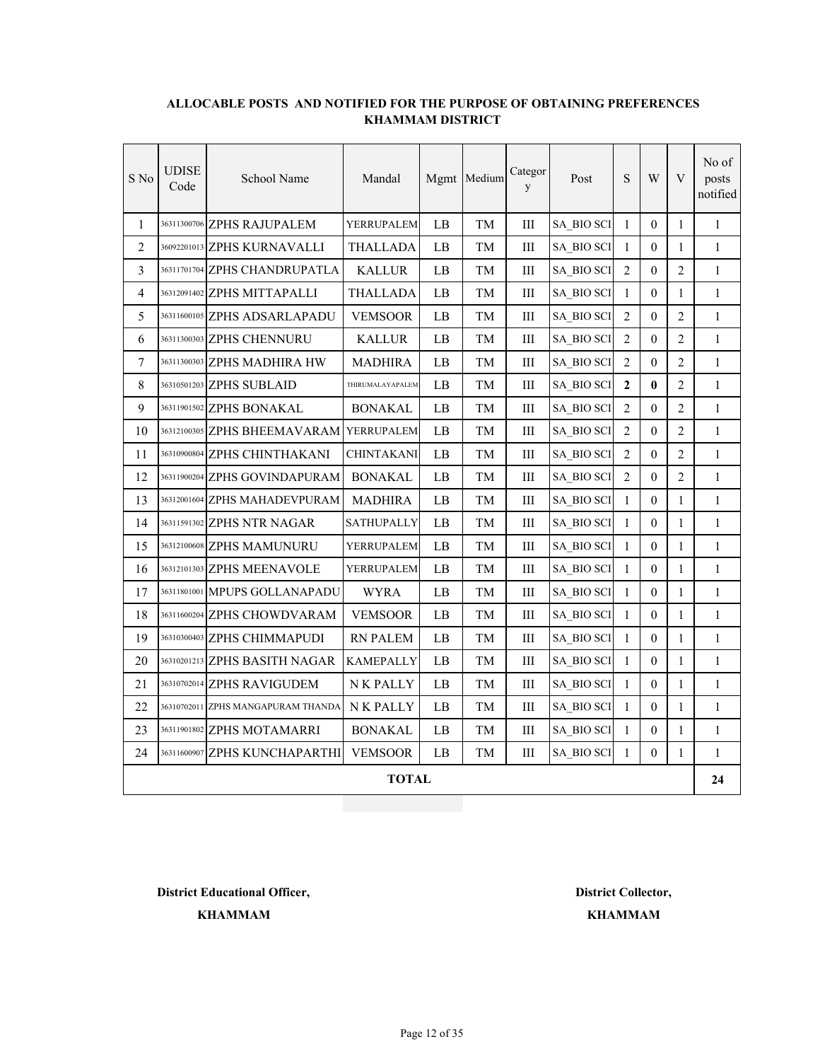| S No           | <b>UDISE</b><br>Code | School Name                             | Mandal            |    | Mgmt Medium | Categor<br>y | Post       | ${\bf S}$      | W                | V              | No of<br>posts<br>notified |
|----------------|----------------------|-----------------------------------------|-------------------|----|-------------|--------------|------------|----------------|------------------|----------------|----------------------------|
| $\mathbf{1}$   |                      | 36311300706 ZPHS RAJUPALEM              | YERRUPALEM        | LB | TM          | $\rm III$    | SA_BIO SCI | $\mathbf{1}$   | $\overline{0}$   | 1              | $\mathbf{1}$               |
| $\overline{2}$ |                      | 36092201013 ZPHS KURNAVALLI             | <b>THALLADA</b>   | LB | TM          | Ш            | SA BIO SCI | $\mathbf{1}$   | $\boldsymbol{0}$ | 1              | $\mathbf{1}$               |
| 3              |                      | 36311701704 ZPHS CHANDRUPATLA           | <b>KALLUR</b>     | LB | TM          | Ш            | SA BIO SCI | $\overline{2}$ | 0                | 2              | $\mathbf{1}$               |
| $\overline{4}$ |                      | 36312091402 ZPHS MITTAPALLI             | <b>THALLADA</b>   | LB | TМ          | Ш            | SA BIO SCI | $\mathbf{1}$   | 0                | 1              | $\mathbf{1}$               |
| 5              |                      | 36311600105 ZPHS ADSARLAPADU            | <b>VEMSOOR</b>    | LB | TM          | III          | SA BIO SCI | $\overline{2}$ | $\theta$         | $\overline{2}$ | $\mathbf{1}$               |
| 6              |                      | 36311300303 ZPHS CHENNURU               | <b>KALLUR</b>     | LB | TM          | Ш            | SA BIO SCI | $\overline{2}$ | 0                | $\overline{2}$ | $\mathbf{1}$               |
| 7              |                      | 36311300303 ZPHS MADHIRA HW             | <b>MADHIRA</b>    | LB | TM          | III          | SA_BIO SCI | $\overline{2}$ | $\theta$         | $\overline{2}$ | $\mathbf{1}$               |
| 8              |                      | 36310501203 ZPHS SUBLAID                | THIRUMALAYAPALEM  | LB | TM          | $\rm III$    | SA_BIO SCI | $\mathbf{2}$   | $\bf{0}$         | $\overline{2}$ | $\mathbf{1}$               |
| 9              |                      | 36311901502 ZPHS BONAKAL                | <b>BONAKAL</b>    | LB | TM          | Ш            | SA BIO SCI | $\overline{2}$ | 0                | $\overline{2}$ | 1                          |
| 10             |                      | 36312100305 ZPHS BHEEMAVARAM YERRUPALEM |                   | LB | TМ          | Ш            | SA BIO SCI | 2              | 0                | 2              | $\mathbf{1}$               |
| 11             |                      | 36310900804 ZPHS CHINTHAKANI            | <b>CHINTAKANI</b> | LB | TM          | Ш            | SA BIO SCI | $\overline{2}$ | 0                | $\overline{2}$ | $\mathbf{1}$               |
| 12             |                      | 36311900204 ZPHS GOVINDAPURAM           | <b>BONAKAL</b>    | LВ | TM          | Ш            | SA BIO SCI | $\overline{2}$ | 0                | $\overline{2}$ | 1                          |
| 13             |                      | 36312001604 ZPHS MAHADEVPURAM           | <b>MADHIRA</b>    | LB | TM          | Ш            | SA BIO SCI | $\mathbf{1}$   | 0                | 1              | $\mathbf{1}$               |
| 14             |                      | 36311591302 ZPHS NTR NAGAR              | SATHUPALLY        | LB | TM          | III          | SA BIO SCI | $\mathbf{1}$   | $\theta$         | $\mathbf{1}$   | $\mathbf{1}$               |
| 15             |                      | 36312100608 ZPHS MAMUNURU               | YERRUPALEM        | LB | TM          | Ш            | SA BIO SCI | $\mathbf{1}$   | 0                | 1              | $\mathbf{1}$               |
| 16             |                      | 36312101303 ZPHS MEENAVOLE              | YERRUPALEM        | LB | TM          | $\rm III$    | SA_BIO SCI | $\mathbf{1}$   | $\overline{0}$   | 1              | $\mathbf{1}$               |
| 17             |                      | 36311801001 MPUPS GOLLANAPADU           | <b>WYRA</b>       | LB | TM          | $\rm III$    | SA BIO SCI | $\mathbf{1}$   | $\overline{0}$   | 1              | $\mathbf{1}$               |
| 18             |                      | 36311600204 ZPHS CHOWDVARAM             | <b>VEMSOOR</b>    | LB | TM          | Ш            | SA BIO SCI | $\mathbf{1}$   | 0                | 1              | 1                          |
| 19             |                      | 36310300403 ZPHS CHIMMAPUDI             | <b>RN PALEM</b>   | LB | TМ          | Ш            | SA_BIO SCI | $\mathbf{1}$   | $\theta$         | 1              | $\mathbf{1}$               |
| 20             |                      | 36310201213 ZPHS BASITH NAGAR           | <b>KAMEPALLY</b>  | LB | TM          | Ш            | SA BIO SCI | $\mathbf{1}$   | $\theta$         | $\mathbf{1}$   | $\mathbf{1}$               |
| 21             |                      | 36310702014 ZPHS RAVIGUDEM              | <b>NK PALLY</b>   | LВ | TM          | Ш            | SA BIO SCI | $\mathbf{1}$   | 0                | 1              | $\mathbf{1}$               |
| 22             |                      | 36310702011 ZPHS MANGAPURAM THANDA      | <b>NK PALLY</b>   | LB | TM          | Ш            | SA BIO SCI | $\mathbf{1}$   | $\theta$         | 1              | $\mathbf{1}$               |
| 23             |                      | 36311901802 ZPHS MOTAMARRI              | <b>BONAKAL</b>    | LB | TM          | $\rm III$    | SA_BIO SCI | $\mathbf{1}$   | $\overline{0}$   | 1              | $\mathbf{1}$               |
| 24             |                      | 36311600907 ZPHS KUNCHAPARTHI           | <b>VEMSOOR</b>    | LB | TM          | Ш            | SA BIO SCI | $\mathbf{1}$   | $\boldsymbol{0}$ | 1              | $\mathbf{1}$               |
|                |                      |                                         | <b>TOTAL</b>      |    |             |              |            |                |                  |                | 24                         |

**District Educational Officer, District Collector,**

**KHAMMAM**

**KHAMMAM**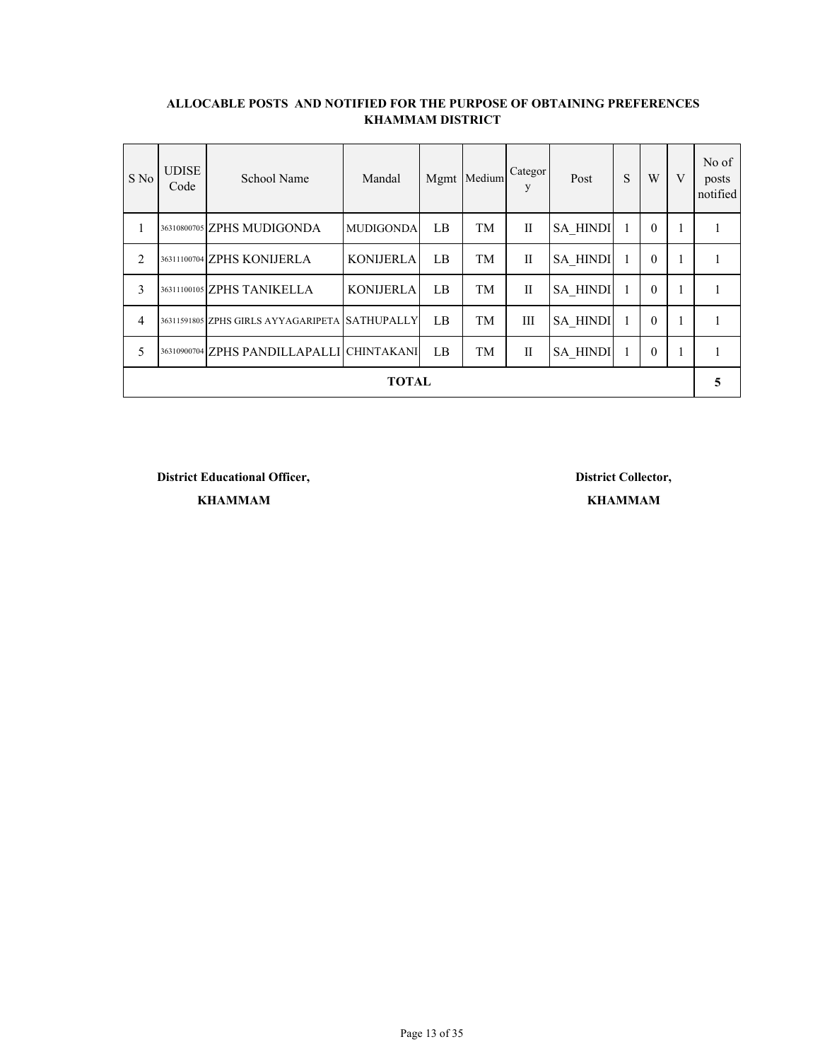| S No           | <b>UDISE</b><br>Code | School Name                                    | Mandal           | Mgmt | Medium | Categor<br>V | Post            | S | W        | V            | No of<br>posts<br>notified |
|----------------|----------------------|------------------------------------------------|------------------|------|--------|--------------|-----------------|---|----------|--------------|----------------------------|
| 1              |                      | 36310800705 ZPHS MUDIGONDA                     | <b>MUDIGONDA</b> | LB   | TM     | $\mathbf{I}$ | <b>SA HINDI</b> |   | $\theta$ |              |                            |
| $\overline{2}$ |                      | 36311100704 ZPHS KONIJERLA                     | <b>KONIJERLA</b> | LB   | TM     | H            | <b>SA HINDI</b> |   | $\theta$ | 1            |                            |
| 3              |                      | 36311100105 ZPHS TANIKELLA                     | <b>KONIJERLA</b> | LB   | TM     | $\mathbf{I}$ | <b>SA HINDI</b> |   | $\theta$ |              |                            |
| $\overline{4}$ |                      | 36311591805 ZPHS GIRLS AYYAGARIPETA SATHUPALLY |                  | LB   | TM     | Ш            | <b>SA HINDI</b> |   | $\theta$ | 1            |                            |
| 5              |                      | 36310900704 ZPHS PANDILLAPALLI CHINTAKANI      |                  | LB   | TM     | $\mathbf{I}$ | <b>SA HINDI</b> |   | $\theta$ | $\mathbf{1}$ |                            |
| <b>TOTAL</b>   |                      |                                                |                  |      |        |              |                 |   |          |              |                            |

**District Educational Officer, District Collector,**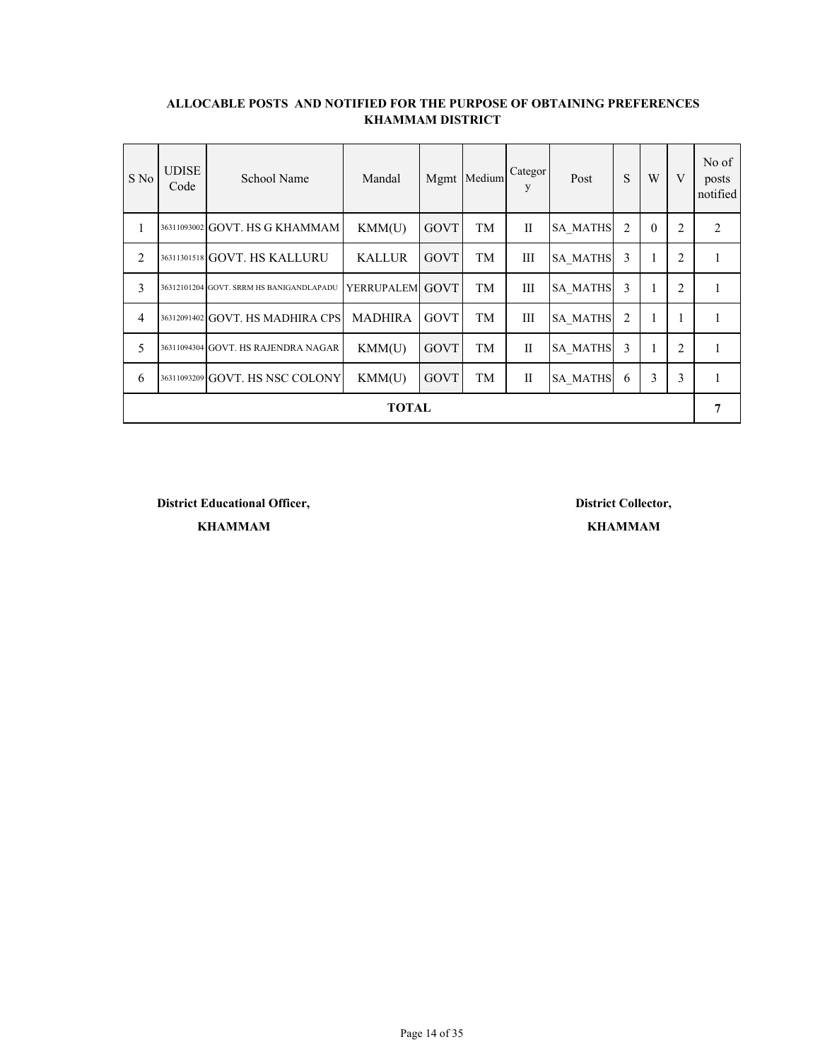| S No           | <b>UDISE</b><br>Code | School Name                              | Mandal          |             | Mgmt Medium | Categor<br>y | Post            | S | W        | V | No of<br>posts<br>notified |
|----------------|----------------------|------------------------------------------|-----------------|-------------|-------------|--------------|-----------------|---|----------|---|----------------------------|
| 1              |                      | 36311093002 GOVT. HS G KHAMMAM           | KMM(U)          | <b>GOVT</b> | TM          | $\mathbf{I}$ | <b>SA MATHS</b> | 2 | $\theta$ | 2 | 2                          |
| $\overline{2}$ |                      | 36311301518 GOVT. HS KALLURU             | <b>KALLUR</b>   | <b>GOVT</b> | TM          | Ш            | <b>SA MATHS</b> | 3 |          | 2 |                            |
| 3              |                      | 36312101204 GOVT. SRRM HS BANIGANDLAPADU | YERRUPALEM GOVT |             | TM          | Ш            | <b>SA MATHS</b> | 3 |          | 2 |                            |
| $\overline{4}$ |                      | 36312091402 GOVT. HS MADHIRA CPS         | <b>MADHIRA</b>  | GOVT        | TM          | Ш            | <b>SA MATHS</b> | 2 | 1        | 1 |                            |
| 5              |                      | 36311094304 GOVT. HS RAJENDRA NAGAR      | KMM(U)          | <b>GOVT</b> | TM          | $\mathbf{I}$ | <b>SA MATHS</b> | 3 |          | 2 |                            |
| 6              |                      | 36311093209 GOVT. HS NSC COLONY          | KMM(U)          | <b>GOVT</b> | TM          | $\mathbf{I}$ | <b>SA MATHS</b> | 6 | 3        | 3 |                            |
| <b>TOTAL</b>   |                      |                                          |                 |             |             |              |                 |   |          |   |                            |

**District Educational Officer, District Collector,**

**KHAMMAM**

**KHAMMAM**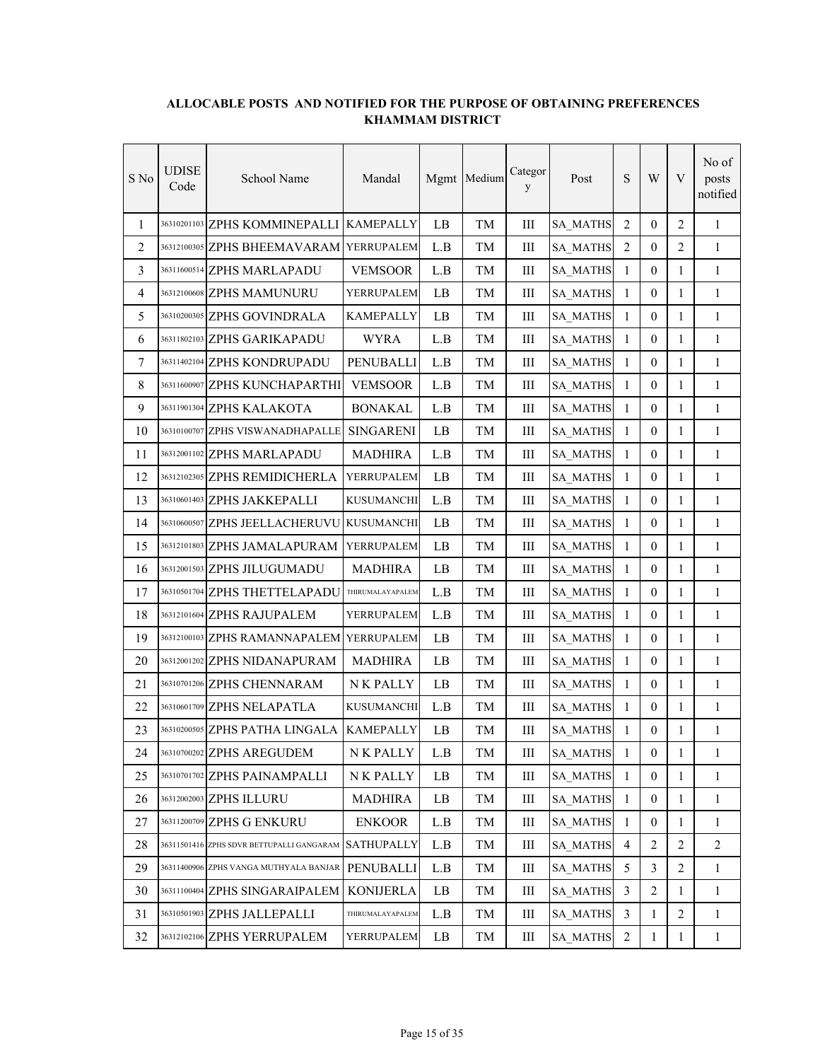| S No | <b>UDISE</b><br>Code | School Name                               | Mandal            |          | Mgmt Medium | Categor<br>y | Post            | ${\bf S}$      | W                | V              | No of<br>posts<br>notified |
|------|----------------------|-------------------------------------------|-------------------|----------|-------------|--------------|-----------------|----------------|------------------|----------------|----------------------------|
| 1    |                      | 36310201103 ZPHS KOMMINEPALLI             | <b>KAMEPALLY</b>  | LB       | TM          | Ш            | <b>SA_MATHS</b> | 2              | $\theta$         | 2              | $\mathbf{1}$               |
| 2    |                      | 36312100305 ZPHS BHEEMAVARAM              | YERRUPALEM        | L.B      | TM          | Ш            | <b>SA_MATHS</b> | $\overline{2}$ | $\mathbf{0}$     | 2              | $\mathbf{1}$               |
| 3    |                      | 36311600514 ZPHS MARLAPADU                | <b>VEMSOOR</b>    | L.B      | TМ          | Ш            | <b>SA MATHS</b> | 1              | $\overline{0}$   | 1              | 1                          |
| 4    |                      | 36312100608 ZPHS MAMUNURU                 | YERRUPALEM        | LB       | TM          | Ш            | SA_MATHS        | $\mathbf{1}$   | $\boldsymbol{0}$ | $\mathbf{1}$   | $\mathbf{1}$               |
| 5    |                      | 36310200305 ZPHS GOVINDRALA               | <b>KAMEPALLY</b>  | LB       | TM          | Ш            | <b>SA_MATHS</b> | 1              | $\boldsymbol{0}$ | $\mathbf{1}$   | $\mathbf{1}$               |
| 6    |                      | 36311802103 ZPHS GARIKAPADU               | <b>WYRA</b>       | L.B      | TM          | $\rm III$    | <b>SA MATHS</b> | $\mathbf{1}$   | $\boldsymbol{0}$ | $\mathbf{1}$   | $\mathbf{1}$               |
| 7    |                      | 36311402104 ZPHS KONDRUPADU               | PENUBALLI         | L.B      | TM          | Ш            | SA_MATHS        | $\mathbf{1}$   | $\mathbf{0}$     | $\mathbf{1}$   | $\mathbf{1}$               |
| 8    |                      | 36311600907 ZPHS KUNCHAPARTHI             | <b>VEMSOOR</b>    | L.B      | TM          | Ш            | SA_MATHS        | $\mathbf{1}$   | $\mathbf{0}$     | 1              | $\mathbf{1}$               |
| 9    |                      | 36311901304 ZPHS KALAKOTA                 | <b>BONAKAL</b>    | L.B      | TM          | Ш            | SA_MATHS        | $\mathbf{1}$   | $\mathbf{0}$     | 1              | $\mathbf{1}$               |
| 10   |                      | 36310100707 ZPHS VISWANADHAPALLE          | <b>SINGARENI</b>  | LB       | TM          | Ш            | SA_MATHS        | 1              | $\mathbf{0}$     | 1              | 1                          |
| 11   |                      | 36312001102 ZPHS MARLAPADU                | <b>MADHIRA</b>    | L.B      | TM          | Ш            | <b>SA MATHS</b> | $\mathbf{1}$   | $\mathbf{0}$     | 1              | $\mathbf{1}$               |
| 12   |                      | 36312102305 ZPHS REMIDICHERLA             | YERRUPALEM        | LB       | TM          | Ш            | SA_MATHS        | $\mathbf{1}$   | $\mathbf{0}$     | $\mathbf{1}$   | $\mathbf{1}$               |
| 13   |                      | 36310601403 ZPHS JAKKEPALLI               | <b>KUSUMANCHI</b> | L.B      | TM          | Ш            | SA_MATHS        | $\mathbf{1}$   | $\mathbf{0}$     | $\mathbf{1}$   | $\mathbf{1}$               |
| 14   |                      | 36310600507 ZPHS JEELLACHERUVU            | <b>KUSUMANCHI</b> | LB       | TМ          | Ш            | <b>SA_MATHS</b> | $\mathbf{1}$   | $\mathbf{0}$     | $\mathbf{1}$   | $\mathbf{1}$               |
| 15   |                      | 36312101803 ZPHS JAMALAPURAM              | YERRUPALEM        | LB       | TM          | Ш            | <b>SA_MATHS</b> | $\mathbf{1}$   | $\boldsymbol{0}$ | $\mathbf{1}$   | $\mathbf{1}$               |
| 16   |                      | 36312001503 ZPHS JILUGUMADU               | <b>MADHIRA</b>    | LB       | TM          | Ш            | SA_MATHS        | $\mathbf{1}$   | $\mathbf{0}$     | 1              | $\mathbf{1}$               |
| 17   |                      | 36310501704 ZPHS THETTELAPADU             | THIRUMALAYAPALEM  | L.B      | TM          | Ш            | SA_MATHS        | $\mathbf{1}$   | $\mathbf{0}$     | $\mathbf{1}$   | 1                          |
| 18   |                      | 36312101604 ZPHS RAJUPALEM                | YERRUPALEM        | L.B      | TM          | Ш            | SA_MATHS        | $\mathbf{1}$   | $\mathbf{0}$     | $\mathbf{1}$   | $\mathbf{1}$               |
| 19   |                      | 36312100103 ZPHS RAMANNAPALEM YERRUPALEM  |                   | LB       | TМ          | Ш            | <b>SA_MATHS</b> | $\mathbf{1}$   | $\mathbf{0}$     | 1              | $\mathbf{1}$               |
| 20   |                      | 36312001202 ZPHS NIDANAPURAM              | <b>MADHIRA</b>    | LB       | TM          | Ш            | SA_MATHS        | $\mathbf{1}$   | $\mathbf{0}$     | $\mathbf{1}$   | $\mathbf{1}$               |
| 21   |                      | 36310701206 ZPHS CHENNARAM                | N K PALLY         | LB       | TM          | $\rm III$    | <b>SA_MATHS</b> | $\mathbf{1}$   | $\mathbf{0}$     | $\mathbf{1}$   | $\mathbf{1}$               |
| 22   |                      | 36310601709 ZPHS NELAPATLA                | KUSUMANCHI        | L.B      | TM          | Ш            | SA_MATHS        | $\mathbf{1}$   | $\boldsymbol{0}$ | $\mathbf{1}$   | $\mathbf{1}$               |
| 23   |                      | 36310200505 ZPHS PATHA LINGALA            | <b>KAMEPALLY</b>  | LB       | TM          | $\rm III$    | <b>SA_MATHS</b> | $\mathbf{1}$   | $\boldsymbol{0}$ | 1              | $\mathbf{1}$               |
| 24   |                      | 36310700202 ZPHS AREGUDEM                 | N K PALLY         | L.B      | TM          | Ш            | <b>SA_MATHS</b> | 1              | $\boldsymbol{0}$ | 1              | 1                          |
| 25   |                      | 36310701702 ZPHS PAINAMPALLI              | N K PALLY         | $\rm LB$ | TM          | Ш            | <b>SA_MATHS</b> | $\mathbf{1}$   | $\mathbf{0}$     | $\mathbf{1}$   | $\mathbf{1}$               |
| 26   |                      | 36312002003 ZPHS ILLURU                   | <b>MADHIRA</b>    | LB       | TM          | Ш            | <b>SA MATHS</b> | $\mathbf{1}$   | $\boldsymbol{0}$ | 1              | $\mathbf{1}$               |
| 27   |                      | 36311200709 ZPHS G ENKURU                 | <b>ENKOOR</b>     | L.B      | TM          | Ш            | <b>SA MATHS</b> | $\mathbf{1}$   | $\boldsymbol{0}$ | $\mathbf{1}$   | $\mathbf{1}$               |
| 28   |                      | 36311501416 ZPHS SDVR BETTUPALLI GANGARAM | <b>SATHUPALLY</b> | L.B      | TM          | Ш            | SA_MATHS        | $\overline{4}$ | $\overline{2}$   | $\overline{2}$ | $\overline{2}$             |
| 29   |                      | 36311400906 ZPHS VANGA MUTHYALA BANJAR    | PENUBALLI         | L.B      | TM          | Ш            | SA_MATHS        | 5              | 3                | $\overline{2}$ | $\mathbf{1}$               |
| 30   |                      | 36311100404 ZPHS SINGARAIPALEM            | <b>KONIJERLA</b>  | LB       | TM          | Ш            | SA_MATHS        | 3              | $\sqrt{2}$       | 1              | $\mathbf{1}$               |
| 31   |                      | 36310501903 ZPHS JALLEPALLI               | THIRUMALAYAPALEM  | L.B      | TM          | Ш            | SA_MATHS        | 3              | 1                | 2              | $\mathbf{1}$               |
| 32   |                      | 36312102106 ZPHS YERRUPALEM               | YERRUPALEM        | LB       | TM          | Ш            | SA_MATHS        | $\overline{2}$ | $\mathbf{1}$     | 1              | $\mathbf{1}$               |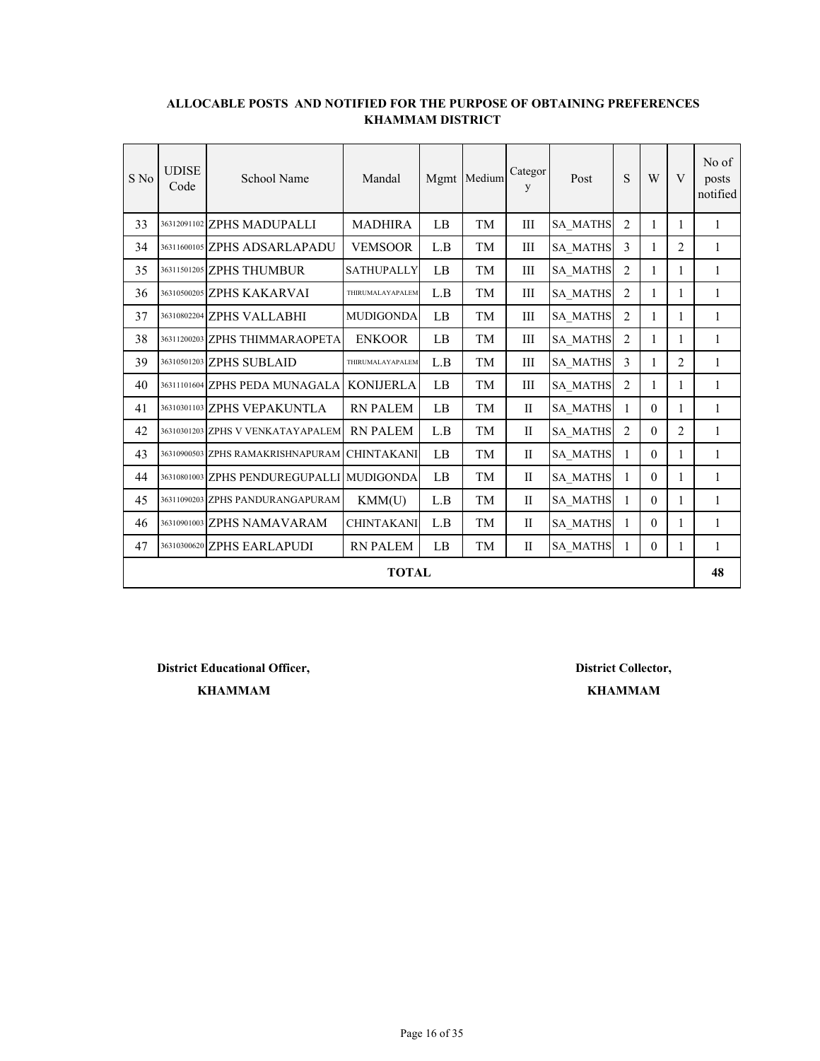| S No | <b>UDISE</b><br>Code | School Name                               | Mandal            |     | Mgmt Medium | Categor<br>y | Post            | S              | W            | V              | No of<br>posts<br>notified |
|------|----------------------|-------------------------------------------|-------------------|-----|-------------|--------------|-----------------|----------------|--------------|----------------|----------------------------|
| 33   |                      | 36312091102 ZPHS MADUPALLI                | <b>MADHIRA</b>    | LB  | TM          | III          | <b>SA MATHS</b> | $\overline{2}$ | 1            | 1              | 1                          |
| 34   |                      | 36311600105 ZPHS ADSARLAPADU              | <b>VEMSOOR</b>    | L.B | TМ          | Ш            | <b>SA MATHS</b> | 3              | 1            | 2              | 1                          |
| 35   |                      | 36311501205 ZPHS THUMBUR                  | <b>SATHUPALLY</b> | LB  | TM          | III          | <b>SA MATHS</b> | $\overline{2}$ | 1            | 1              | 1                          |
| 36   |                      | 36310500205 ZPHS KAKARVAI                 | THIRUMALAYAPALEM  | L.B | TМ          | Ш            | <b>SA MATHS</b> | $\overline{2}$ | $\mathbf{1}$ | 1              | $\mathbf{1}$               |
| 37   |                      | 36310802204 ZPHS VALLABHI                 | <b>MUDIGONDA</b>  | LB  | TM          | III          | <b>SA MATHS</b> | $\overline{2}$ | $\mathbf{1}$ | 1              | $\mathbf{1}$               |
| 38   |                      | 36311200203 ZPHS THIMMARAOPETA            | <b>ENKOOR</b>     | LB  | TM          | III          | <b>SA_MATHS</b> | $\overline{2}$ | 1            | 1              | $\mathbf{1}$               |
| 39   |                      | 36310501203 ZPHS SUBLAID                  | THIRUMALAYAPALEM  | L.B | TM          | III          | SA_MATHS        | 3              | 1            | $\overline{2}$ | 1                          |
| 40   |                      | 36311101604 ZPHS PEDA MUNAGALA            | <b>KONIJERLA</b>  | LB  | TМ          | Ш            | <b>SA MATHS</b> | $\overline{2}$ | 1            | 1              | 1                          |
| 41   |                      | 36310301103 ZPHS VEPAKUNTLA               | <b>RN PALEM</b>   | LB  | TМ          | $\mathbf{I}$ | <b>SA MATHS</b> | 1              | $\theta$     | 1              | 1                          |
| 42   |                      | 36310301203 ZPHS V VENKATAYAPALEM         | <b>RN PALEM</b>   | L.B | TM          | $\mathbf{I}$ | <b>SA MATHS</b> | 2              | $\theta$     | 2              | 1                          |
| 43   |                      | 36310900503 ZPHS RAMAKRISHNAPURAM         | <b>CHINTAKANI</b> | LB  | TM          | $\mathbf{I}$ | <b>SA MATHS</b> | $\mathbf{1}$   | $\theta$     | 1              | 1                          |
| 44   |                      | 36310801003 ZPHS PENDUREGUPALLI MUDIGONDA |                   | LB  | TM          | $\mathbf{I}$ | <b>SA MATHS</b> | $\mathbf{1}$   | $\theta$     | 1              | 1                          |
| 45   |                      | 36311090203 ZPHS PANDURANGAPURAM          | KMM(U)            | L.B | TM          | $\mathbf{I}$ | <b>SA MATHS</b> | $\mathbf{1}$   | $\theta$     | 1              | $\mathbf{1}$               |
| 46   |                      | 36310901003 ZPHS NAMAVARAM                | <b>CHINTAKANI</b> | L.B | TM          | $\mathbf{I}$ | <b>SA MATHS</b> | 1              | $\theta$     | 1              | $\mathbf{1}$               |
| 47   |                      | 36310300620 ZPHS EARLAPUDI                | <b>RN PALEM</b>   | LB  | TM          | $\mathbf{I}$ | <b>SA MATHS</b> | 1              | $\mathbf{0}$ | 1              | $\mathbf{1}$               |
|      |                      |                                           | <b>TOTAL</b>      |     |             |              |                 |                |              |                | 48                         |

**District Educational Officer, District Collector,**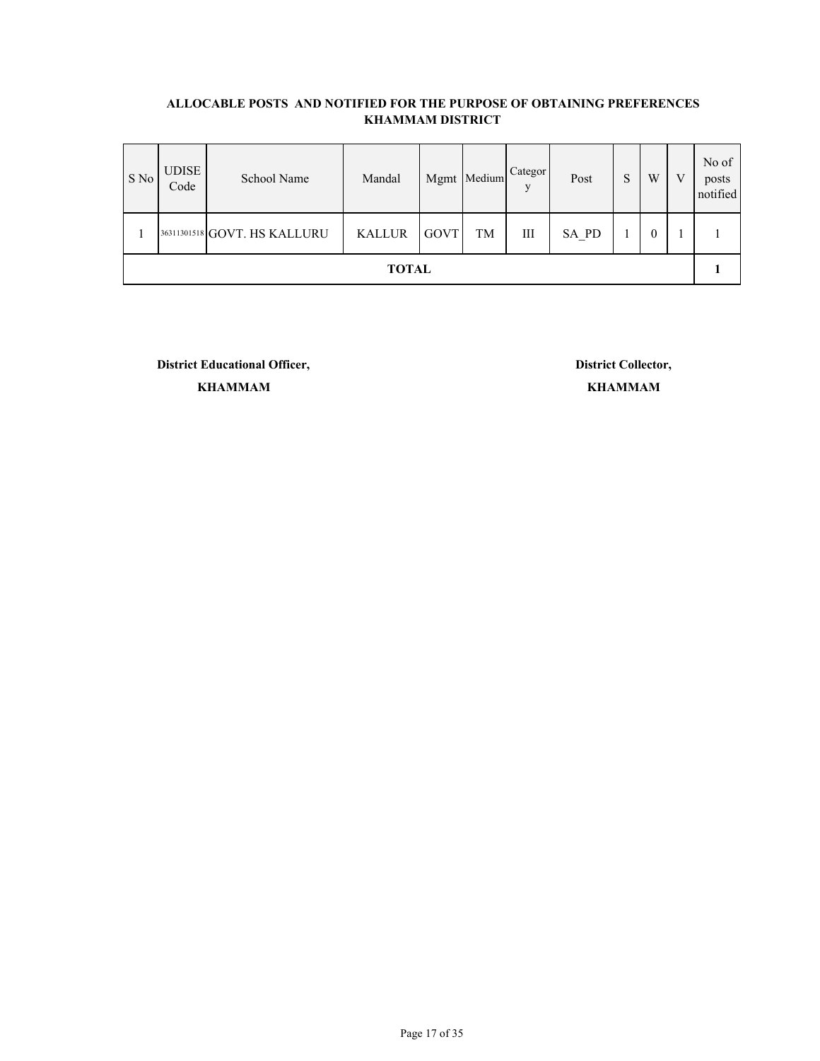| S No         | <b>UDISE</b><br>Code | School Name                  | Mandal        |      | Mgmt Medium | Categor<br>V | Post  | U<br>د | W        | V | No of<br>posts<br>notified |
|--------------|----------------------|------------------------------|---------------|------|-------------|--------------|-------|--------|----------|---|----------------------------|
|              |                      | 36311301518 GOVT. HS KALLURU | <b>KALLUR</b> | GOVT | TM          | Ш            | SA_PD |        | $\theta$ |   |                            |
| <b>TOTAL</b> |                      |                              |               |      |             |              |       |        |          |   |                            |

**District Educational Officer, District Collector,**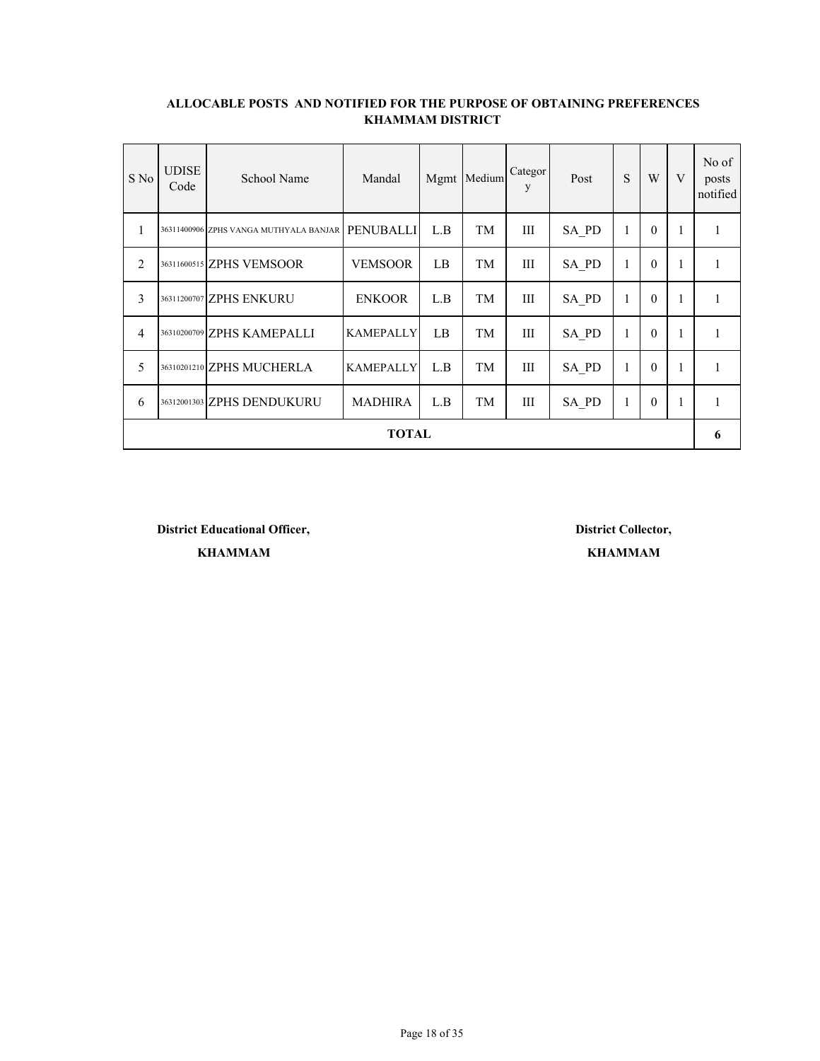| S No           | <b>UDISE</b><br>Code | School Name                            | Mandal           |     | Mgmt Medium | Categor<br>y | Post  | S            | W        | V            | No of<br>posts<br>notified |
|----------------|----------------------|----------------------------------------|------------------|-----|-------------|--------------|-------|--------------|----------|--------------|----------------------------|
| 1              |                      | 36311400906 ZPHS VANGA MUTHYALA BANJAR | <b>PENUBALLI</b> | L.B | TM          | III          | SA PD | 1            | $\theta$ | 1            |                            |
| $\overline{2}$ |                      | 36311600515 ZPHS VEMSOOR               | <b>VEMSOOR</b>   | LB  | <b>TM</b>   | III          | SA PD | 1            | $\theta$ | $\mathbf{1}$ |                            |
| 3              |                      | 36311200707 ZPHS ENKURU                | <b>ENKOOR</b>    | L.B | TM          | III          | SA PD | $\mathbf{1}$ | $\theta$ |              |                            |
| $\overline{4}$ |                      | 36310200709 ZPHS KAMEPALLI             | <b>KAMEPALLY</b> | LB  | <b>TM</b>   | III          | SA PD | 1            | $\theta$ | $\mathbf{1}$ | 1                          |
| 5              |                      | 36310201210 ZPHS MUCHERLA              | <b>KAMEPALLY</b> | L.B | TM          | III          | SA PD | 1            | $\theta$ |              |                            |
| 6              |                      | 36312001303 ZPHS DENDUKURU             | <b>MADHIRA</b>   | L.B | TM          | Ш            | SA PD | 1            | $\theta$ | $\mathbf{1}$ |                            |
| <b>TOTAL</b>   |                      |                                        |                  |     |             |              |       |              |          |              |                            |

**District Educational Officer, District Collector, KHAMMAM KHAMMAM**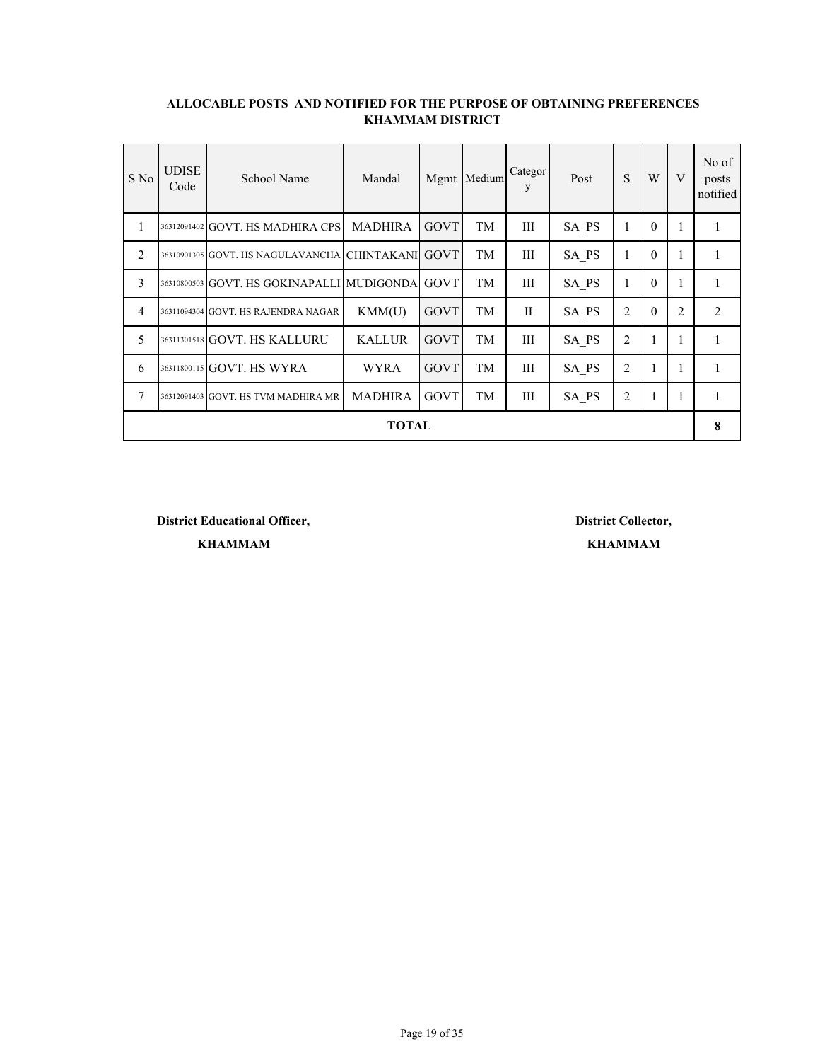| S No           | <b>UDISE</b><br>Code | School Name                                       | Mandal         |             | Mgmt Medium | Categor<br>y | Post  | S              | W        | V | No of<br>posts<br>notified |
|----------------|----------------------|---------------------------------------------------|----------------|-------------|-------------|--------------|-------|----------------|----------|---|----------------------------|
| 1              |                      | 36312091402 GOVT. HS MADHIRA CPS                  | MADHIRA        | <b>GOVT</b> | TM          | Ш            | SA PS | 1              | $\theta$ |   |                            |
| 2              |                      | 36310901305 GOVT. HS NAGULAVANCHA CHINTAKANI GOVT |                |             | TM          | Ш            | SA PS | 1              | $\theta$ |   |                            |
| 3              |                      | 36310800503 GOVT. HS GOKINAPALLI MUDIGONDA GOVT   |                |             | TM          | Ш            | SA PS | 1              | $\theta$ |   |                            |
| $\overline{4}$ |                      | 36311094304 GOVT. HS RAJENDRA NAGAR               | KMM(U)         | GOVT        | TM          | $\mathbf{I}$ | SA PS | $\overline{2}$ | $\theta$ | 2 | 2                          |
| 5              |                      | 36311301518 GOVT. HS KALLURU                      | <b>KALLUR</b>  | <b>GOVT</b> | TM          | Ш            | SA PS | $\overline{2}$ | 1        |   |                            |
| 6              |                      | 36311800115 GOVT. HS WYRA                         | <b>WYRA</b>    | <b>GOVT</b> | TM          | III          | SA PS | $\overline{2}$ |          |   |                            |
| $\overline{7}$ |                      | 36312091403 GOVT. HS TVM MADHIRA MR               | <b>MADHIRA</b> | <b>GOVT</b> | TM          | III          | SA PS | $\overline{2}$ | л.       |   |                            |
| TOTAL          |                      |                                                   |                |             |             |              |       |                |          |   |                            |

**District Educational Officer, District Collector,**

**KHAMMAM KHAMMAM**

Page 19 of 35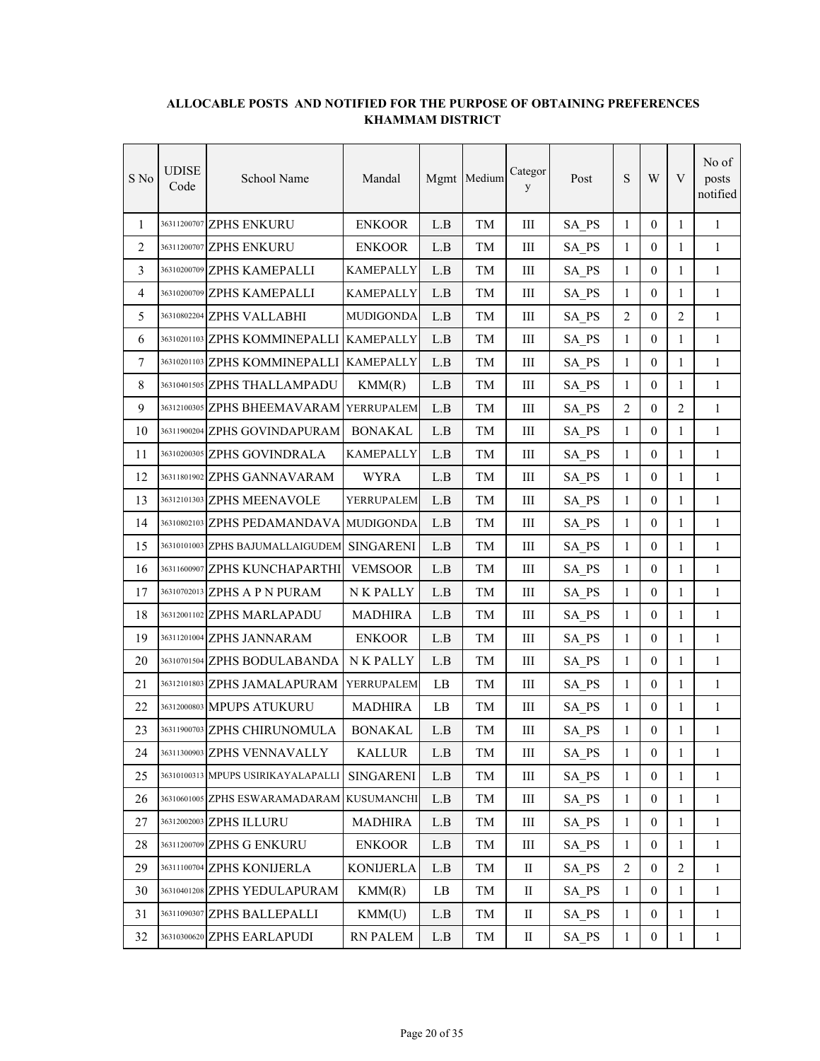| S No | UDISE<br>Code | School Name                                | Mandal           |     | Mgmt Medium | Categor<br>y | Post  | ${\bf S}$      | W                | V              | No of<br>posts<br>notified |
|------|---------------|--------------------------------------------|------------------|-----|-------------|--------------|-------|----------------|------------------|----------------|----------------------------|
| 1    |               | 36311200707 ZPHS ENKURU                    | <b>ENKOOR</b>    | L.B | TM          | Ш            | SA PS | $\mathbf{1}$   | $\theta$         | $\mathbf{1}$   | $\mathbf{1}$               |
| 2    |               | 36311200707 ZPHS ENKURU                    | <b>ENKOOR</b>    | L.B | TM          | Ш            | SA PS | 1              | $\overline{0}$   | 1              | 1                          |
| 3    |               | 36310200709 ZPHS KAMEPALLI                 | <b>KAMEPALLY</b> | L.B | TM          | Ш            | SA PS | $\mathbf{1}$   | $\mathbf{0}$     | 1              | $\mathbf{1}$               |
| 4    |               | 36310200709 ZPHS KAMEPALLI                 | <b>KAMEPALLY</b> | L.B | TМ          | Ш            | SA PS | $\mathbf{1}$   | $\mathbf{0}$     | 1              | $\mathbf{1}$               |
| 5    |               | 36310802204 ZPHS VALLABHI                  | <b>MUDIGONDA</b> | L.B | TМ          | III          | SA PS | $\overline{2}$ | $\mathbf{0}$     | 2              | $\mathbf{1}$               |
| 6    |               | 36310201103 ZPHS KOMMINEPALLI              | <b>KAMEPALLY</b> | L.B | TM          | III          | SA PS | $\mathbf{1}$   | $\mathbf{0}$     | 1              | $\mathbf{1}$               |
| 7    |               | 36310201103 ZPHS KOMMINEPALLI              | <b>KAMEPALLY</b> | L.B | TМ          | III          | SA PS | $\mathbf{1}$   | $\theta$         | $\mathbf{1}$   | $\mathbf{1}$               |
| 8    |               | 36310401505 ZPHS THALLAMPADU               | KMM(R)           | L.B | TM          | Ш            | SA PS | $\mathbf{1}$   | $\mathbf{0}$     | $\mathbf{1}$   | 1                          |
| 9    |               | 36312100305 ZPHS BHEEMAVARAM               | YERRUPALEM       | L.B | TM          | Ш            | SA PS | 2              | $\mathbf{0}$     | 2              | $\mathbf{1}$               |
| 10   |               | 36311900204 ZPHS GOVINDAPURAM              | <b>BONAKAL</b>   | L.B | TM          | Ш            | SA PS | $\mathbf{1}$   | $\mathbf{0}$     | $\mathbf{1}$   | $\mathbf{1}$               |
| 11   |               | 36310200305 ZPHS GOVINDRALA                | <b>KAMEPALLY</b> | L.B | TМ          | Ш            | SA PS | $\mathbf{1}$   | $\mathbf{0}$     | $\mathbf{1}$   | 1                          |
| 12   |               | 36311801902 ZPHS GANNAVARAM                | <b>WYRA</b>      | L.B | TМ          | Ш            | SA PS | 1              | $\mathbf{0}$     | 1              | 1                          |
| 13   |               | 36312101303 ZPHS MEENAVOLE                 | YERRUPALEM       | L.B | TM          | Ш            | SA PS | $\mathbf{1}$   | $\mathbf{0}$     | 1              | $\mathbf{1}$               |
| 14   |               | 36310802103 ZPHS PEDAMANDAVA MUDIGONDA     |                  | L.B | TМ          | III          | SA PS | $\mathbf{1}$   | $\theta$         | $\mathbf{1}$   | $\mathbf{1}$               |
| 15   |               | 36310101003 ZPHS BAJUMALLAIGUDEM SINGARENI |                  | L.B | TM          | $\rm III$    | SA PS | $\mathbf{1}$   | $\mathbf{0}$     | 1              | $\mathbf{1}$               |
| 16   |               | 36311600907 ZPHS KUNCHAPARTHI              | <b>VEMSOOR</b>   | L.B | TМ          | Ш            | SA PS | $\mathbf{1}$   | $\mathbf{0}$     | $\mathbf{1}$   | 1                          |
| 17   |               | 36310702013 ZPHS A P N PURAM               | N K PALLY        | L.B | TM          | Ш            | SA PS | $\mathbf{1}$   | $\mathbf{0}$     | $\mathbf{1}$   | 1                          |
| 18   |               | 36312001102 ZPHS MARLAPADU                 | <b>MADHIRA</b>   | L.B | TМ          | Ш            | SA PS | $\mathbf{1}$   | $\mathbf{0}$     | 1              | 1                          |
| 19   |               | 36311201004 ZPHS JANNARAM                  | <b>ENKOOR</b>    | L.B | TM          | Ш            | SA PS | $\mathbf{1}$   | $\mathbf{0}$     | 1              | 1                          |
| 20   |               | 36310701504 ZPHS BODULABANDA               | N K PALLY        | L.B | TM          | Ш            | SA PS | $\mathbf{1}$   | $\mathbf{0}$     | 1              | $\mathbf{1}$               |
| 21   |               | 36312101803 ZPHS JAMALAPURAM               | YERRUPALEM       | LB  | TМ          | III          | SA PS | $\mathbf{1}$   | $\mathbf{0}$     | $\mathbf{1}$   | $\mathbf{1}$               |
| 22   |               | 36312000803 MPUPS ATUKURU                  | <b>MADHIRA</b>   | LB  | TM          | Ш            | SA PS | $\mathbf{1}$   | $\mathbf{0}$     | $\mathbf{1}$   | $\mathbf{1}$               |
| 23   |               | 36311900703 ZPHS CHIRUNOMULA               | <b>BONAKAL</b>   | L.B | TM          | Ш            | SA_PS | $\mathbf{1}$   | $\boldsymbol{0}$ | 1              | 1                          |
| 24   |               | 36311300903 ZPHS VENNAVALLY                | <b>KALLUR</b>    | L.B | TM          | $\rm III$    | SA PS | $\mathbf{1}$   | $\boldsymbol{0}$ | $\mathbf{1}$   | 1                          |
| 25   |               | 36310100313 MPUPS USIRIKAYALAPALLI         | <b>SINGARENI</b> | L.B | TM          | Ш            | SA PS | $\mathbf{1}$   | $\mathbf{0}$     | 1              | 1                          |
| 26   |               | 36310601005 ZPHS ESWARAMADARAM KUSUMANCHI  |                  | L.B | TM          | Ш            | SA PS | $\mathbf{1}$   | $\boldsymbol{0}$ | $\mathbf{1}$   | $\mathbf{1}$               |
| 27   |               | 36312002003 ZPHS ILLURU                    | <b>MADHIRA</b>   | L.B | TM          | Ш            | SA PS | $\mathbf{1}$   | $\boldsymbol{0}$ | 1              | 1                          |
| 28   |               | 36311200709 ZPHS G ENKURU                  | <b>ENKOOR</b>    | L.B | TM          | $\rm III$    | SA PS | $\mathbf{1}$   | $\boldsymbol{0}$ | $\mathbf{1}$   | $\mathbf{1}$               |
| 29   |               | 36311100704 ZPHS KONIJERLA                 | <b>KONIJERLA</b> | L.B | TM          | $\rm II$     | SA PS | 2              | $\boldsymbol{0}$ | $\overline{2}$ | $\mathbf{1}$               |
| 30   |               | 36310401208 ZPHS YEDULAPURAM               | KMM(R)           | LB  | TM          | $\rm _{II}$  | SA PS | $\mathbf{1}$   | $\boldsymbol{0}$ | 1              | 1                          |
| 31   |               | 36311090307 ZPHS BALLEPALLI                | KMM(U)           | L.B | TM          | П            | SA PS | $\mathbf{1}$   | $\boldsymbol{0}$ | $\mathbf{1}$   | $\mathbf{1}$               |
| 32   |               | 36310300620 ZPHS EARLAPUDI                 | <b>RN PALEM</b>  | L.B | TM          | П            | SA_PS | $\mathbf{1}$   | $\boldsymbol{0}$ | $\mathbf{1}$   | $\mathbf{1}$               |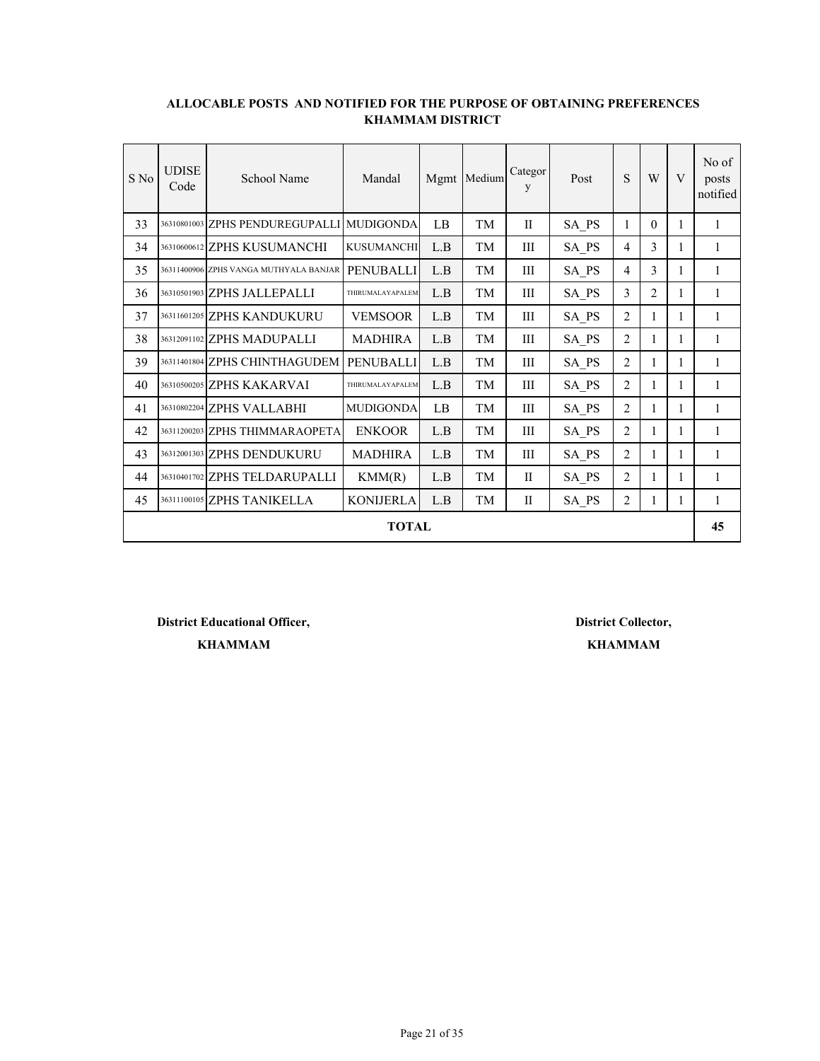| S No         | <b>UDISE</b><br>Code | School Name                            | Mandal            |     | Mgmt Medium | Categor<br>y | Post  | S              | W              | V | No of<br>posts<br>notified |
|--------------|----------------------|----------------------------------------|-------------------|-----|-------------|--------------|-------|----------------|----------------|---|----------------------------|
| 33           |                      | 36310801003 ZPHS PENDUREGUPALLI        | <b>MUDIGONDA</b>  | LB  | TM          | $\mathbf{H}$ | SA PS | 1              | $\Omega$       | 1 | 1                          |
| 34           |                      | 36310600612 ZPHS KUSUMANCHI            | <b>KUSUMANCHI</b> | L.B | TМ          | Ш            | SA PS | 4              | 3              | 1 | 1                          |
| 35           |                      | 36311400906 ZPHS VANGA MUTHYALA BANJAR | <b>PENUBALLI</b>  | L.B | TM          | Ш            | SA PS | $\overline{4}$ | 3              | 1 | 1                          |
| 36           |                      | 36310501903 ZPHS JALLEPALLI            | THIRUMALAYAPALEM  | L.B | TM          | Ш            | SA PS | 3              | $\overline{2}$ | 1 | 1                          |
| 37           |                      | 36311601205 ZPHS KANDUKURU             | <b>VEMSOOR</b>    | L.B | TM          | Ш            | SA PS | $\overline{2}$ | 1              | 1 | 1                          |
| 38           |                      | 36312091102 ZPHS MADUPALLI             | <b>MADHIRA</b>    | L.B | TM          | III          | SA PS | 2              | 1              | 1 | 1                          |
| 39           |                      | 36311401804 ZPHS CHINTHAGUDEM          | <b>PENUBALLI</b>  | L.B | TM          | Ш            | SA PS | $\overline{2}$ | 1              | 1 | 1                          |
| 40           |                      | 36310500205 ZPHS KAKARVAI              | THIRUMALAYAPALEM  | L.B | TM          | Ш            | SA PS | $\overline{2}$ | 1              | 1 | 1                          |
| 41           |                      | 36310802204 ZPHS VALLABHI              | <b>MUDIGONDA</b>  | LB  | TM          | Ш            | SA PS | 2              | 1              | 1 | 1                          |
| 42           |                      | 36311200203 ZPHS THIMMARAOPETA         | <b>ENKOOR</b>     | L.B | TM          | III          | SA PS | 2              | 1              | 1 | 1                          |
| 43           |                      | 36312001303 ZPHS DENDUKURU             | <b>MADHIRA</b>    | L.B | TM          | III          | SA PS | $\overline{2}$ | 1              | 1 | 1                          |
| 44           |                      | 36310401702 ZPHS TELDARUPALLI          | KMM(R)            | L.B | TM          | $\mathbf{I}$ | SA PS | 2              | 1              | 1 | 1                          |
| 45           |                      | 36311100105 ZPHS TANIKELLA             | <b>KONIJERLA</b>  | L.B | TM          | П            | SA PS | 2              | 1              | 1 | 1                          |
| <b>TOTAL</b> |                      |                                        |                   |     |             |              |       |                |                |   |                            |

**District Educational Officer, District Collector,**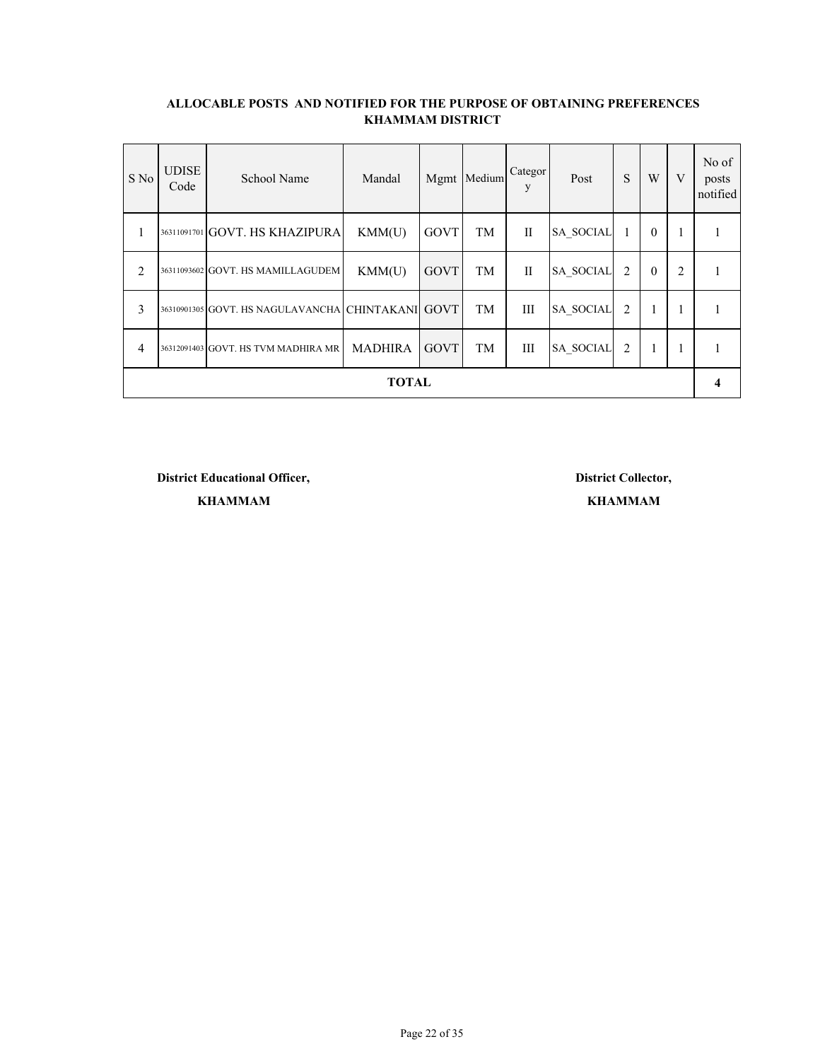| S No           | <b>UDISE</b><br>Code | School Name                                       | Mandal         | Mgmt | Medium | Categor<br>y | Post             | S              | W        | V              | No of<br>posts<br>notified |
|----------------|----------------------|---------------------------------------------------|----------------|------|--------|--------------|------------------|----------------|----------|----------------|----------------------------|
| л.             |                      | 36311091701 GOVT. HS KHAZIPURA                    | KMM(U)         | GOVT | TM     | $\mathbf{I}$ | <b>SA SOCIAL</b> |                | $\theta$ | 1              |                            |
| $\overline{2}$ |                      | 36311093602 GOVT. HS MAMILLAGUDEM                 | KMM(U)         | GOVT | TM     | $\mathbf{I}$ | <b>SA SOCIAL</b> | 2              | $\theta$ | $\overline{2}$ |                            |
| 3              |                      | 36310901305 GOVT. HS NAGULAVANCHA CHINTAKANI GOVT |                |      | TM     | Ш            | <b>SA SOCIAL</b> | $\overline{c}$ |          | 1              |                            |
| 4              |                      | 36312091403 GOVT. HS TVM MADHIRA MR               | <b>MADHIRA</b> | GOVT | TM     | Ш            | <b>SA SOCIAL</b> | $\overline{2}$ | 1        |                |                            |
| <b>TOTAL</b>   |                      |                                                   |                |      |        |              |                  |                |          |                | 4                          |

**District Educational Officer, District Collector,**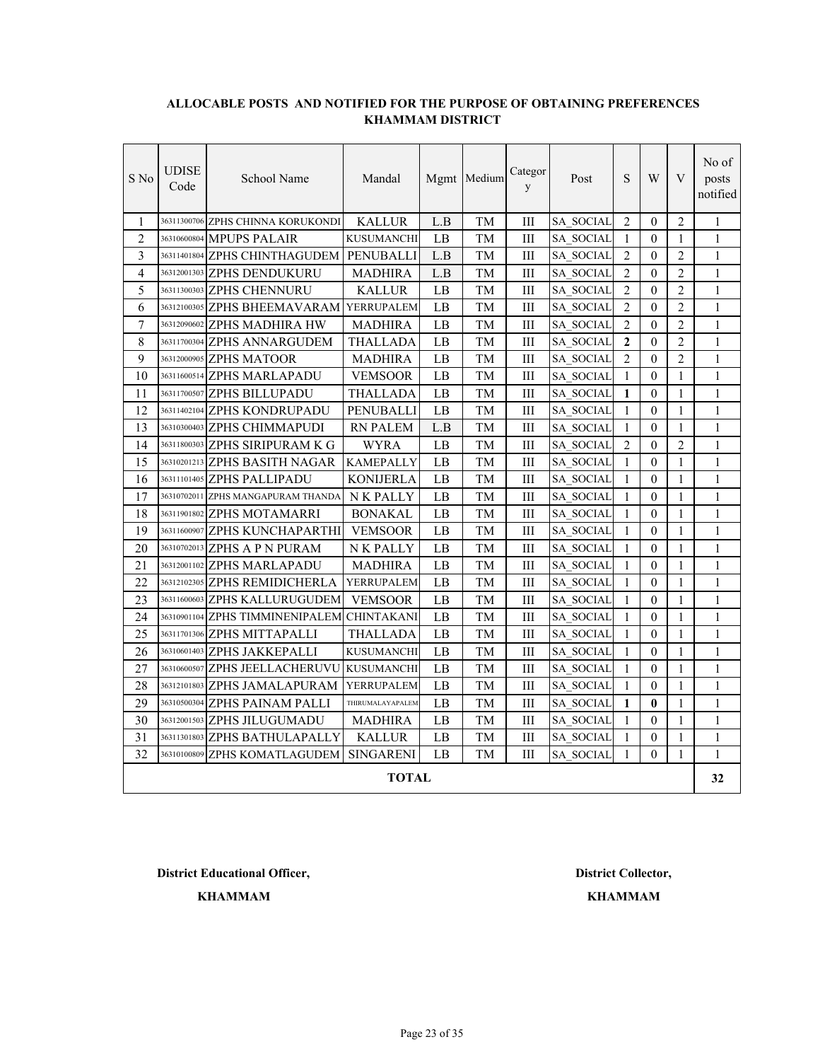| S No           | <b>UDISE</b><br>Code | School Name                             | Mandal            |     | Mgmt Medium | Categor<br>y | Post             | S              | W            | V              | No of<br>posts<br>notified |  |
|----------------|----------------------|-----------------------------------------|-------------------|-----|-------------|--------------|------------------|----------------|--------------|----------------|----------------------------|--|
| $\mathbf{1}$   |                      | 36311300706 ZPHS CHINNA KORUKONDI       | <b>KALLUR</b>     | L.B | TM          | Ш            | SA SOCIAL        | $\overline{2}$ | $\theta$     | $\overline{2}$ | 1                          |  |
| $\overline{2}$ |                      | 36310600804 MPUPS PALAIR                | <b>KUSUMANCHI</b> | LB  | TM          | Ш            | <b>SA SOCIAL</b> | 1              | $\Omega$     | 1              | 1                          |  |
| 3              |                      | 36311401804 ZPHS CHINTHAGUDEM           | PENUBALLI         | L.B | TM          | III          | SA SOCIAL        | $\overline{2}$ | $\theta$     | $\overline{2}$ | 1                          |  |
| $\overline{4}$ |                      | 36312001303 ZPHS DENDUKURU              | <b>MADHIRA</b>    | L.B | TM          | Ш            | <b>SA SOCIAL</b> | $\overline{2}$ | $\theta$     | $\overline{2}$ | 1                          |  |
| 5              |                      | 36311300303 ZPHS CHENNURU               | <b>KALLUR</b>     | LB  | TM          | III          | SA SOCIAL        | $\overline{2}$ | $\mathbf{0}$ | $\overline{2}$ | $\mathbf{1}$               |  |
| 6              |                      | 36312100305 ZPHS BHEEMAVARAM YERRUPALEM |                   | LB  | TМ          | Ш            | <b>SA SOCIAL</b> | $\overline{2}$ | $\theta$     | $\overline{2}$ | 1                          |  |
| $\tau$         |                      | 36312090602 ZPHS MADHIRA HW             | <b>MADHIRA</b>    | LB  | TМ          | Ш            | <b>SA SOCIAL</b> | $\overline{2}$ | $\mathbf{0}$ | 2              | 1                          |  |
| 8              |                      | 36311700304 ZPHS ANNARGUDEM             | THALLADA          | LB  | TM          | Ш            | SA_SOCIAL        | $\mathbf{2}$   | $\theta$     | $\overline{2}$ | 1                          |  |
| 9              |                      | 36312000905 ZPHS MATOOR                 | MADHIRA           | LB  | TM          | III          | SA SOCIAL        | $\overline{2}$ | $\theta$     | $\overline{2}$ | 1                          |  |
| 10             |                      | 36311600514 ZPHS MARLAPADU              | <b>VEMSOOR</b>    | LB  | TM          | III          | <b>SA SOCIAL</b> | $\mathbf{1}$   | $\theta$     | $\mathbf{1}$   | 1                          |  |
| 11             |                      | 36311700507 ZPHS BILLUPADU              | THALLADA          | LB  | TМ          | Ш            | SA SOCIAL        | 1              | $\theta$     | $\mathbf{1}$   | 1                          |  |
| 12             |                      | 36311402104 ZPHS KONDRUPADU             | PENUBALLI         | LB  | TM          | III          | SA SOCIAL        | $\mathbf{1}$   | $\theta$     | $\mathbf{1}$   | 1                          |  |
| 13             |                      | 36310300403 ZPHS CHIMMAPUDI             | <b>RN PALEM</b>   | L.B | TM          | Ш            | SA SOCIAL        | $\mathbf{1}$   | $\theta$     | $\mathbf{1}$   | 1                          |  |
| 14             |                      | 36311800303 ZPHS SIRIPURAM K G          | <b>WYRA</b>       | LB  | TM          | III          | SA SOCIAL        | $\mathfrak{D}$ | $\theta$     | $\mathfrak{D}$ | 1                          |  |
| 15             |                      | 36310201213 ZPHS BASITH NAGAR           | <b>KAMEPALLY</b>  | LB  | TM          | Ш            | SA SOCIAL        | 1              | $\theta$     | 1              | 1                          |  |
| 16             |                      | 36311101405 ZPHS PALLIPADU              | <b>KONIJERLA</b>  | LB  | TM          | III          | SA SOCIAL        | 1              | $\theta$     | $\mathbf{1}$   | 1                          |  |
| 17             |                      | 36310702011 ZPHS MANGAPURAM THANDA      | <b>NK PALLY</b>   | LB  | TM          | Ш            | <b>SA SOCIAL</b> | 1              | $\theta$     | 1              | 1                          |  |
| 18             |                      | 36311901802 ZPHS MOTAMARRI              | <b>BONAKAL</b>    | LB  | TM          | III          | SA SOCIAL        | $\mathbf{1}$   | $\theta$     | 1              | 1                          |  |
| 19             |                      | 36311600907 ZPHS KUNCHAPARTHI           | <b>VEMSOOR</b>    | LB  | TM          | Ш            | SA SOCIAL        | 1              | $\theta$     | 1              | 1                          |  |
| 20             |                      | 36310702013 ZPHS A P N PURAM            | N K PALLY         | LB  | TM          | III          | SA SOCIAL        | 1              | $\theta$     | 1              | 1                          |  |
| 21             |                      | 36312001102 ZPHS MARLAPADU              | <b>MADHIRA</b>    | LB  | TM          | Ш            | <b>SA SOCIAL</b> | 1              | $\theta$     | 1              | 1                          |  |
| 22             |                      | 36312102305 ZPHS REMIDICHERLA           | YERRUPALEM        | LB  | TM          | Ш            | <b>SA SOCIAL</b> | 1              | $\theta$     | 1              | 1                          |  |
| 23             |                      | 36311600603 ZPHS KALLURUGUDEM           | <b>VEMSOOR</b>    | LB  | TM          | Ш            | <b>SA SOCIAL</b> | 1              | $\theta$     | 1              | 1                          |  |
| 24             |                      | 36310901104 ZPHS TIMMINENIPALEM         | <b>CHINTAKANI</b> | LB  | TM          | Ш            | <b>SA SOCIAL</b> | 1              | $\theta$     | 1              | 1                          |  |
| 25             |                      | 36311701306 ZPHS MITTAPALLI             | <b>THALLADA</b>   | LB  | TM          | Ш            | SA SOCIAL        | 1              | $\theta$     | 1              | 1                          |  |
| 26             |                      | 36310601403 ZPHS JAKKEPALLI             | <b>KUSUMANCHI</b> | LB  | TM          | Ш            | SA SOCIAL        | 1              | $\mathbf{0}$ | 1              | 1                          |  |
| 27             |                      | 36310600507 ZPHS JEELLACHERUVU          | <b>KUSUMANCHI</b> | LB  | TM          | Ш            | SA SOCIAL        | 1              | $\theta$     | 1              | 1                          |  |
| 28             |                      | 36312101803 ZPHS JAMALAPURAM            | YERRUPALEM        | LB  | TM          | Ш            | SA SOCIAL        | 1              | $\theta$     | 1              | 1                          |  |
| 29             |                      | 36310500304 ZPHS PAINAM PALLI           | THIRUMALAYAPALEM  | LB  | TM          | Ш            | SA SOCIAL        | 1              | $\bf{0}$     | 1              | 1                          |  |
| 30             |                      | 36312001503 ZPHS JILUGUMADU             | MADHIRA           | LB  | TM          | Ш            | SA SOCIAL        | 1              | $\theta$     | 1              | 1                          |  |
| 31             |                      | 36311301803 ZPHS BATHULAPALLY           | KALLUR            | LB  | TM          | Ш            | <b>SA SOCIAL</b> | 1              | $\mathbf{0}$ | $\mathbf{1}$   | $\mathbf{1}$               |  |
| 32             | 36310100809          | ZPHS KOMATLAGUDEM                       | <b>SINGARENI</b>  | LB  | TМ          | Ш            | <b>SA SOCIAL</b> | 1              | $\theta$     | 1              | 1                          |  |
|                | <b>TOTAL</b><br>32   |                                         |                   |     |             |              |                  |                |              |                |                            |  |

**District Educational Officer, District Collector,**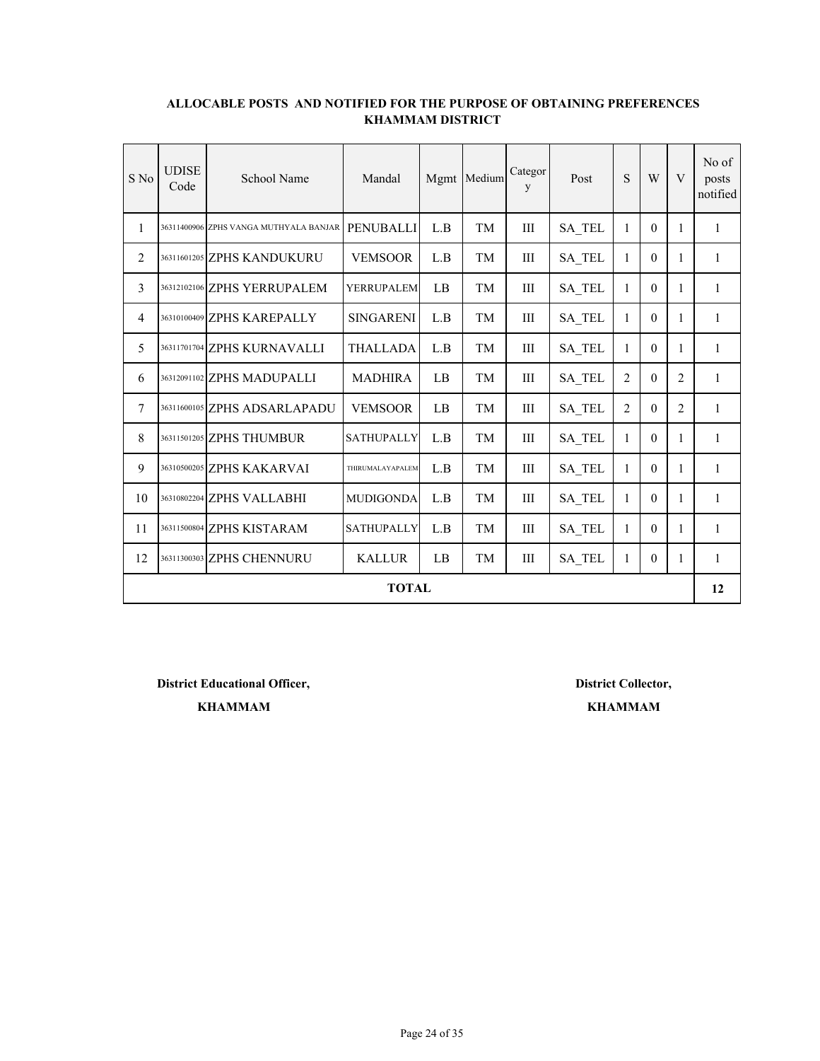| $S$ No | <b>UDISE</b><br>Code | School Name                            | Mandal            | Mgmt | Medium | Categor<br>y | Post          | S              | W            | V              | No of<br>posts<br>notified |  |  |
|--------|----------------------|----------------------------------------|-------------------|------|--------|--------------|---------------|----------------|--------------|----------------|----------------------------|--|--|
| 1      |                      | 36311400906 ZPHS VANGA MUTHYALA BANJAR | <b>PENUBALLI</b>  | L.B  | TM     | III          | <b>SA TEL</b> | 1              | $\Omega$     | 1              | 1                          |  |  |
| 2      |                      | 36311601205 ZPHS KANDUKURU             | <b>VEMSOOR</b>    | L.B  | TM     | Ш            | <b>SA TEL</b> | 1              | $\theta$     | $\mathbf{1}$   | 1                          |  |  |
| 3      |                      | 36312102106 ZPHS YERRUPALEM            | <b>YERRUPALEM</b> | LB   | TМ     | III          | SA TEL        | 1              | $\Omega$     | 1              | 1                          |  |  |
| 4      |                      | 36310100409 ZPHS KAREPALLY             | <b>SINGARENI</b>  | L.B  | TM     | III          | SA_TEL        | $\mathbf{1}$   | $\theta$     | 1              | $\mathbf{1}$               |  |  |
| 5      |                      | 36311701704 ZPHS KURNAVALLI            | THALLADA          | L.B  | TM     | III          | <b>SA TEL</b> | 1              | $\theta$     | 1              | 1                          |  |  |
| 6      |                      | 36312091102 ZPHS MADUPALLI             | <b>MADHIRA</b>    | LB   | TM     | III          | <b>SA TEL</b> | $\overline{2}$ | $\mathbf{0}$ | $\overline{2}$ | 1                          |  |  |
| 7      |                      | 36311600105 ZPHS ADSARLAPADU           | <b>VEMSOOR</b>    | LB   | TM     | III          | <b>SA TEL</b> | $\overline{2}$ | $\theta$     | $\overline{2}$ | 1                          |  |  |
| 8      |                      | 36311501205 ZPHS THUMBUR               | <b>SATHUPALLY</b> | L.B  | TМ     | Ш            | <b>SA TEL</b> | $\mathbf{1}$   | $\theta$     | 1              | 1                          |  |  |
| 9      |                      | 36310500205 ZPHS KAKARVAI              | THIRUMALAYAPALEM  | L.B  | TM     | Ш            | <b>SA TEL</b> | 1              | $\theta$     | 1              | 1                          |  |  |
| 10     |                      | 36310802204 ZPHS VALLABHI              | <b>MUDIGONDA</b>  | L.B  | TM     | III          | <b>SA TEL</b> | 1              | $\theta$     | 1              | 1                          |  |  |
| 11     |                      | 36311500804 ZPHS KISTARAM              | <b>SATHUPALLY</b> | L.B  | TM     | III          | SA TEL        | $\mathbf{1}$   | $\theta$     | $\mathbf{1}$   | $\mathbf{1}$               |  |  |
| 12     |                      | 36311300303 ZPHS CHENNURU              | <b>KALLUR</b>     | LB   | TМ     | Ш            | <b>SA TEL</b> | 1              | $\theta$     | 1              | 1                          |  |  |
|        |                      | <b>TOTAL</b><br>12                     |                   |      |        |              |               |                |              |                |                            |  |  |

**District Educational Officer, District Collector,**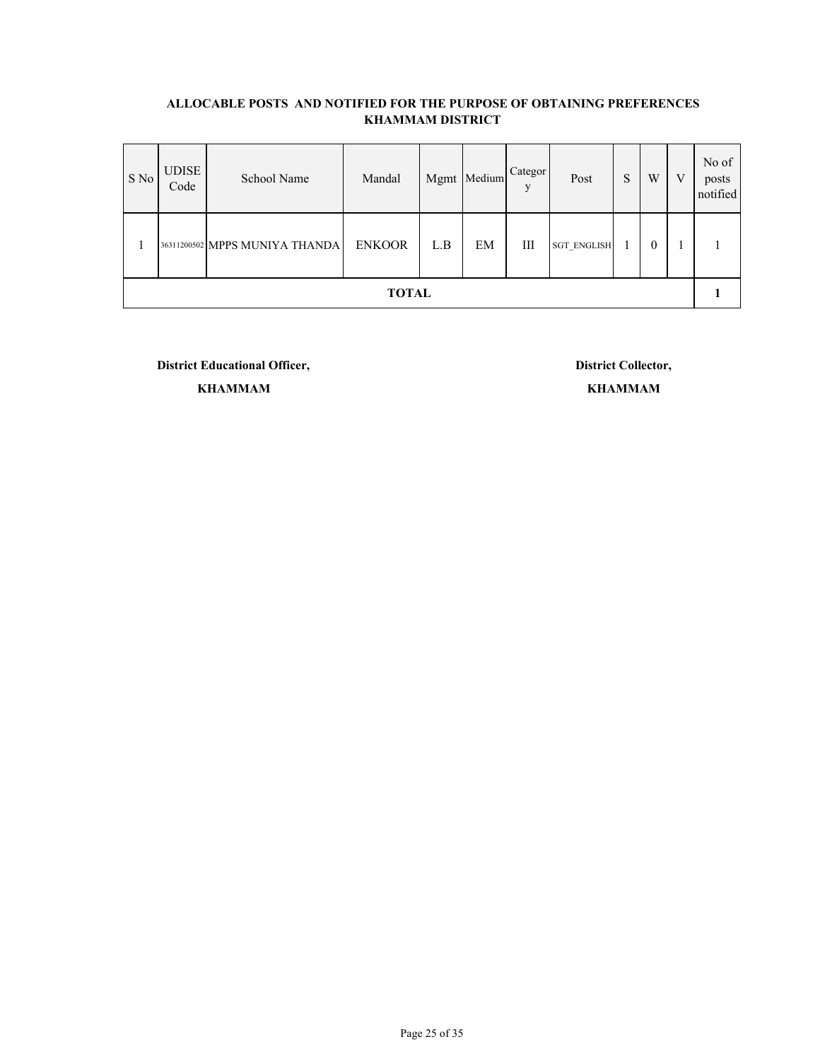| S No | <b>UDISE</b><br>Code | School Name                    | Mandal        |     | Mgmt Medium | Categor<br>V | Post               | S | W        | V | No of<br>posts<br>notified |
|------|----------------------|--------------------------------|---------------|-----|-------------|--------------|--------------------|---|----------|---|----------------------------|
|      |                      | 36311200502 MPPS MUNIYA THANDA | <b>ENKOOR</b> | L.B | EM          | Ш            | <b>SGT ENGLISH</b> |   | $\theta$ |   |                            |
|      |                      |                                | <b>TOTAL</b>  |     |             |              |                    |   |          |   |                            |

**District Educational Officer, District Collector,**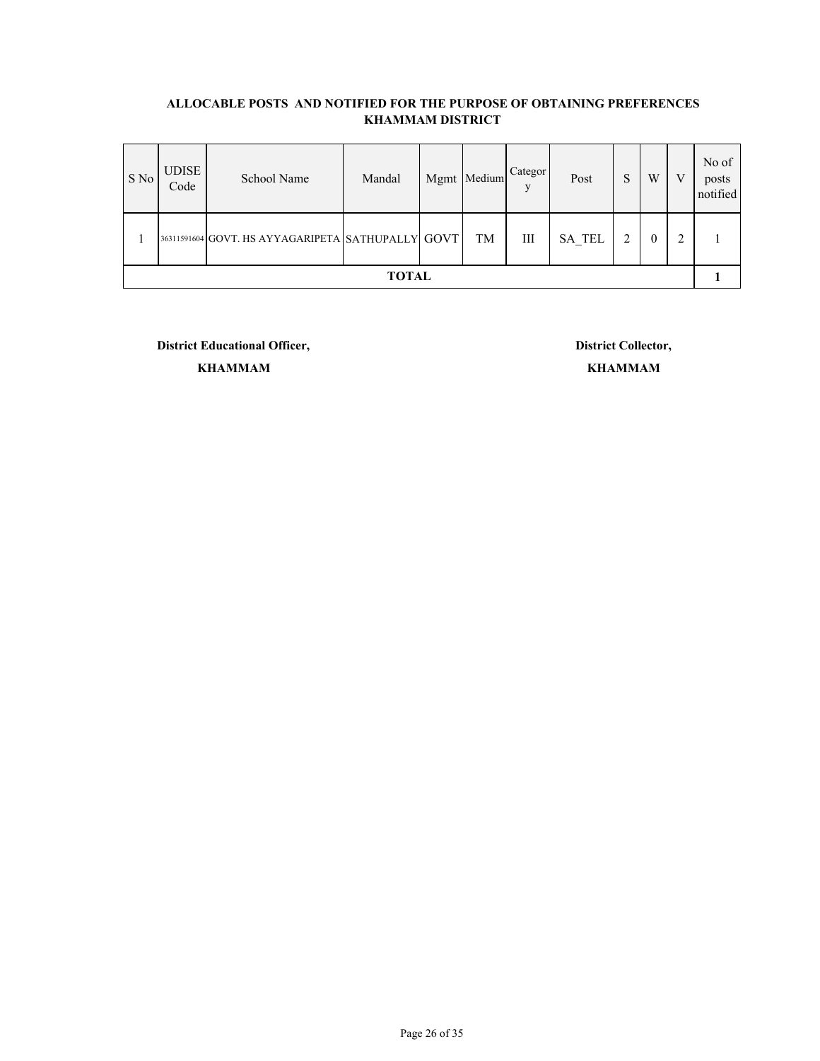| $S$ No | <b>UDISE</b><br>Code | School Name                                       | Mandal       | Mgmt Medium | Categor<br>V | Post          | S | W            | V | No of<br>posts<br>notified |
|--------|----------------------|---------------------------------------------------|--------------|-------------|--------------|---------------|---|--------------|---|----------------------------|
|        |                      | 36311591604 GOVT. HS AYYAGARIPETA SATHUPALLY GOVT |              | TM          | Ш            | <b>SA TEL</b> |   | $\mathbf{0}$ | ◠ |                            |
|        |                      |                                                   | <b>TOTAL</b> |             |              |               |   |              |   |                            |

**District Educational Officer, District Collector,**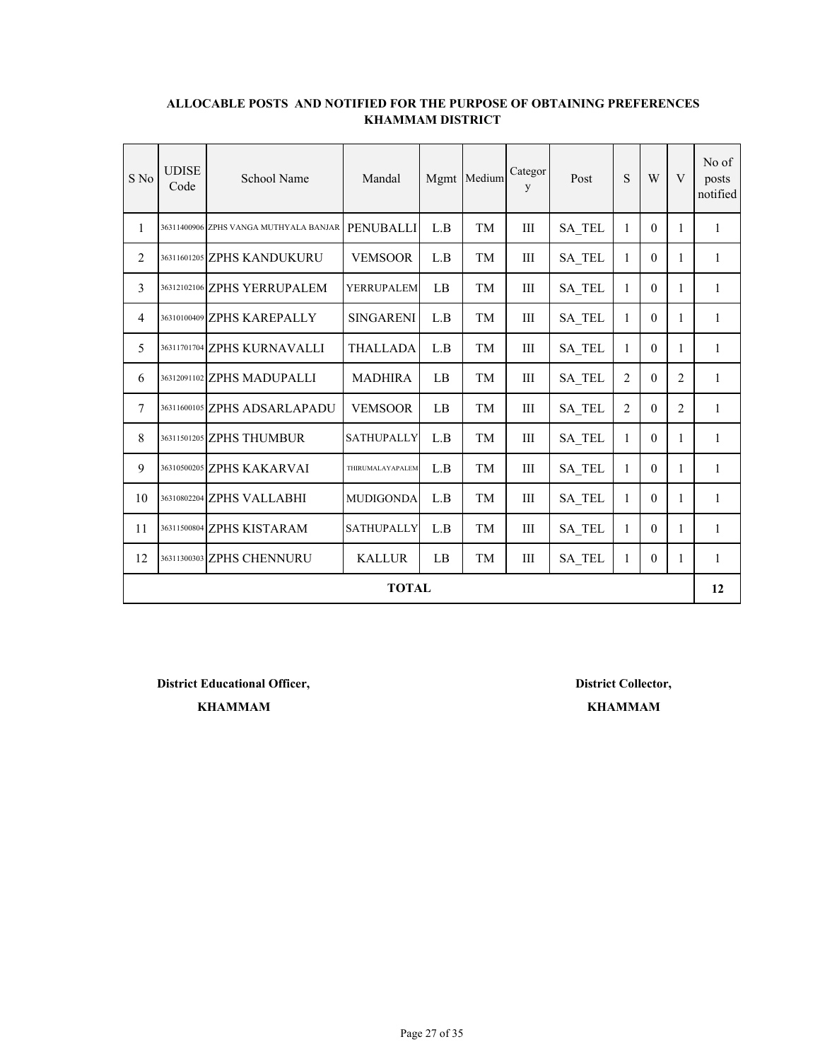| $S$ No | <b>UDISE</b><br>Code | School Name                            | Mandal            | Mgmt | Medium | Categor<br>y | Post          | S              | W            | V              | No of<br>posts<br>notified |
|--------|----------------------|----------------------------------------|-------------------|------|--------|--------------|---------------|----------------|--------------|----------------|----------------------------|
| 1      |                      | 36311400906 ZPHS VANGA MUTHYALA BANJAR | <b>PENUBALLI</b>  | L.B  | TM     | III          | <b>SA TEL</b> | 1              | $\Omega$     | 1              | 1                          |
| 2      |                      | 36311601205 ZPHS KANDUKURU             | <b>VEMSOOR</b>    | L.B  | TM     | Ш            | <b>SA TEL</b> | 1              | $\theta$     | $\mathbf{1}$   | 1                          |
| 3      |                      | 36312102106 ZPHS YERRUPALEM            | <b>YERRUPALEM</b> | LB   | TМ     | III          | SA TEL        | 1              | $\Omega$     | 1              | 1                          |
| 4      |                      | 36310100409 ZPHS KAREPALLY             | <b>SINGARENI</b>  | L.B  | TM     | III          | SA_TEL        | $\mathbf{1}$   | $\theta$     | 1              | $\mathbf{1}$               |
| 5      |                      | 36311701704 ZPHS KURNAVALLI            | THALLADA          | L.B  | TM     | III          | <b>SA TEL</b> | 1              | $\theta$     | 1              | 1                          |
| 6      |                      | 36312091102 ZPHS MADUPALLI             | <b>MADHIRA</b>    | LB   | TM     | III          | <b>SA TEL</b> | $\overline{2}$ | $\mathbf{0}$ | $\overline{2}$ | 1                          |
| 7      |                      | 36311600105 ZPHS ADSARLAPADU           | <b>VEMSOOR</b>    | LB   | TM     | III          | <b>SA TEL</b> | $\overline{2}$ | $\theta$     | $\overline{2}$ | 1                          |
| 8      |                      | 36311501205 ZPHS THUMBUR               | <b>SATHUPALLY</b> | L.B  | TМ     | Ш            | <b>SA TEL</b> | $\mathbf{1}$   | $\theta$     | 1              | 1                          |
| 9      |                      | 36310500205 ZPHS KAKARVAI              | THIRUMALAYAPALEM  | L.B  | TM     | Ш            | <b>SA TEL</b> | 1              | $\theta$     | 1              | 1                          |
| 10     |                      | 36310802204 ZPHS VALLABHI              | <b>MUDIGONDA</b>  | L.B  | TM     | III          | <b>SA TEL</b> | 1              | $\theta$     | 1              | 1                          |
| 11     |                      | 36311500804 ZPHS KISTARAM              | <b>SATHUPALLY</b> | L.B  | TM     | III          | SA TEL        | $\mathbf{1}$   | $\theta$     | $\mathbf{1}$   | $\mathbf{1}$               |
| 12     |                      | 36311300303 ZPHS CHENNURU              | <b>KALLUR</b>     | LB   | TМ     | Ш            | <b>SA TEL</b> | 1              | $\theta$     | 1              | 1                          |
|        |                      |                                        | <b>TOTAL</b>      |      |        |              |               |                |              |                | 12                         |

**District Educational Officer, District Collector,**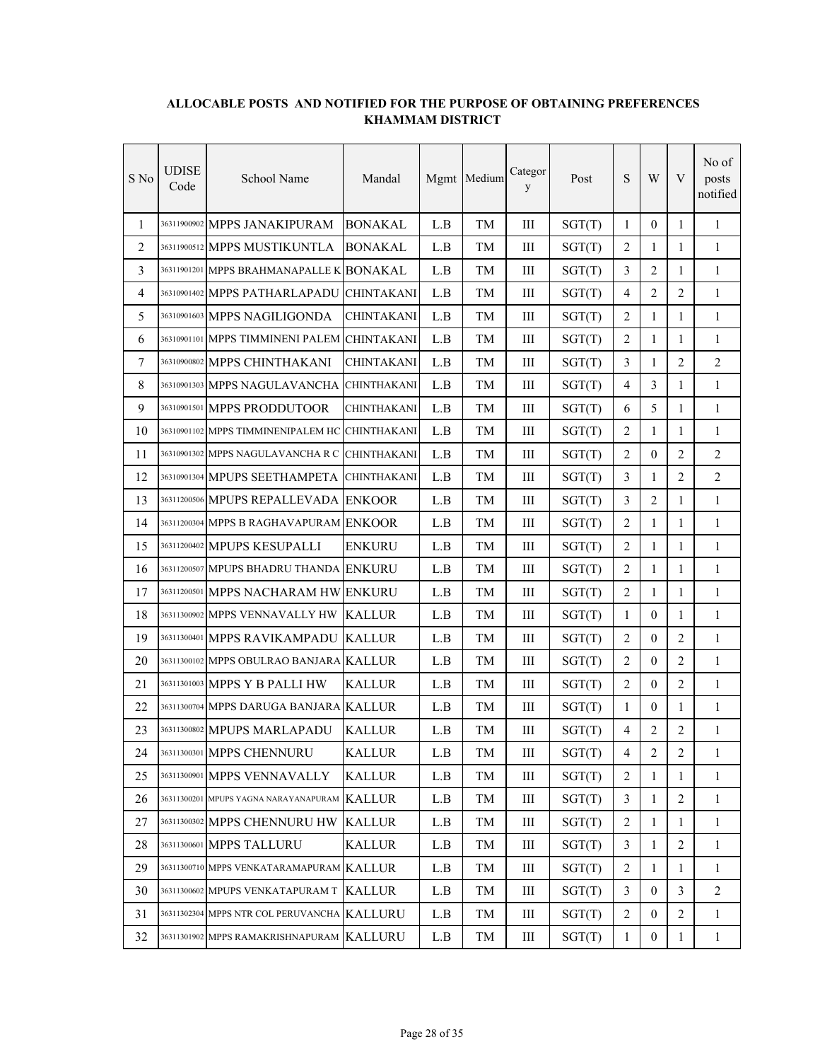| S No | <b>UDISE</b><br>Code | School Name                               | Mandal             |     | Mgmt Medium | Categor<br>y | Post   | ${\bf S}$      | W                | V              | No of<br>posts<br>notified |
|------|----------------------|-------------------------------------------|--------------------|-----|-------------|--------------|--------|----------------|------------------|----------------|----------------------------|
| 1    |                      | 36311900902 MPPS JANAKIPURAM              | <b>BONAKAL</b>     | L.B | TМ          | III          | SGT(T) | 1              | $\Omega$         | 1              | 1                          |
| 2    |                      | 36311900512 MPPS MUSTIKUNTLA              | <b>BONAKAL</b>     | L.B | TM          | Ш            | SGT(T) | $\overline{2}$ | 1                | 1              | 1                          |
| 3    |                      | 36311901201 MPPS BRAHMANAPALLE K          | <b>BONAKAL</b>     | L.B | TМ          | Ш            | SGT(T) | 3              | $\overline{c}$   | 1              | 1                          |
| 4    |                      | 36310901402 MPPS PATHARLAPADU             | <b>CHINTAKANI</b>  | L.B | TM          | III          | SGT(T) | $\overline{4}$ | $\overline{c}$   | 2              | $\mathbf{1}$               |
| 5    |                      | 36310901603 MPPS NAGILIGONDA              | CHINTAKANI         | L.B | TM          | III          | SGT(T) | $\overline{2}$ | $\mathbf{1}$     | 1              | $\mathbf{1}$               |
| 6    |                      | 36310901101 MPPS TIMMINENI PALEM          | <b>CHINTAKANI</b>  | L.B | TM          | Ш            | SGT(T) | $\overline{2}$ | $\mathbf{1}$     | 1              | $\mathbf{1}$               |
| 7    |                      | 36310900802 MPPS CHINTHAKANI              | <b>CHINTAKANI</b>  | L.B | TM          | III          | SGT(T) | 3              | $\mathbf{1}$     | $\overline{2}$ | 2                          |
| 8    |                      | 36310901303 MPPS NAGULAVANCHA             | <b>CHINTHAKANI</b> | L.B | TМ          | Ш            | SGT(T) | $\overline{4}$ | 3                | 1              | $\mathbf{1}$               |
| 9    |                      | 36310901501 MPPS PRODDUTOOR               | CHINTHAKANI        | L.B | TM          | Ш            | SGT(T) | 6              | 5                | 1              | $\mathbf{1}$               |
| 10   |                      | 36310901102 MPPS TIMMINENIPALEM HC        | <b>CHINTHAKANI</b> | L.B | TМ          | Ш            | SGT(T) | 2              | 1                | 1              | 1                          |
| 11   |                      | 36310901302 MPPS NAGULAVANCHA R C         | <b>CHINTHAKANI</b> | L.B | TM          | III          | SGT(T) | $\overline{2}$ | $\mathbf{0}$     | $\overline{2}$ | $\overline{2}$             |
| 12   |                      | 36310901304 MPUPS SEETHAMPETA             | <b>CHINTHAKANI</b> | L.B | TM          | III          | SGT(T) | 3              | 1                | 2              | 2                          |
| 13   |                      | 36311200506 MPUPS REPALLEVADA             | <b>ENKOOR</b>      | L.B | TM          | Ш            | SGT(T) | 3              | 2                | $\mathbf{1}$   | $\mathbf{1}$               |
| 14   |                      | 36311200304 MPPS B RAGHAVAPURAM ENKOOR    |                    | L.B | TМ          | III          | SGT(T) | 2              | 1                | 1              | $\mathbf{1}$               |
| 15   |                      | 36311200402 MPUPS KESUPALLI               | <b>ENKURU</b>      | L.B | TM          | III          | SGT(T) | $\overline{2}$ | $\mathbf{1}$     | 1              | 1                          |
| 16   |                      | 36311200507 MPUPS BHADRU THANDA           | <b>ENKURU</b>      | L.B | TM          | Ш            | SGT(T) | 2              | $\mathbf{1}$     | 1              | $\mathbf{1}$               |
| 17   |                      | 36311200501 MPPS NACHARAM HW              | <b>ENKURU</b>      | L.B | TМ          | Ш            | SGT(T) | 2              | 1                | $\mathbf{1}$   | 1                          |
| 18   |                      | 36311300902 MPPS VENNAVALLY HW            | <b>KALLUR</b>      | L.B | TМ          | III          | SGT(T) | $\mathbf{1}$   | $\mathbf{0}$     | 1              | $\mathbf{1}$               |
| 19   |                      | 36311300401 MPPS RAVIKAMPADU              | <b>KALLUR</b>      | L.B | TМ          | Ш            | SGT(T) | 2              | $\theta$         | 2              | 1                          |
| 20   |                      | 36311300102 MPPS OBULRAO BANJARA KALLUR   |                    | L.B | TM          | Ш            | SGT(T) | 2              | $\mathbf{0}$     | 2              | $\mathbf{1}$               |
| 21   |                      | 36311301003 MPPS Y B PALLI HW             | <b>KALLUR</b>      | L.B | TМ          | III          | SGT(T) | $\overline{2}$ | $\mathbf{0}$     | $\overline{2}$ | $\mathbf{1}$               |
| 22   |                      | 36311300704 MPPS DARUGA BANJARA KALLUR    |                    | L.B | TM          | Ш            | SGT(T) | $\mathbf{1}$   | $\mathbf{0}$     | $\mathbf{1}$   | $\mathbf{1}$               |
| 23   |                      | 36311300802 MPUPS MARLAPADU               | <b>KALLUR</b>      | L.B | TM          | Ш            | SGT(T) | $\overline{4}$ | 2                | 2              | 1                          |
| 24   |                      | 36311300301 MPPS CHENNURU                 | <b>KALLUR</b>      | L.B | TM          | III          | SGT(T) | $\overline{4}$ | 2                | 2              | 1                          |
| 25   |                      | 36311300901 MPPS VENNAVALLY               | <b>KALLUR</b>      | L.B | TM          | Ш            | SGT(T) | $\overline{2}$ | 1                | 1              | 1                          |
| 26   |                      | 36311300201 MPUPS YAGNA NARAYANAPURAM     | <b>KALLUR</b>      | L.B | TM          | Ш            | SGT(T) | $\mathfrak{Z}$ | $\mathbf{1}$     | $\overline{2}$ | $\mathbf{1}$               |
| 27   |                      | 36311300302 MPPS CHENNURU HW              | <b>KALLUR</b>      | L.B | TM          | Ш            | SGT(T) | $\sqrt{2}$     | $\mathbf{1}$     | $\mathbf{1}$   | $\mathbf{1}$               |
| 28   |                      | 36311300601 MPPS TALLURU                  | <b>KALLUR</b>      | L.B | TM          | $\rm III$    | SGT(T) | $\overline{3}$ | $\mathbf{1}$     | $\overline{2}$ | $\mathbf{1}$               |
| 29   |                      | 36311300710 MPPS VENKATARAMAPURAM KALLUR  |                    | L.B | TM          | $\rm III$    | SGT(T) | $\overline{2}$ | $\mathbf{1}$     | 1              | $\mathbf{1}$               |
| 30   |                      | 36311300602 MPUPS VENKATAPURAM T          | <b>KALLUR</b>      | L.B | TM          | $\rm III$    | SGT(T) | 3              | $\boldsymbol{0}$ | 3              | 2                          |
| 31   |                      | 36311302304 MPPS NTR COL PERUVANCHA       | <b>KALLURU</b>     | L.B | TM          | Ш            | SGT(T) | 2              | $\mathbf{0}$     | 2              | $\mathbf{1}$               |
| 32   |                      | 36311301902 MPPS RAMAKRISHNAPURAM KALLURU |                    | L.B | TM          | Ш            | SGT(T) | $\mathbf{1}$   | $\boldsymbol{0}$ | $\mathbf{1}$   | $\mathbf{1}$               |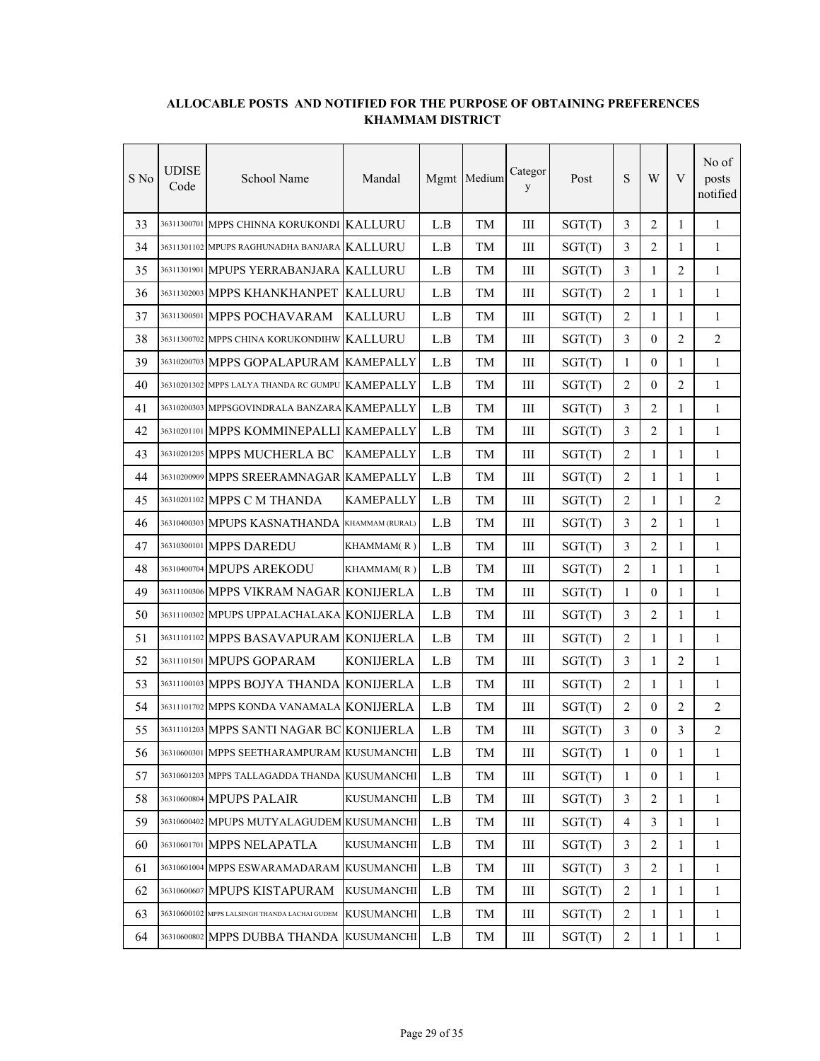| S No | UDISE<br>Code | School Name                                   | Mandal            |     | Mgmt Medium | Categor<br>y | Post   | ${\bf S}$      | W                | V              | No of<br>posts<br>notified |
|------|---------------|-----------------------------------------------|-------------------|-----|-------------|--------------|--------|----------------|------------------|----------------|----------------------------|
| 33   |               | 36311300701 MPPS CHINNA KORUKONDI KALLURU     |                   | L.B | TM          | Ш            | SGT(T) | 3              | $\overline{2}$   | $\mathbf{1}$   | $\mathbf{1}$               |
| 34   |               | 36311301102 MPUPS RAGHUNADHA BANJARA KALLURU  |                   | L.B | TM          | Ш            | SGT(T) | 3              | 2                | 1              | $\mathbf{1}$               |
| 35   |               | 36311301901 MPUPS YERRABANJARA KALLURU        |                   | L.B | TM          | Ш            | SGT(T) | 3              | 1                | 2              | $\mathbf{1}$               |
| 36   |               | 36311302003 MPPS KHANKHANPET                  | <b>KALLURU</b>    | L.B | TМ          | III          | SGT(T) | $\overline{2}$ | $\mathbf{1}$     | 1              | 1                          |
| 37   |               | 36311300501 MPPS POCHAVARAM                   | <b>KALLURU</b>    | L.B | TМ          | III          | SGT(T) | 2              | 1                | 1              | 1                          |
| 38   |               | 36311300702 MPPS CHINA KORUKONDIHW            | <b>KALLURU</b>    | L.B | TM          | III          | SGT(T) | $\overline{3}$ | $\mathbf{0}$     | $\overline{2}$ | $\overline{2}$             |
| 39   |               | 36310200703 MPPS GOPALAPURAM KAMEPALLY        |                   | L.B | TМ          | III          | SGT(T) | $\mathbf{1}$   | $\theta$         | $\mathbf{1}$   | $\mathbf{1}$               |
| 40   |               | 36310201302 MPPS LALYA THANDA RC GUMPU        | <b>KAMEPALLY</b>  | L.B | TM          | Ш            | SGT(T) | $\overline{2}$ | $\mathbf{0}$     | 2              | $\mathbf{1}$               |
| 41   |               | 36310200303 MPPSGOVINDRALA BANZARA KAMEPALLY  |                   | L.B | TM          | Ш            | SGT(T) | 3              | 2                | 1              | $\mathbf{1}$               |
| 42   |               | 36310201101 MPPS KOMMINEPALLI KAMEPALLY       |                   | L.B | TM          | Ш            | SGT(T) | 3              | $\overline{2}$   | 1              | $\mathbf{1}$               |
| 43   |               | 36310201205 MPPS MUCHERLA BC                  | <b>KAMEPALLY</b>  | L.B | TМ          | Ш            | SGT(T) | $\overline{2}$ | 1                | 1              | 1                          |
| 44   |               | 36310200909 MPPS SREERAMNAGAR KAMEPALLY       |                   | L.B | TМ          | Ш            | SGT(T) | $\overline{2}$ | 1                | 1              | 1                          |
| 45   |               | 36310201102 MPPS C M THANDA                   | <b>KAMEPALLY</b>  | L.B | TM          | III          | SGT(T) | $\overline{2}$ | $\mathbf{1}$     | 1              | $\overline{2}$             |
| 46   |               | 36310400303 MPUPS KASNATHANDA                 | KHAMMAM (RURAL)   | L.B | TМ          | III          | SGT(T) | 3              | $\overline{2}$   | 1              | $\mathbf{1}$               |
| 47   |               | 36310300101 MPPS DAREDU                       | KHAMMAM(R)        | L.B | TM          | Ш            | SGT(T) | 3              | $\overline{2}$   | 1              | $\mathbf{1}$               |
| 48   |               | 36310400704 MPUPS AREKODU                     | KHAMMAM(R)        | L.B | TM          | Ш            | SGT(T) | $\overline{2}$ | 1                | 1              | $\mathbf{1}$               |
| 49   |               | 36311100306 MPPS VIKRAM NAGAR                 | <b>KONIJERLA</b>  | L.B | TM          | Ш            | SGT(T) | $\mathbf{1}$   | $\mathbf{0}$     | 1              | $\mathbf{1}$               |
| 50   |               | 36311100302 MPUPS UPPALACHALAKA KONIJERLA     |                   | L.B | TМ          | Ш            | SGT(T) | 3              | 2                | 1              | 1                          |
| 51   |               | 36311101102 MPPS BASAVAPURAM KONIJERLA        |                   | L.B | TM          | Ш            | SGT(T) | $\overline{2}$ | $\mathbf{1}$     | 1              | 1                          |
| 52   |               | 36311101501 MPUPS GOPARAM                     | <b>KONIJERLA</b>  | L.B | TM          | III          | SGT(T) | $\overline{3}$ | $\mathbf{1}$     | $\overline{2}$ | $\mathbf{1}$               |
| 53   |               | 36311100103 MPPS BOJYA THANDA KONIJERLA       |                   | L.B | TМ          | III          | SGT(T) | $\overline{2}$ | 1                | $\mathbf{1}$   | 1                          |
| 54   |               | 36311101702 MPPS KONDA VANAMALA KONIJERLA     |                   | L.B | TM          | Ш            | SGT(T) | $\overline{2}$ | $\mathbf{0}$     | $\overline{2}$ | $\overline{2}$             |
| 55   |               | 36311101203 MPPS SANTI NAGAR BC KONIJERLA     |                   | L.B | TM          | Ш            | SGT(T) | 3              | $\boldsymbol{0}$ | 3              | $\overline{2}$             |
| 56   |               | 36310600301 MPPS SEETHARAMPURAM KUSUMANCHI    |                   | L.B | TM          | $\rm III$    | SGT(T) | $\mathbf{1}$   | $\boldsymbol{0}$ | $\mathbf{1}$   | 1                          |
| 57   |               | 36310601203 MPPS TALLAGADDA THANDA KUSUMANCHI |                   | L.B | TM          | Ш            | SGT(T) | 1              | $\overline{0}$   | 1              | 1                          |
| 58   |               | 36310600804 MPUPS PALAIR                      | <b>KUSUMANCHI</b> | L.B | TM          | Ш            | SGT(T) | $\mathfrak{Z}$ | $\overline{c}$   | $\mathbf{1}$   | $\mathbf{1}$               |
| 59   |               | 36310600402 MPUPS MUTYALAGUDEM KUSUMANCHI     |                   | L.B | TM          | Ш            | SGT(T) | $\overline{4}$ | 3                | $\mathbf{1}$   | $\mathbf{1}$               |
| 60   |               | 36310601701 MPPS NELAPATLA                    | <b>KUSUMANCHI</b> | L.B | TM          | $\rm III$    | SGT(T) | $\mathfrak{Z}$ | $\overline{2}$   | $\mathbf{1}$   | $\mathbf{1}$               |
| 61   |               | 36310601004 MPPS ESWARAMADARAM                | <b>KUSUMANCHI</b> | L.B | TM          | $\rm III$    | SGT(T) | $\overline{3}$ | $\overline{2}$   | $\mathbf{1}$   | $\mathbf{1}$               |
| 62   |               | 36310600607 MPUPS KISTAPURAM                  | <b>KUSUMANCHI</b> | L.B | TM          | $\rm III$    | SGT(T) | $\overline{2}$ | 1                | 1              | 1                          |
| 63   |               | 36310600102 MPPS LALSINGH THANDA LACHAI GUDEM | <b>KUSUMANCHI</b> | L.B | TM          | Ш            | SGT(T) | $\overline{2}$ | 1                | $\mathbf{1}$   | $\mathbf{1}$               |
| 64   |               | 36310600802 MPPS DUBBA THANDA KUSUMANCHI      |                   | L.B | TM          | Ш            | SGT(T) | $\overline{c}$ | 1                | 1              | $\mathbf{1}$               |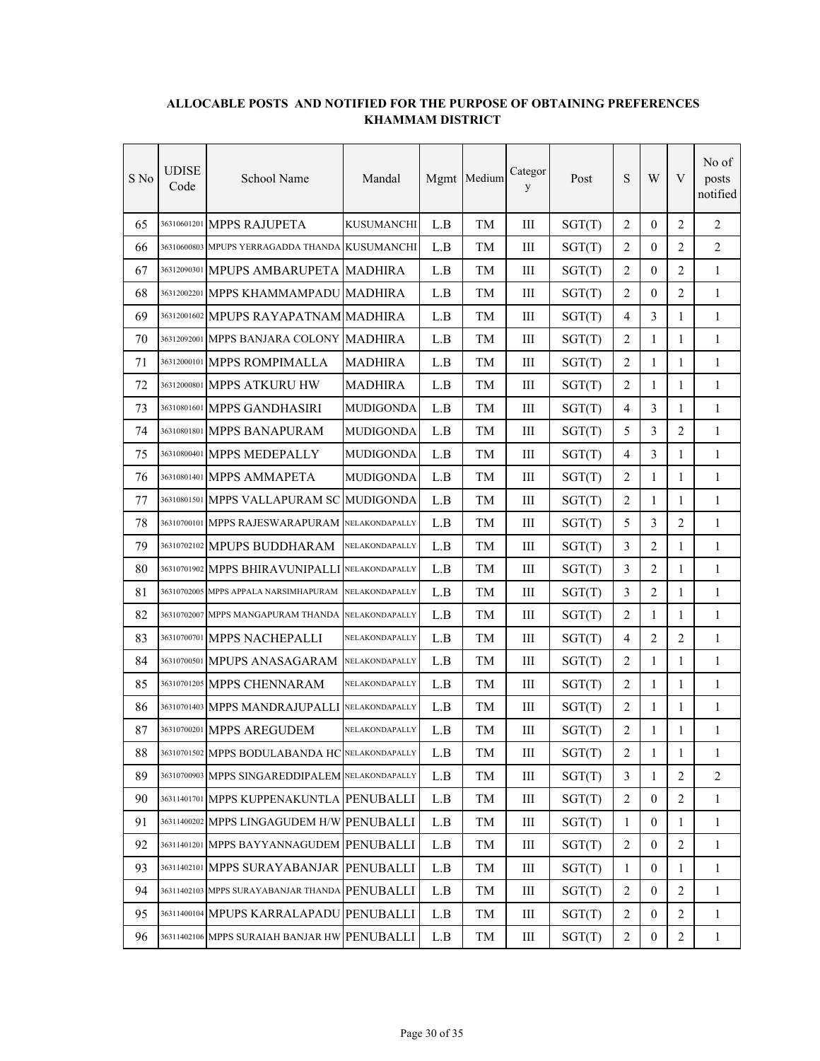| S No | UDISE<br>Code | School Name                                     | Mandal            |       | Mgmt Medium | Categor<br>y | Post   | ${\bf S}$        | W                | V              | No of<br>posts<br>notified |
|------|---------------|-------------------------------------------------|-------------------|-------|-------------|--------------|--------|------------------|------------------|----------------|----------------------------|
| 65   |               | 36310601201 MPPS RAJUPETA                       | <b>KUSUMANCHI</b> | L.B   | <b>TM</b>   | III          | SGT(T) | $\overline{2}$   | $\theta$         | $\overline{2}$ | $\overline{2}$             |
| 66   |               | 36310600803 MPUPS YERRAGADDA THANDA KUSUMANCHI  |                   | L.B   | TМ          | Ш            | SGT(T) | 2                | $\mathbf{0}$     | 2              | 2                          |
| 67   |               | 36312090301 MPUPS AMBARUPETA MADHIRA            |                   | L.B   | TM          | Ш            | SGT(T) | $\overline{2}$   | $\overline{0}$   | 2              | 1                          |
| 68   |               | 36312002201 MPPS KHAMMAMPADU MADHIRA            |                   | L.B   | TМ          | Ш            | SGT(T) | 2                | $\overline{0}$   | 2              | 1                          |
| 69   |               | 36312001602 MPUPS RAYAPATNAM MADHIRA            |                   | L.B   | TM          | III          | SGT(T) | $\overline{4}$   | 3                | $\mathbf{1}$   | 1                          |
| 70   |               | 36312092001 MPPS BANJARA COLONY                 | <b>MADHIRA</b>    | L.B   | TM          | III          | SGT(T) | 2                | 1                | $\mathbf{1}$   | $\mathbf{1}$               |
| 71   |               | 36312000101 MPPS ROMPIMALLA                     | <b>MADHIRA</b>    | L.B   | TM          | Ш            | SGT(T) | $\overline{c}$   | $\mathbf{1}$     | $\mathbf{1}$   | $\mathbf{1}$               |
| 72   |               | 36312000801 MPPS ATKURU HW                      | <b>MADHIRA</b>    | L.B   | TM          | Ш            | SGT(T) | $\overline{2}$   | $\mathbf{1}$     | $\mathbf{1}$   | $\mathbf{1}$               |
| 73   |               | 36310801601 MPPS GANDHASIRI                     | <b>MUDIGONDA</b>  | L.B   | TМ          | Ш            | SGT(T) | $\overline{4}$   | 3                | 1              | 1                          |
| 74   |               | 36310801801 MPPS BANAPURAM                      | <b>MUDIGONDA</b>  | L.B   | TM          | III          | SGT(T) | 5                | 3                | 2              | $\mathbf{1}$               |
| 75   |               | 36310800401 MPPS MEDEPALLY                      | <b>MUDIGONDA</b>  | L.B   | TМ          | Ш            | SGT(T) | $\overline{4}$   | 3                | 1              | 1                          |
| 76   |               | 36310801401 MPPS AMMAPETA                       | <b>MUDIGONDA</b>  | L.B   | TM          | Ш            | SGT(T) | $\overline{c}$   | 1                | 1              | 1                          |
| 77   |               | 36310801501 MPPS VALLAPURAM SC                  | <b>MUDIGONDA</b>  | L.B   | TM          | Ш            | SGT(T) | $\overline{2}$   | 1                | 1              | $\mathbf{1}$               |
| 78   |               | 36310700101 MPPS RAJESWARAPURAM                 | NELAKONDAPALLY    | L.B   | TМ          | III          | SGT(T) | 5                | 3                | 2              | $\mathbf{1}$               |
| 79   |               | 36310702102 MPUPS BUDDHARAM                     | NELAKONDAPALLY    | L.B   | TM          | III          | SGT(T) | 3                | $\overline{2}$   | $\mathbf{1}$   | $\mathbf{1}$               |
| 80   |               | 36310701902 MPPS BHIRAVUNIPALLI                 | NELAKONDAPALLY    | L.B   | TМ          | Ш            | SGT(T) | 3                | $\overline{2}$   | 1              | 1                          |
| 81   |               | 36310702005 MPPS APPALA NARSIMHAPURAM           | NELAKONDAPALLY    | L.B   | TM          | Ш            | SGT(T) | $\overline{3}$   | $\overline{2}$   | 1              | $\mathbf{1}$               |
| 82   |               | 36310702007 MPPS MANGAPURAM THANDA              | NELAKONDAPALLY    | L.B   | TМ          | Ш            | SGT(T) | $\overline{2}$   | 1                | 1              | 1                          |
| 83   |               | 36310700701 MPPS NACHEPALLI                     | NELAKONDAPALLY    | L.B   | TМ          | III          | SGT(T) | $\overline{4}$   | $\overline{2}$   | $\overline{2}$ | $\mathbf{1}$               |
| 84   |               | 36310700501 MPUPS ANASAGARAM                    | NELAKONDAPALLY    | L.B   | TM          | III          | SGT(T) | 2                | 1                | 1              | $\mathbf{1}$               |
| 85   |               | 36310701205 MPPS CHENNARAM                      | NELAKONDAPALLY    | L.B   | TM          | III          | SGT(T) | $\overline{2}$   | $\mathbf{1}$     | $\mathbf{1}$   | $\mathbf{1}$               |
| 86   |               | 36310701403 MPPS MANDRAJUPALLI                  | NELAKONDAPALLY    | L.B   | TM          | III          | SGT(T) | $\overline{2}$   | $\mathbf{1}$     | $\mathbf{1}$   | $\mathbf{1}$               |
| 87   |               | 36310700201 MPPS AREGUDEM                       | NELAKONDAPALLY    | L.B   | TM          | Ш            | SGT(T) | $\overline{2}$   | 1                | 1              | $\mathbf{1}$               |
| 88   |               | 36310701502 MPPS BODULABANDA HC NELAKONDAPALLY  |                   | $L.B$ | TM          | $\rm III$    | SGT(T) | $\boldsymbol{2}$ | 1                | 1              | 1                          |
| 89   |               | 36310700903 MPPS SINGAREDDIPALEM NELAKONDAPALLY |                   | L.B   | TM          | Ш            | SGT(T) | 3                | 1                | 2              | $\overline{2}$             |
| 90   |               | 36311401701 MPPS KUPPENAKUNTLA PENUBALLI        |                   | L.B   | TM          | Ш            | SGT(T) | $\sqrt{2}$       | $\mathbf{0}$     | $\overline{2}$ | $\mathbf{1}$               |
| 91   |               | 36311400202 MPPS LINGAGUDEM H/W PENUBALLI       |                   | L.B   | TM          | Ш            | SGT(T) | 1                | $\boldsymbol{0}$ | 1              | $\mathbf{1}$               |
| 92   |               | 36311401201 MPPS BAYYANNAGUDEM PENUBALLI        |                   | L.B   | TM          | Ш            | SGT(T) | $\sqrt{2}$       | $\boldsymbol{0}$ | $\overline{2}$ | $\mathbf{1}$               |
| 93   |               | 36311402101 MPPS SURAYABANJAR PENUBALLI         |                   | L.B   | TM          | Ш            | SGT(T) | $\mathbf{1}$     | $\mathbf{0}$     | $\mathbf{1}$   | $\mathbf{1}$               |
| 94   |               | 36311402103 MPPS SURAYABANJAR THANDA PENUBALLI  |                   | L.B   | TM          | $\rm III$    | SGT(T) | $\overline{2}$   | $\boldsymbol{0}$ | $\overline{2}$ | $\mathbf{1}$               |
| 95   |               | 36311400104 MPUPS KARRALAPADU                   | PENUBALLI         | L.B   | TM          | Ш            | SGT(T) | $\overline{2}$   | $\boldsymbol{0}$ | 2              | $\mathbf{1}$               |
| 96   |               | 36311402106 MPPS SURAIAH BANJAR HW PENUBALLI    |                   | L.B   | TM          | $\rm III$    | SGT(T) | $\overline{c}$   | $\boldsymbol{0}$ | $\overline{c}$ | $\mathbf{1}$               |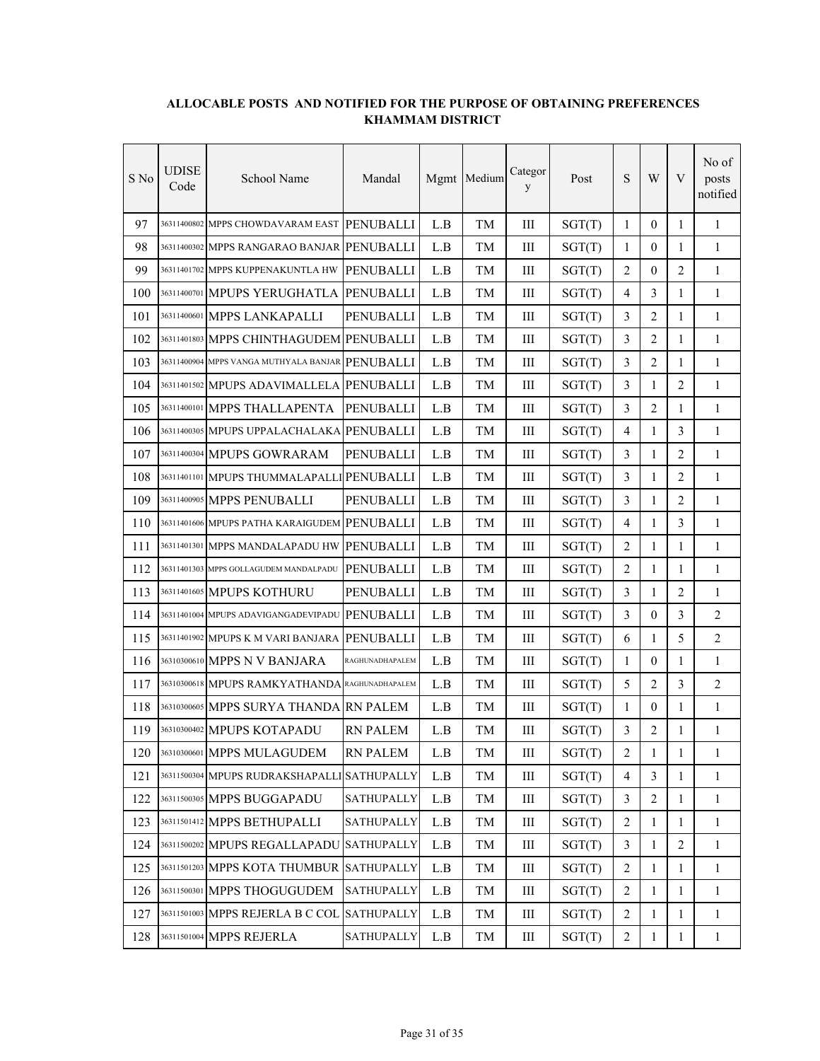| S No | UDISE<br>Code | School Name                                      | Mandal            |                         | Mgmt Medium | Categor<br>y | Post   | S                | W              | V              | No of<br>posts<br>notified |
|------|---------------|--------------------------------------------------|-------------------|-------------------------|-------------|--------------|--------|------------------|----------------|----------------|----------------------------|
| 97   |               | 36311400802 MPPS CHOWDAVARAM EAST                | PENUBALLI         | L.B                     | TM          | III          | SGT(T) | $\mathbf{1}$     | $\theta$       | $\mathbf{1}$   | $\mathbf{1}$               |
| 98   |               | 36311400302 MPPS RANGARAO BANJAR                 | <b>PENUBALLI</b>  | L.B                     | TМ          | Ш            | SGT(T) | 1                | $\mathbf{0}$   | 1              | 1                          |
| 99   |               | 36311401702 MPPS KUPPENAKUNTLA HW                | <b>PENUBALLI</b>  | L.B                     | TM          | Ш            | SGT(T) | 2                | $\mathbf{0}$   | 2              | 1                          |
| 100  |               | 36311400701 MPUPS YERUGHATLA                     | PENUBALLI         | L.B                     | TМ          | Ш            | SGT(T) | 4                | 3              | 1              | 1                          |
| 101  |               | 36311400601 MPPS LANKAPALLI                      | PENUBALLI         | L.B                     | TM          | III          | SGT(T) | 3                | $\overline{c}$ | 1              | $\mathbf{1}$               |
| 102  |               | 36311401803 MPPS CHINTHAGUDEM PENUBALLI          |                   | L.B                     | TM          | III          | SGT(T) | 3                | 2              | 1              | $\mathbf{1}$               |
| 103  |               | 36311400904 MPPS VANGA MUTHYALA BANJAR PENUBALLI |                   | L.B                     | TM          | III          | SGT(T) | 3                | 2              | 1              | $\mathbf{1}$               |
| 104  |               | 36311401502 MPUPS ADAVIMALLELA                   | PENUBALLI         | L.B                     | TM          | Ш            | SGT(T) | 3                | $\mathbf{1}$   | $\overline{2}$ | $\mathbf{1}$               |
| 105  |               | 36311400101 MPPS THALLAPENTA                     | <b>PENUBALLI</b>  | L.B                     | TМ          | Ш            | SGT(T) | 3                | 2              | 1              | 1                          |
| 106  |               | 36311400305 MPUPS UPPALACHALAKA                  | PENUBALLI         | L.B                     | TM          | III          | SGT(T) | $\overline{4}$   | $\mathbf{1}$   | 3              | $\mathbf{1}$               |
| 107  |               | 36311400304 MPUPS GOWRARAM                       | <b>PENUBALLI</b>  | L.B                     | TМ          | Ш            | SGT(T) | 3                | 1              | $\overline{2}$ | 1                          |
| 108  |               | 36311401101 MPUPS THUMMALAPALLI PENUBALLI        |                   | L.B                     | TM          | Ш            | SGT(T) | 3                | 1              | 2              | $\mathbf{1}$               |
| 109  |               | 36311400905 MPPS PENUBALLI                       | PENUBALLI         | L.B                     | TM          | III          | SGT(T) | 3                | $\mathbf{1}$   | 2              | $\mathbf{1}$               |
| 110  |               | 36311401606 MPUPS PATHA KARAIGUDEM PENUBALLI     |                   | L.B                     | TM          | III          | SGT(T) | 4                | $\mathbf{1}$   | 3              | $\mathbf{1}$               |
| 111  |               | 36311401301 MPPS MANDALAPADU HW                  | PENUBALLI         | L.B                     | TM          | III          | SGT(T) | $\overline{2}$   | $\mathbf{1}$   | $\mathbf{1}$   | $\mathbf{1}$               |
| 112  |               | 36311401303 MPPS GOLLAGUDEM MANDALPADU           | <b>PENUBALLI</b>  | L.B                     | TM          | III          | SGT(T) | 2                | 1              | 1              | 1                          |
| 113  |               | 36311401605 MPUPS KOTHURU                        | PENUBALLI         | L.B                     | TM          | III          | SGT(T) | 3                | $\mathbf{1}$   | 2              | $\mathbf{1}$               |
| 114  |               | 36311401004 MPUPS ADAVIGANGADEVIPADU             | <b>PENUBALLI</b>  | L.B                     | TM          | Ш            | SGT(T) | 3                | $\overline{0}$ | 3              | 2                          |
| 115  |               | 36311401902 MPUPS K M VARI BANJARA               | <b>PENUBALLI</b>  | L.B                     | TM          | III          | SGT(T) | 6                | $\mathbf{1}$   | 5              | 2                          |
| 116  |               | 36310300610 MPPS N V BANJARA                     | RAGHUNADHAPALEM   | L.B                     | TM          | III          | SGT(T) | 1                | $\mathbf{0}$   | 1              | $\mathbf{1}$               |
| 117  |               | 36310300618 MPUPS RAMKYATHANDA RAGHUNADHAPALEM   |                   | L.B                     | TM          | III          | SGT(T) | 5                | $\overline{2}$ | 3              | $\overline{2}$             |
| 118  |               | 36310300605 MPPS SURYA THANDA RN PALEM           |                   | L.B                     | TM          | III          | SGT(T) | $\mathbf{1}$     | $\theta$       | $\mathbf{1}$   | $\mathbf{1}$               |
| 119  |               | 36310300402 MPUPS KOTAPADU                       | <b>RN PALEM</b>   | L.B                     | TM          | Ш            | SGT(T) | 3                | 2              | 1              | $\mathbf{1}$               |
| 120  |               | 36310300601 MPPS MULAGUDEM                       | <b>RN PALEM</b>   | $\mathbf{L}.\mathbf{B}$ | TM          | $\rm III$    | SGT(T) | $\boldsymbol{2}$ | $\mathbf{1}$   | $\mathbf{1}$   | 1                          |
| 121  |               | 36311500304 MPUPS RUDRAKSHAPALL                  | <b>SATHUPALLY</b> | L.B                     | TM          | Ш            | SGT(T) | $\overline{4}$   | 3              | 1              | 1                          |
| 122  |               | 36311500305 MPPS BUGGAPADU                       | SATHUPALLY        | L.B                     | TM          | Ш            | SGT(T) | 3                | $\overline{2}$ | 1              | 1                          |
| 123  |               | 36311501412 MPPS BETHUPALLI                      | SATHUPALLY        | L.B                     | TM          | Ш            | SGT(T) | $\overline{2}$   | 1              | 1              | $\mathbf{1}$               |
| 124  |               | 36311500202 MPUPS REGALLAPADU                    | SATHUPALLY        | L.B                     | TM          | Ш            | SGT(T) | $\mathfrak{Z}$   | $\mathbf{1}$   | $\overline{2}$ | $\mathbf{1}$               |
| 125  |               | 36311501203 MPPS KOTA THUMBUR                    | <b>SATHUPALLY</b> | L.B                     | TM          | Ш            | SGT(T) | $\overline{2}$   | $\mathbf{1}$   | $\mathbf{1}$   | $\mathbf{1}$               |
| 126  |               | 36311500301 MPPS THOGUGUDEM                      | <b>SATHUPALLY</b> | L.B                     | TM          | Ш            | SGT(T) | 2                | $\mathbf{1}$   | $\mathbf{1}$   | $\mathbf{1}$               |
| 127  |               | 36311501003 MPPS REJERLA B C COL                 | <b>SATHUPALLY</b> | L.B                     | TM          | Ш            | SGT(T) | 2                | $\mathbf{1}$   | $\mathbf{1}$   | $\mathbf{1}$               |
| 128  |               | 36311501004 MPPS REJERLA                         | SATHUPALLY        | $\mathbf{L}.\mathbf{B}$ | TM          | $\rm III$    | SGT(T) | $\overline{c}$   | 1              | $\mathbf{1}$   | $\mathbf{1}$               |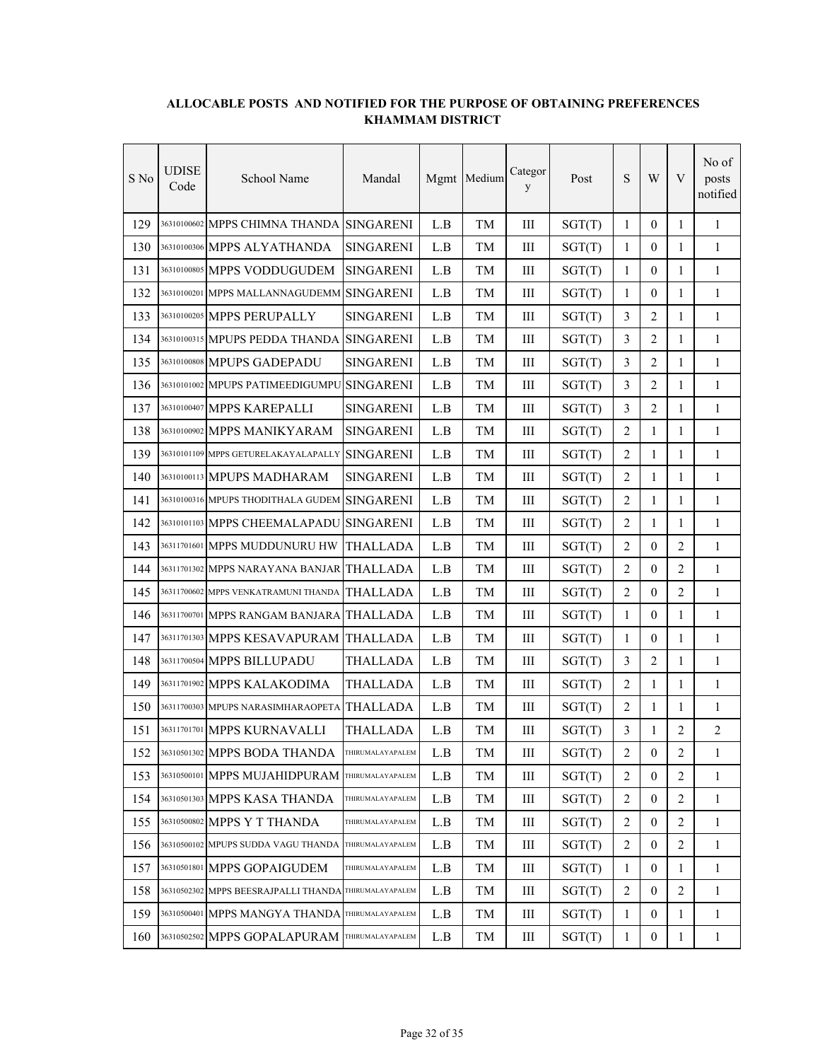| S No | <b>UDISE</b><br>Code | School Name                                           | Mandal           |     | Mgmt Medium | Categor<br>y | Post   | ${\bf S}$      | W                | V              | No of<br>posts<br>notified |
|------|----------------------|-------------------------------------------------------|------------------|-----|-------------|--------------|--------|----------------|------------------|----------------|----------------------------|
| 129  |                      | 36310100602 MPPS CHIMNA THANDA                        | <b>SINGARENI</b> | L.B | TМ          | III          | SGT(T) | 1              | $\theta$         | 1              | 1                          |
| 130  |                      | 36310100306 MPPS ALYATHANDA                           | <b>SINGARENI</b> | L.B | TМ          | Ш            | SGT(T) | 1              | $\overline{0}$   | 1              | 1                          |
| 131  |                      | 36310100805 MPPS VODDUGUDEM                           | <b>SINGARENI</b> | L.B | TM          | Ш            | SGT(T) | 1              | $\Omega$         | 1              | 1                          |
| 132  |                      | 36310100201 MPPS MALLANNAGUDEMM                       | <b>SINGARENI</b> | L.B | TM          | III          | SGT(T) | $\mathbf{1}$   | $\theta$         | 1              | $\mathbf{1}$               |
| 133  |                      | 36310100205 MPPS PERUPALLY                            | <b>SINGARENI</b> | L.B | TM          | III          | SGT(T) | 3              | $\overline{2}$   | $\mathbf{1}$   | 1                          |
| 134  |                      | 36310100315 MPUPS PEDDA THANDA                        | <b>SINGARENI</b> | L.B | TM          | III          | SGT(T) | 3              | 2                | $\mathbf{1}$   | $\mathbf{1}$               |
| 135  |                      | 36310100808 MPUPS GADEPADU                            | <b>SINGARENI</b> | L.B | TM          | III          | SGT(T) | 3              | $\overline{2}$   | $\mathbf{1}$   | $\mathbf{1}$               |
| 136  |                      | 36310101002 MPUPS PATIMEEDIGUMPU                      | <b>SINGARENI</b> | L.B | TM          | III          | SGT(T) | 3              | $\overline{2}$   | 1              | 1                          |
| 137  |                      | 36310100407 MPPS KAREPALLI                            | <b>SINGARENI</b> | L.B | TM          | Ш            | SGT(T) | 3              | $\overline{2}$   | 1              | 1                          |
| 138  |                      | 36310100902 MPPS MANIKYARAM                           | <b>SINGARENI</b> | L.B | TМ          | Ш            | SGT(T) | $\overline{2}$ | 1                | 1              | 1                          |
| 139  |                      | 36310101109 MPPS GETURELAKAYALAPALLY                  | <b>SINGARENI</b> | L.B | TM          | III          | SGT(T) | $\overline{c}$ | $\mathbf{1}$     | 1              | $\mathbf{1}$               |
| 140  |                      | 36310100113 MPUPS MADHARAM                            | <b>SINGARENI</b> | L.B | TM          | III          | SGT(T) | $\overline{2}$ | $\mathbf{1}$     | $\mathbf{1}$   | 1                          |
| 141  |                      | 36310100316 MPUPS THODITHALA GUDEM                    | <b>SINGARENI</b> | L.B | TM          | III          | SGT(T) | $\overline{2}$ | $\mathbf{1}$     | $\mathbf{1}$   | $\mathbf{1}$               |
| 142  |                      | 36310101103 MPPS CHEEMALAPADU                         | <b>SINGARENI</b> | L.B | TМ          | III          | SGT(T) | $\overline{2}$ | $\mathbf{1}$     | $\mathbf{1}$   | $\mathbf{1}$               |
| 143  |                      | 36311701601 MPPS MUDDUNURU HW                         | <b>THALLADA</b>  | L.B | TM          | III          | SGT(T) | 2              | $\theta$         | 2              | $\mathbf{1}$               |
| 144  |                      | 36311701302 MPPS NARAYANA BANJAR                      | <b>THALLADA</b>  | L.B | TM          | Ш            | SGT(T) | $\overline{2}$ | $\overline{0}$   | 2              | $\mathbf{1}$               |
| 145  |                      | 36311700602 MPPS VENKATRAMUNI THANDA                  | <b>THALLADA</b>  | L.B | TM          | Ш            | SGT(T) | $\overline{2}$ | $\mathbf{0}$     | 2              | 1                          |
| 146  |                      | 36311700701 MPPS RANGAM BANJARA                       | <b>THALLADA</b>  | L.B | <b>TM</b>   | III          | SGT(T) | $\mathbf{1}$   | $\mathbf{0}$     | 1              | $\mathbf{1}$               |
| 147  |                      | 36311701303 MPPS KESAVAPURAM                          | <b>THALLADA</b>  | L.B | TМ          | III          | SGT(T) | 1              | $\theta$         | 1              | 1                          |
| 148  |                      | 36311700504 MPPS BILLUPADU                            | THALLADA         | L.B | TM          | III          | SGT(T) | 3              | 2                | $\mathbf{1}$   | $\mathbf{1}$               |
| 149  |                      | 36311701902 MPPS KALAKODIMA                           | THALLADA         | L.B | TM          | III          | SGT(T) | 2              | $\mathbf{1}$     | $\mathbf{1}$   | $\mathbf{1}$               |
| 150  |                      | 36311700303 MPUPS NARASIMHARAOPETA                    | <b>THALLADA</b>  | L.B | TM          | Ш            | SGT(T) | $\overline{2}$ | $\mathbf{1}$     | $\mathbf{1}$   | $\mathbf{1}$               |
| 151  |                      | 36311701701 MPPS KURNAVALLI                           | THALLADA         | L.B | TM          | Ш            | SGT(T) | 3              | 1                | 2              | $\overline{2}$             |
| 152  |                      | 36310501302 MPPS BODA THANDA                          | THIRUMALAYAPALEM | L.B | TM          | Ш            | SGT(T) | 2              | $\boldsymbol{0}$ | 2              | 1                          |
| 153  |                      | 36310500101 MPPS MUJAHIDPURAM                         | THIRUMALAYAPALEM | L.B | TM          | Ш            | SGT(T) | $\overline{c}$ | $\overline{0}$   | 2              | $\mathbf{1}$               |
| 154  |                      | 36310501303 MPPS KASA THANDA                          | THIRUMALAYAPALEM | L.B | TM          | Ш            | SGT(T) | 2              | $\boldsymbol{0}$ | 2              | $\mathbf{1}$               |
| 155  |                      | 36310500802 MPPS Y T THANDA                           | THIRUMALAYAPALEM | L.B | TM          | Ш            | SGT(T) | $\overline{2}$ | $\boldsymbol{0}$ | 2              | $\mathbf{1}$               |
| 156  |                      | 36310500102 MPUPS SUDDA VAGU THANDA                   | THIRUMALAYAPALEM | L.B | TM          | Ш            | SGT(T) | $\overline{2}$ | $\overline{0}$   | $\overline{2}$ | $\mathbf{1}$               |
| 157  |                      | 36310501801 MPPS GOPAIGUDEM                           | THIRUMALAYAPALEM | L.B | TM          | Ш            | SGT(T) | 1              | $\mathbf{0}$     | 1              | $\mathbf{1}$               |
| 158  |                      | 36310502302 MPPS BEESRAJPALLI THANDA THIRUMALAYAPALEM |                  | L.B | TM          | $\rm III$    | SGT(T) | 2              | $\boldsymbol{0}$ | 2              | $\mathbf{1}$               |
| 159  |                      | 36310500401 MPPS MANGYA THANDA THIRUMALAYAPALEM       |                  | L.B | TM          | Ш            | SGT(T) | $\mathbf{1}$   | $\boldsymbol{0}$ | 1              | $\mathbf{1}$               |
| 160  |                      | 36310502502 MPPS GOPALAPURAM                          | THIRUMALAYAPALEM | L.B | TM          | Ш            | SGT(T) | $\mathbf{1}$   | $\boldsymbol{0}$ | $\mathbf{1}$   | $\mathbf{1}$               |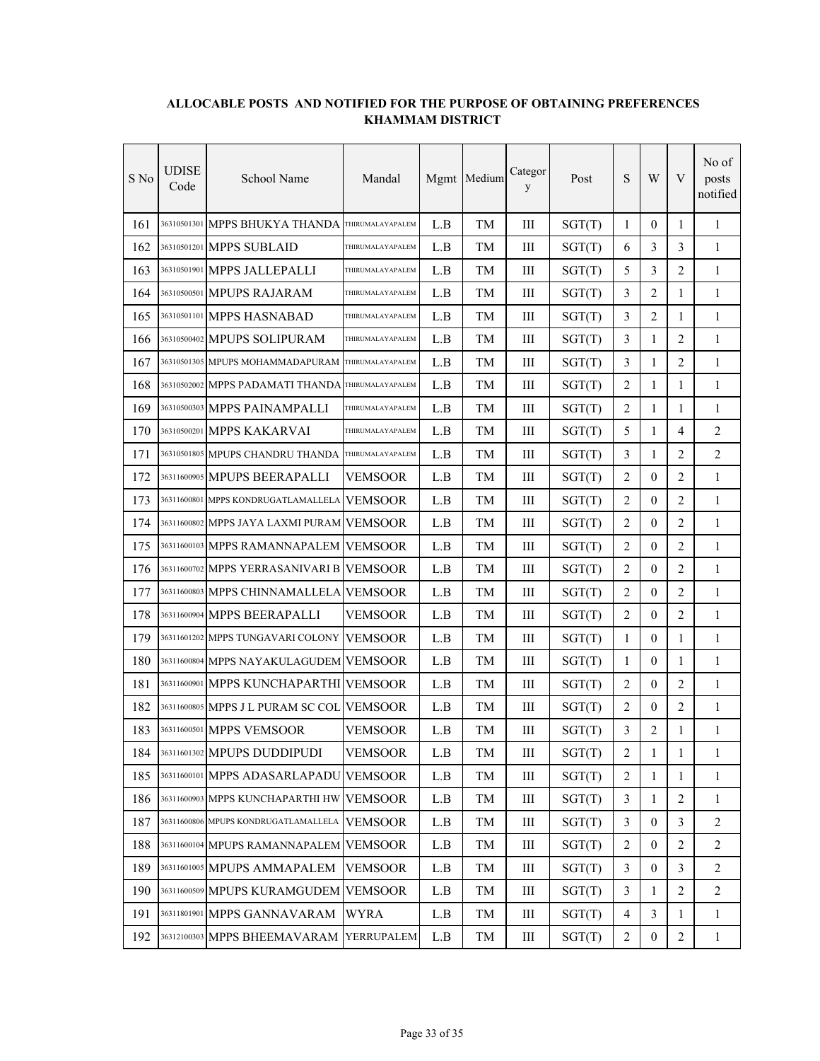| S No | UDISE<br>Code | School Name                               | Mandal           |     | Mgmt Medium | Categor<br>y | Post   | ${\bf S}$      | W                | V              | No of<br>posts<br>notified |
|------|---------------|-------------------------------------------|------------------|-----|-------------|--------------|--------|----------------|------------------|----------------|----------------------------|
| 161  |               | 36310501301 MPPS BHUKYA THANDA            | THIRUMALAYAPALEM | L.B | <b>TM</b>   | III          | SGT(T) | $\mathbf{1}$   | $\theta$         | $\mathbf{1}$   | 1                          |
| 162  |               | 36310501201 MPPS SUBLAID                  | THIRUMALAYAPALEM | L.B | TМ          | Ш            | SGT(T) | 6              | 3                | 3              | $\mathbf{1}$               |
| 163  |               | 36310501901 MPPS JALLEPALLI               | THIRUMALAYAPALEM | L.B | TM          | Ш            | SGT(T) | 5              | 3                | 2              | 1                          |
| 164  |               | 36310500501 MPUPS RAJARAM                 | THIRUMALAYAPALEM | L.B | TМ          | III          | SGT(T) | 3              | $\overline{2}$   | 1              | 1                          |
| 165  |               | 36310501101 MPPS HASNABAD                 | THIRUMALAYAPALEM | L.B | TМ          | III          | SGT(T) | 3              | $\overline{2}$   | 1              | 1                          |
| 166  |               | 36310500402 MPUPS SOLIPURAM               | THIRUMALAYAPALEM | L.B | TM          | III          | SGT(T) | $\overline{3}$ | 1                | 2              | $\mathbf{1}$               |
| 167  |               | 36310501305 MPUPS MOHAMMADAPURAM          | THIRUMALAYAPALEM | L.B | TМ          | III          | SGT(T) | 3              | 1                | $\overline{2}$ | 1                          |
| 168  |               | 36310502002 MPPS PADAMATI THANDA          | THIRUMALAYAPALEM | L.B | TМ          | Ш            | SGT(T) | $\overline{2}$ | 1                | 1              | $\mathbf{1}$               |
| 169  |               | 36310500303 MPPS PAINAMPALLI              | THIRUMALAYAPALEM | L.B | TМ          | Ш            | SGT(T) | 2              | 1                | 1              | 1                          |
| 170  |               | 36310500201 MPPS KAKARVAI                 | THIRUMALAYAPALEM | L.B | TM          | Ш            | SGT(T) | 5              | $\mathbf{1}$     | 4              | 2                          |
| 171  |               | 36310501805 MPUPS CHANDRU THANDA          | THIRUMALAYAPALEM | L.B | TМ          | Ш            | SGT(T) | 3              | 1                | 2              | 2                          |
| 172  |               | 36311600905 MPUPS BEERAPALLI              | <b>VEMSOOR</b>   | L.B | TМ          | Ш            | SGT(T) | 2              | $\Omega$         | 2              | 1                          |
| 173  |               | 36311600801 MPPS KONDRUGATLAMALLELA       | <b>VEMSOOR</b>   | L.B | TM          | III          | SGT(T) | $\overline{2}$ | $\mathbf{0}$     | 2              | $\mathbf{1}$               |
| 174  |               | 36311600802 MPPS JAYA LAXMI PURAM VEMSOOR |                  | L.B | TМ          | Ш            | SGT(T) | $\overline{2}$ | $\Omega$         | 2              | $\mathbf{1}$               |
| 175  |               | 36311600103 MPPS RAMANNAPALEM             | <b>VEMSOOR</b>   | L.B | TM          | III          | SGT(T) | $\overline{2}$ | $\boldsymbol{0}$ | 2              | $\mathbf{1}$               |
| 176  |               | 36311600702 MPPS YERRASANIVARI B          | <b>VEMSOOR</b>   | L.B | TМ          | Ш            | SGT(T) | 2              | $\overline{0}$   | 2              | 1                          |
| 177  |               | 36311600803 MPPS CHINNAMALLELA VEMSOOR    |                  | L.B | TM          | Ш            | SGT(T) | 2              | $\mathbf{0}$     | 2              | 1                          |
| 178  |               | 36311600904 MPPS BEERAPALLI               | VEMSOOR          | L.B | TМ          | Ш            | SGT(T) | 2              | $\overline{0}$   | 2              | 1                          |
| 179  |               | 36311601202 MPPS TUNGAVARI COLONY         | <b>VEMSOOR</b>   | L.B | TМ          | Ш            | SGT(T) | $\mathbf{1}$   | $\boldsymbol{0}$ | 1              | 1                          |
| 180  |               | 36311600804 MPPS NAYAKULAGUDEM VEMSOOR    |                  | L.B | TM          | III          | SGT(T) | 1              | $\mathbf{0}$     | 1              | $\mathbf{1}$               |
| 181  |               | 36311600901 MPPS KUNCHAPARTHI VEMSOOR     |                  | L.B | TМ          | III          | SGT(T) | $\overline{2}$ | $\theta$         | 2              | $\mathbf{1}$               |
| 182  |               | 36311600805 MPPS J L PURAM SC COL VEMSOOR |                  | L.B | TM          | Ш            | SGT(T) | $\overline{2}$ | $\boldsymbol{0}$ | $\overline{2}$ | $\mathbf{1}$               |
| 183  |               | 36311600501 MPPS VEMSOOR                  | <b>VEMSOOR</b>   | L.B | TM          | Ш            | SGT(T) | 3              | 2                | 1              | 1                          |
| 184  |               | 36311601302 MPUPS DUDDIPUDI               | <b>VEMSOOR</b>   | L.B | TM          | $\rm III$    | SGT(T) | $\overline{2}$ | $\mathbf{1}$     | $\mathbf{1}$   | 1                          |
| 185  |               | 36311600101 MPPS ADASARLAPADU             | <b>VEMSOOR</b>   | L.B | TM          | Ш            | SGT(T) | 2              | 1                | 1              | 1                          |
| 186  |               | 36311600903 MPPS KUNCHAPARTHI HW          | <b>VEMSOOR</b>   | L.B | TM          | Ш            | SGT(T) | $\mathfrak{Z}$ | $\mathbf{1}$     | 2              | $\mathbf{1}$               |
| 187  |               | 36311600806 MPUPS KONDRUGATLAMALLELA      | <b>VEMSOOR</b>   | L.B | $\rm TM$    | Ш            | SGT(T) | $\mathfrak{Z}$ | $\boldsymbol{0}$ | 3              | $\overline{2}$             |
| 188  |               | 36311600104 MPUPS RAMANNAPALEM            | <b>VEMSOOR</b>   | L.B | TM          | $\rm III$    | SGT(T) | $\overline{2}$ | $\boldsymbol{0}$ | 2              | $\overline{2}$             |
| 189  |               | 36311601005 MPUPS AMMAPALEM               | <b>VEMSOOR</b>   | L.B | TM          | $\rm III$    | SGT(T) | $\overline{3}$ | $\boldsymbol{0}$ | 3              | $\overline{2}$             |
| 190  |               | 36311600509 MPUPS KURAMGUDEM              | <b>VEMSOOR</b>   | L.B | TM          | $\rm III$    | SGT(T) | $\mathfrak{Z}$ | 1                | 2              | $\overline{2}$             |
| 191  |               | 36311801901 MPPS GANNAVARAM               | <b>WYRA</b>      | L.B | TM          | Ш            | SGT(T) | $\overline{4}$ | 3                | 1              | 1                          |
| 192  |               | 36312100303 MPPS BHEEMAVARAM              | YERRUPALEM       | L.B | TM          | Ш            | SGT(T) | $\overline{2}$ | $\boldsymbol{0}$ | $\overline{c}$ | $\mathbf{1}$               |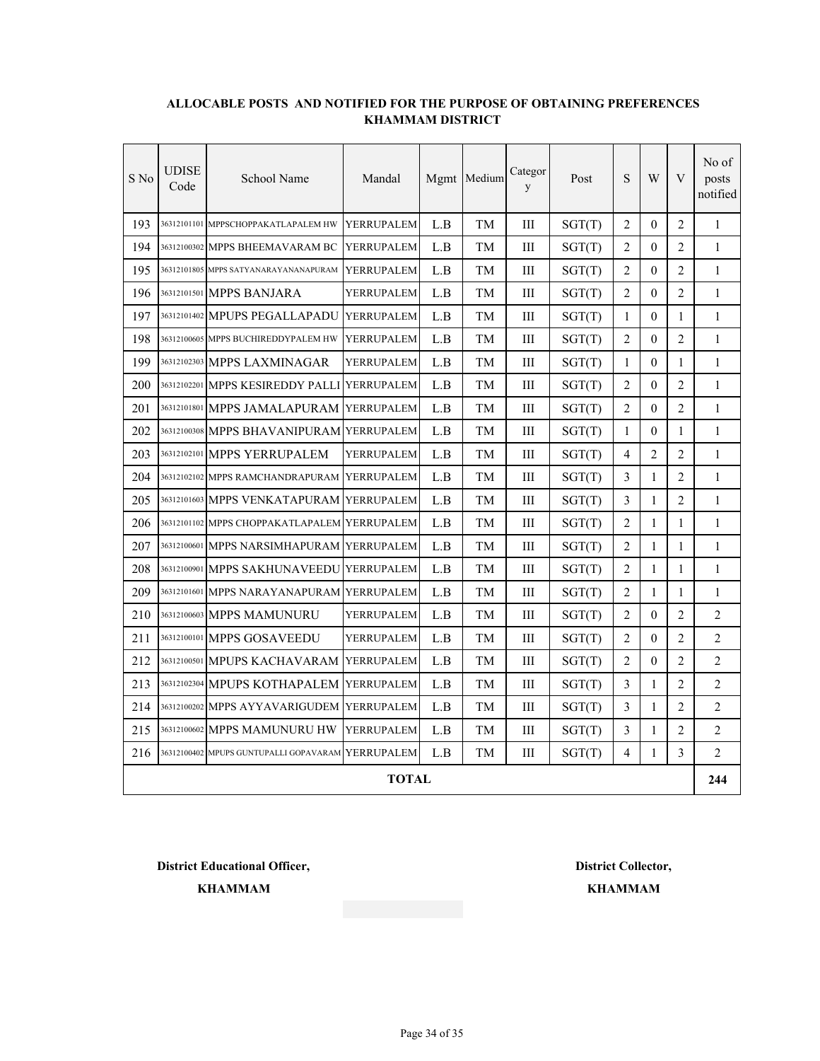| S No | <b>UDISE</b><br>Code | School Name                                       | Mandal            |     | Mgmt Medium | Categor<br>y       | Post   | S              | W              | V              | No of<br>posts<br>notified |
|------|----------------------|---------------------------------------------------|-------------------|-----|-------------|--------------------|--------|----------------|----------------|----------------|----------------------------|
| 193  |                      | 36312101101 MPPSCHOPPAKATLAPALEM HW               | YERRUPALEM        | L.B | TМ          | Ш                  | SGT(T) | 2              | $\Omega$       | 2              | $\mathbf{1}$               |
| 194  |                      | 36312100302 MPPS BHEEMAVARAM BC                   | YERRUPALEM        | L.B | TМ          | $\mathop{\rm III}$ | SGT(T) | $\overline{2}$ | $\theta$       | $\overline{2}$ | $\mathbf{1}$               |
| 195  |                      | 36312101805 MPPS SATYANARAYANANAPURAM             | <b>YERRUPALEM</b> | L.B | TM          | Ш                  | SGT(T) | $\overline{2}$ | $\Omega$       | $\overline{2}$ | $\mathbf{1}$               |
| 196  |                      | 36312101501 MPPS BANJARA                          | YERRUPALEM        | L.B | TМ          | Ш                  | SGT(T) | $\overline{2}$ | $\theta$       | 2              | $\mathbf{1}$               |
| 197  |                      | 36312101402 MPUPS PEGALLAPADU                     | <b>YERRUPALEM</b> | L.B | TМ          | $\mathop{\rm III}$ | SGT(T) | 1              | $\theta$       | 1              | $\mathbf{1}$               |
| 198  |                      | 36312100605 MPPS BUCHIREDDYPALEM HW               | <b>YERRUPALEM</b> | L.B | TM          | Ш                  | SGT(T) | 2              | $\Omega$       | $\overline{2}$ | $\mathbf{1}$               |
| 199  |                      | 36312102303 MPPS LAXMINAGAR                       | YERRUPALEM        | L.B | TM          | Ш                  | SGT(T) | 1              | $\theta$       | 1              | $\mathbf{1}$               |
| 200  |                      | 36312102201 MPPS KESIREDDY PALLI                  | <b>YERRUPALEM</b> | L.B | TM          | $\rm III$          | SGT(T) | $\overline{2}$ | $\theta$       | $\overline{2}$ | $\mathbf{1}$               |
| 201  |                      | 36312101801 MPPS JAMALAPURAM                      | <b>YERRUPALEM</b> | L.B | TM          | Ш                  | SGT(T) | 2              | $\Omega$       | $\overline{2}$ | $\mathbf{1}$               |
| 202  |                      | 36312100308 MPPS BHAVANIPURAM YERRUPALEM          |                   | L.B | TM          | Ш                  | SGT(T) | 1              | $\theta$       | 1              | $\mathbf{1}$               |
| 203  |                      | 36312102101 MPPS YERRUPALEM                       | YERRUPALEM        | L.B | TM          | III                | SGT(T) | 4              | $\overline{2}$ | $\overline{2}$ | $\mathbf{1}$               |
| 204  |                      | 36312102102 MPPS RAMCHANDRAPURAM                  | <b>YERRUPALEM</b> | L.B | TМ          | Ш                  | SGT(T) | 3              | $\mathbf{1}$   | 2              | $\mathbf{1}$               |
| 205  |                      | 36312101603 MPPS VENKATAPURAM YERRUPALEM          |                   | L.B | TM          | Ш                  | SGT(T) | 3              | $\mathbf{1}$   | 2              | $\mathbf{1}$               |
| 206  |                      | 36312101102 MPPS CHOPPAKATLAPALEM YERRUPALEM      |                   | L.B | TМ          | III                | SGT(T) | $\overline{2}$ | 1              | 1              | $\mathbf{1}$               |
| 207  |                      | 36312100601 MPPS NARSIMHAPURAM YERRUPALEM         |                   | L.B | TМ          | Ш                  | SGT(T) | $\overline{2}$ | 1              | 1              | 1                          |
| 208  |                      | 36312100901 MPPS SAKHUNAVEEDU YERRUPALEM          |                   | L.B | TМ          | Ш                  | SGT(T) | $\overline{2}$ | 1              | 1              | $\mathbf{1}$               |
| 209  |                      | 36312101601 MPPS NARAYANAPURAM YERRUPALEM         |                   | L.B | TМ          | III                | SGT(T) | 2              | 1              | 1              | 1                          |
| 210  |                      | 36312100603 MPPS MAMUNURU                         | YERRUPALEM        | L.B | TМ          | Ш                  | SGT(T) | 2              | $\Omega$       | 2              | 2                          |
| 211  |                      | 36312100101 MPPS GOSAVEEDU                        | YERRUPALEM        | L.B | TМ          | Ш                  | SGT(T) | 2              | $\overline{0}$ | 2              | 2                          |
| 212  |                      | 36312100501 MPUPS KACHAVARAM                      | <b>YERRUPALEM</b> | L.B | TМ          | Ш                  | SGT(T) | 2              | $\mathbf{0}$   | 2              | 2                          |
| 213  |                      | 36312102304 MPUPS KOTHAPALEM                      | <b>YERRUPALEM</b> | L.B | TM          | Ш                  | SGT(T) | 3              | $\mathbf{1}$   | 2              | 2                          |
| 214  |                      | 36312100202 MPPS AYYAVARIGUDEM                    | <b>YERRUPALEM</b> | L.B | TM          | Ш                  | SGT(T) | 3              | 1              | 2              | 2                          |
| 215  |                      | 36312100602 MPPS MAMUNURU HW                      | YERRUPALEM        | L.B | TМ          | Ш                  | SGT(T) | 3              | $\mathbf{1}$   | 2              | 2                          |
| 216  |                      | 36312100402 MPUPS GUNTUPALLI GOPAVARAM YERRUPALEM |                   | L.B | TM          | Ш                  | SGT(T) | 4              | 1              | 3              | 2                          |
|      |                      |                                                   | <b>TOTAL</b>      |     |             |                    |        |                |                |                | 244                        |

**District Educational Officer, District Collector,**